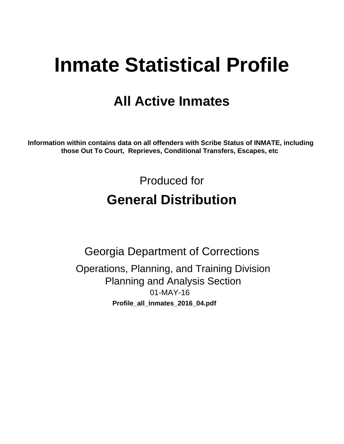# **Inmate Statistical Profile**

# **All Active Inmates**

Information within contains data on all offenders with Scribe Status of INMATE, including those Out To Court, Reprieves, Conditional Transfers, Escapes, etc

> Produced for **General Distribution**

**Georgia Department of Corrections** Operations, Planning, and Training Division **Planning and Analysis Section** 01-MAY-16 Profile\_all\_inmates\_2016\_04.pdf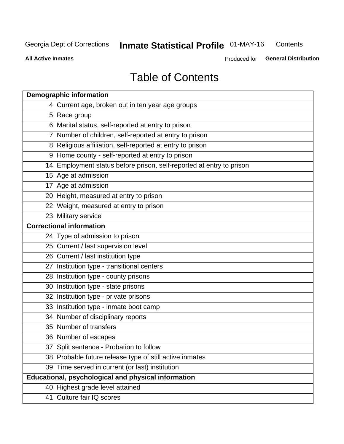#### **Inmate Statistical Profile 01-MAY-16** Contents

**All Active Inmates** 

Produced for General Distribution

# **Table of Contents**

| <b>Demographic information</b>                                       |
|----------------------------------------------------------------------|
| 4 Current age, broken out in ten year age groups                     |
| 5 Race group                                                         |
| 6 Marital status, self-reported at entry to prison                   |
| 7 Number of children, self-reported at entry to prison               |
| 8 Religious affiliation, self-reported at entry to prison            |
| 9 Home county - self-reported at entry to prison                     |
| 14 Employment status before prison, self-reported at entry to prison |
| 15 Age at admission                                                  |
| 17 Age at admission                                                  |
| 20 Height, measured at entry to prison                               |
| 22 Weight, measured at entry to prison                               |
| 23 Military service                                                  |
| <b>Correctional information</b>                                      |
| 24 Type of admission to prison                                       |
| 25 Current / last supervision level                                  |
| 26 Current / last institution type                                   |
| 27 Institution type - transitional centers                           |
| 28 Institution type - county prisons                                 |
| 30 Institution type - state prisons                                  |
| 32 Institution type - private prisons                                |
| 33 Institution type - inmate boot camp                               |
| 34 Number of disciplinary reports                                    |
| 35 Number of transfers                                               |
| 36 Number of escapes                                                 |
| 37 Split sentence - Probation to follow                              |
| 38 Probable future release type of still active inmates              |
| 39 Time served in current (or last) institution                      |
| Educational, psychological and physical information                  |
| 40 Highest grade level attained                                      |
| 41 Culture fair IQ scores                                            |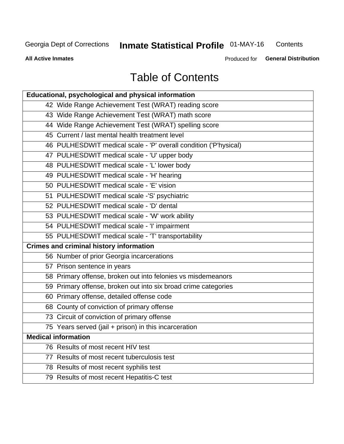#### **Inmate Statistical Profile 01-MAY-16** Contents

**All Active Inmates** 

Produced for General Distribution

# **Table of Contents**

| Educational, psychological and physical information              |
|------------------------------------------------------------------|
| 42 Wide Range Achievement Test (WRAT) reading score              |
| 43 Wide Range Achievement Test (WRAT) math score                 |
| 44 Wide Range Achievement Test (WRAT) spelling score             |
| 45 Current / last mental health treatment level                  |
| 46 PULHESDWIT medical scale - 'P' overall condition ('P'hysical) |
| 47 PULHESDWIT medical scale - 'U' upper body                     |
| 48 PULHESDWIT medical scale - 'L' lower body                     |
| 49 PULHESDWIT medical scale - 'H' hearing                        |
| 50 PULHESDWIT medical scale - 'E' vision                         |
| 51 PULHESDWIT medical scale -'S' psychiatric                     |
| 52 PULHESDWIT medical scale - 'D' dental                         |
| 53 PULHESDWIT medical scale - 'W' work ability                   |
| 54 PULHESDWIT medical scale - 'I' impairment                     |
| 55 PULHESDWIT medical scale - 'T' transportability               |
| <b>Crimes and criminal history information</b>                   |
| 56 Number of prior Georgia incarcerations                        |
| 57 Prison sentence in years                                      |
| 58 Primary offense, broken out into felonies vs misdemeanors     |
| 59 Primary offense, broken out into six broad crime categories   |
| 60 Primary offense, detailed offense code                        |
| 68 County of conviction of primary offense                       |
| 73 Circuit of conviction of primary offense                      |
| 75 Years served (jail + prison) in this incarceration            |
| <b>Medical information</b>                                       |
| 76 Results of most recent HIV test                               |
| 77 Results of most recent tuberculosis test                      |
| 78 Results of most recent syphilis test                          |
| 79 Results of most recent Hepatitis-C test                       |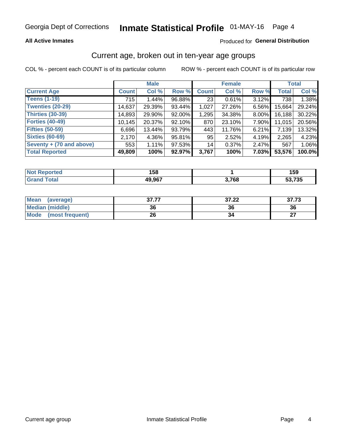# Inmate Statistical Profile 01-MAY-16 Page 4

### **All Active Inmates**

### Produced for General Distribution

### Current age, broken out in ten-year age groups

COL % - percent each COUNT is of its particular column

|                          | <b>Male</b>  |          |        |              | <b>Female</b> | <b>Total</b> |              |        |
|--------------------------|--------------|----------|--------|--------------|---------------|--------------|--------------|--------|
| <b>Current Age</b>       | <b>Count</b> | Col %    | Row %  | <b>Count</b> | Col %         | Row %        | <b>Total</b> | Col %  |
| <b>Teens (1-19)</b>      | 715          | 1.44%    | 96.88% | 23           | 0.61%         | 3.12%        | 738          | 1.38%  |
| <b>Twenties (20-29)</b>  | 14,637       | 29.39%   | 93.44% | 1,027        | 27.26%        | 6.56%        | 15,664       | 29.24% |
| <b>Thirties (30-39)</b>  | 14,893       | 29.90%   | 92.00% | 1,295        | 34.38%        | 8.00%        | 16,188       | 30.22% |
| <b>Forties (40-49)</b>   | 10,145       | 20.37%   | 92.10% | 870          | 23.10%        | 7.90%        | 11,015       | 20.56% |
| <b>Fifties (50-59)</b>   | 6,696        | 13.44%   | 93.79% | 443          | 11.76%        | 6.21%        | 7,139        | 13.32% |
| <b>Sixties (60-69)</b>   | 2,170        | 4.36%    | 95.81% | 95           | 2.52%         | 4.19%        | 2,265        | 4.23%  |
| Seventy + (70 and above) | 553          | $1.11\%$ | 97.53% | 14           | 0.37%         | 2.47%        | 567          | 1.06%  |
| <b>Total Reported</b>    | 49,809       | 100%     | 92.97% | 3,767        | 100%          | 7.03%        | 53,576       | 100.0% |

| <b>Anorted</b><br><b>NO</b> | 1 E O<br>158 |            | 159                       |
|-----------------------------|--------------|------------|---------------------------|
| <b>Total</b>                | 49,967       | 2700<br>uu | $-702$<br><u>ეე, / ეე</u> |

| Mean<br>(average)              | クフ フフ<br>91.II | 37.22 | 37.73     |
|--------------------------------|----------------|-------|-----------|
| <b>Median (middle)</b>         | 36             | 36    | 36        |
| <b>Mode</b><br>(most frequent) | 26             |       | ^7<br>. . |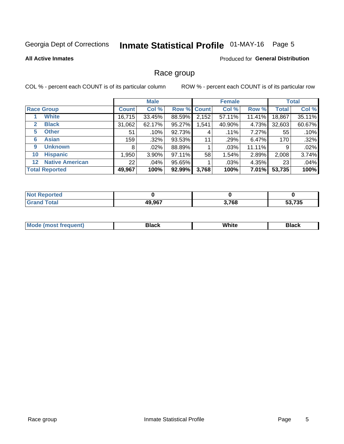# Inmate Statistical Profile 01-MAY-16 Page 5

#### **All Active Inmates**

### **Produced for General Distribution**

### Race group

COL % - percent each COUNT is of its particular column

|                                   |              | <b>Male</b> |        |             | <b>Female</b> |          |              | <b>Total</b> |  |
|-----------------------------------|--------------|-------------|--------|-------------|---------------|----------|--------------|--------------|--|
| <b>Race Group</b>                 | <b>Count</b> | Col %       |        | Row % Count | Col %         | Row %    | <b>Total</b> | Col %        |  |
| <b>White</b>                      | 16,715       | 33.45%      | 88.59% | 2,152       | 57.11%        | 11.41%   | 18,867       | 35.11%       |  |
| <b>Black</b><br>2                 | 31,062       | 62.17%      | 95.27% | .541        | 40.90%        | 4.73%    | 32,603       | 60.67%       |  |
| <b>Other</b><br>5.                | 51           | .10%        | 92.73% | 4           | $.11\%$       | 7.27%    | 55           | .10%         |  |
| <b>Asian</b><br>6                 | 159          | $.32\%$     | 93.53% | 11          | .29%          | 6.47%    | 170          | .32%         |  |
| <b>Unknown</b><br>9               | 8            | $.02\%$     | 88.89% |             | .03%          | 11.11%   | 9            | .02%         |  |
| <b>Hispanic</b><br>10             | .950         | 3.90%       | 97.11% | 58          | 1.54%         | 2.89%    | 2,008        | 3.74%        |  |
| <b>Native American</b><br>$12 \,$ | 22           | .04%        | 95.65% |             | .03%          | 4.35%    | 23           | .04%         |  |
| <b>Total Reported</b>             | 49,967       | 100%        | 92.99% | 3,768       | 100%          | $7.01\%$ | 53,735       | 100%         |  |

| orted<br>NO |        |       |        |
|-------------|--------|-------|--------|
| <b>otal</b> | 49,967 | 3,768 | 53,735 |

| m | <br>w |  |
|---|-------|--|
|   |       |  |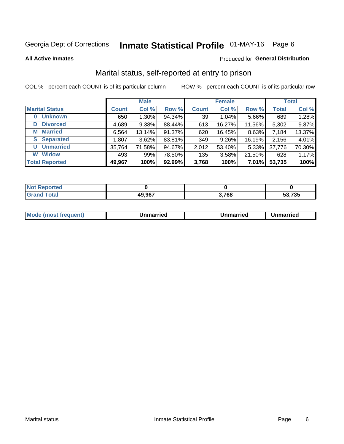# Inmate Statistical Profile 01-MAY-16 Page 6

**All Active Inmates** 

#### Produced for General Distribution

### Marital status, self-reported at entry to prison

COL % - percent each COUNT is of its particular column

|                            | <b>Male</b>  |          |        |                 | <b>Female</b> | <b>Total</b> |              |        |
|----------------------------|--------------|----------|--------|-----------------|---------------|--------------|--------------|--------|
| <b>Marital Status</b>      | <b>Count</b> | Col %    | Row %  | <b>Count</b>    | Col %         | Row %        | <b>Total</b> | Col %  |
| <b>Unknown</b><br>$\bf{0}$ | 650          | $1.30\%$ | 94.34% | 39 <sub>1</sub> | $1.04\%$      | 5.66%        | 689          | 1.28%  |
| <b>Divorced</b><br>D       | 4,689        | 9.38%    | 88.44% | 613             | 16.27%        | 11.56%       | 5,302        | 9.87%  |
| <b>Married</b><br>M        | 6,564        | 13.14%   | 91.37% | 620             | 16.45%        | 8.63%        | 7,184        | 13.37% |
| <b>S</b> Separated         | 1,807        | 3.62%    | 83.81% | 349             | 9.26%         | 16.19%       | 2,156        | 4.01%  |
| <b>Unmarried</b><br>U      | 35,764       | 71.58%   | 94.67% | 2,012           | 53.40%        | $5.33\%$     | 37,776       | 70.30% |
| <b>Widow</b><br>W          | 493          | .99%     | 78.50% | 135             | 3.58%         | 21.50%       | 628          | 1.17%  |
| <b>Total Reported</b>      | 49,967       | 100%     | 92.99% | 3,768           | 100%          | 7.01%        | 53,735       | 100%   |

| rted<br>NOT |        |       |        |
|-------------|--------|-------|--------|
|             | 49,967 | 3,768 | 53.735 |

| <b>Mode (most frequent)</b><br>Unmarried<br>Unmarried<br>Jnmarried |
|--------------------------------------------------------------------|
|--------------------------------------------------------------------|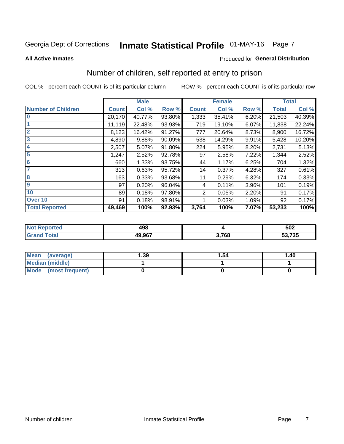# Inmate Statistical Profile 01-MAY-16 Page 7

#### **All Active Inmates**

### **Produced for General Distribution**

### Number of children, self reported at entry to prison

COL % - percent each COUNT is of its particular column

|                           |              | <b>Male</b> |        |              | <b>Female</b> |       |              | <b>Total</b> |
|---------------------------|--------------|-------------|--------|--------------|---------------|-------|--------------|--------------|
| <b>Number of Children</b> | <b>Count</b> | Col %       | Row %  | <b>Count</b> | Col %         | Row % | <b>Total</b> | Col %        |
| $\bf{0}$                  | 20,170       | 40.77%      | 93.80% | 1,333        | 35.41%        | 6.20% | 21,503       | 40.39%       |
|                           | 11,119       | 22.48%      | 93.93% | 719          | 19.10%        | 6.07% | 11,838       | 22.24%       |
| $\overline{2}$            | 8,123        | 16.42%      | 91.27% | 777          | 20.64%        | 8.73% | 8,900        | 16.72%       |
| 3                         | 4,890        | 9.88%       | 90.09% | 538          | 14.29%        | 9.91% | 5,428        | 10.20%       |
| 4                         | 2,507        | 5.07%       | 91.80% | 224          | 5.95%         | 8.20% | 2,731        | 5.13%        |
| 5                         | 1,247        | 2.52%       | 92.78% | 97           | 2.58%         | 7.22% | 1,344        | 2.52%        |
| 6                         | 660          | 1.33%       | 93.75% | 44           | 1.17%         | 6.25% | 704          | 1.32%        |
| 7                         | 313          | 0.63%       | 95.72% | 14           | 0.37%         | 4.28% | 327          | 0.61%        |
| 8                         | 163          | 0.33%       | 93.68% | 11           | 0.29%         | 6.32% | 174          | 0.33%        |
| 9                         | 97           | 0.20%       | 96.04% | 4            | 0.11%         | 3.96% | 101          | 0.19%        |
| 10                        | 89           | 0.18%       | 97.80% | 2            | 0.05%         | 2.20% | 91           | 0.17%        |
| Over 10                   | 91           | 0.18%       | 98.91% |              | 0.03%         | 1.09% | 92           | 0.17%        |
| <b>Total Reported</b>     | 49,469       | 100%        | 92.93% | 3,764        | 100%          | 7.07% | 53,233       | 100%         |

| ៱៱៰<br>・コー |     | 502    |
|------------|-----|--------|
| 80 AC7     | 700 | 53,735 |

| Mean<br>(average)       | 1.39 | 1.54 | 1.40 |
|-------------------------|------|------|------|
| <b>Median (middle)</b>  |      |      |      |
| Mode<br>(most frequent) |      |      |      |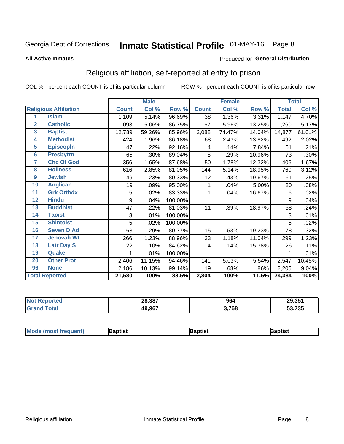# Inmate Statistical Profile 01-MAY-16 Page 8

#### **All Active Inmates**

### Produced for General Distribution

### Religious affiliation, self-reported at entry to prison

COL % - percent each COUNT is of its particular column

|                         |                              |              | <b>Male</b> |         |              | <b>Female</b> |        |              | <b>Total</b> |
|-------------------------|------------------------------|--------------|-------------|---------|--------------|---------------|--------|--------------|--------------|
|                         | <b>Religious Affiliation</b> | <b>Count</b> | Col %       | Row %   | <b>Count</b> | Col %         | Row %  | <b>Total</b> | Col %        |
| 1                       | <b>Islam</b>                 | 1,109        | 5.14%       | 96.69%  | 38           | 1.36%         | 3.31%  | 1,147        | 4.70%        |
| $\overline{2}$          | <b>Catholic</b>              | 1,093        | 5.06%       | 86.75%  | 167          | 5.96%         | 13.25% | 1,260        | 5.17%        |
| $\overline{\mathbf{3}}$ | <b>Baptist</b>               | 12,789       | 59.26%      | 85.96%  | 2,088        | 74.47%        | 14.04% | 14,877       | 61.01%       |
| $\overline{\mathbf{4}}$ | <b>Methodist</b>             | 424          | 1.96%       | 86.18%  | 68           | 2.43%         | 13.82% | 492          | 2.02%        |
| 5                       | <b>EpiscopIn</b>             | 47           | .22%        | 92.16%  | 4            | .14%          | 7.84%  | 51           | .21%         |
| $6\phantom{1}6$         | <b>Presbytrn</b>             | 65           | .30%        | 89.04%  | 8            | .29%          | 10.96% | 73           | .30%         |
| 7                       | <b>Chc Of God</b>            | 356          | 1.65%       | 87.68%  | 50           | 1.78%         | 12.32% | 406          | 1.67%        |
| 8                       | <b>Holiness</b>              | 616          | 2.85%       | 81.05%  | 144          | 5.14%         | 18.95% | 760          | 3.12%        |
| 9                       | <b>Jewish</b>                | 49           | .23%        | 80.33%  | 12           | .43%          | 19.67% | 61           | .25%         |
| 10                      | <b>Anglican</b>              | 19           | .09%        | 95.00%  | 1            | .04%          | 5.00%  | 20           | .08%         |
| 11                      | <b>Grk Orthdx</b>            | 5            | .02%        | 83.33%  | 1            | .04%          | 16.67% | 6            | .02%         |
| 12                      | <b>Hindu</b>                 | 9            | .04%        | 100.00% |              |               |        | 9            | .04%         |
| 13                      | <b>Buddhist</b>              | 47           | .22%        | 81.03%  | 11           | .39%          | 18.97% | 58           | .24%         |
| 14                      | <b>Taoist</b>                | 3            | .01%        | 100.00% |              |               |        | 3            | .01%         |
| 15                      | <b>Shintoist</b>             | 5            | .02%        | 100.00% |              |               |        | 5            | .02%         |
| 16                      | <b>Seven D Ad</b>            | 63           | .29%        | 80.77%  | 15           | .53%          | 19.23% | 78           | .32%         |
| 17                      | <b>Jehovah Wt</b>            | 266          | 1.23%       | 88.96%  | 33           | 1.18%         | 11.04% | 299          | 1.23%        |
| 18                      | <b>Latr Day S</b>            | 22           | .10%        | 84.62%  | 4            | .14%          | 15.38% | 26           | .11%         |
| 19                      | Quaker                       |              | .01%        | 100.00% |              |               |        |              | .01%         |
| 20                      | <b>Other Prot</b>            | 2,406        | 11.15%      | 94.46%  | 141          | 5.03%         | 5.54%  | 2,547        | 10.45%       |
| 96                      | <b>None</b>                  | 2,186        | 10.13%      | 99.14%  | 19           | .68%          | .86%   | 2,205        | 9.04%        |
|                         | <b>Total Reported</b>        | 21,580       | 100%        | 88.5%   | 2,804        | 100%          | 11.5%  | 24,384       | 100%         |

| 28,387 | 964   | 29.351       |
|--------|-------|--------------|
| 49,967 | 3,768 | 53,735<br>ວວ |

|  | <b>Moc</b><br>de (most frequent) | งptist | ้วtısı | רוסר. |
|--|----------------------------------|--------|--------|-------|
|--|----------------------------------|--------|--------|-------|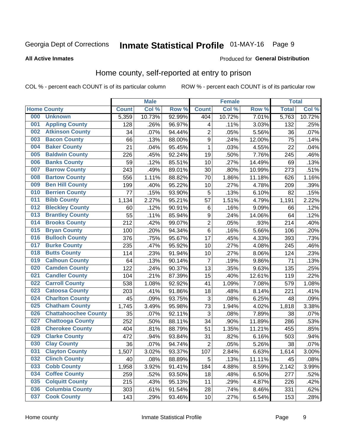# Inmate Statistical Profile 01-MAY-16 Page 9

#### **All Active Inmates**

#### Produced for General Distribution

### Home county, self-reported at entry to prison

COL % - percent each COUNT is of its particular column

|     |                             |              | <b>Male</b> |        |                  | <b>Female</b> |        | <b>Total</b> |        |
|-----|-----------------------------|--------------|-------------|--------|------------------|---------------|--------|--------------|--------|
|     | <b>Home County</b>          | <b>Count</b> | Col %       | Row %  | <b>Count</b>     | Col %         | Row %  | <b>Total</b> | Col %  |
| 000 | <b>Unknown</b>              | 5,359        | 10.73%      | 92.99% | 404              | 10.72%        | 7.01%  | 5,763        | 10.72% |
| 001 | <b>Appling County</b>       | 128          | .26%        | 96.97% | 4                | .11%          | 3.03%  | 132          | .25%   |
| 002 | <b>Atkinson County</b>      | 34           | .07%        | 94.44% | $\overline{2}$   | .05%          | 5.56%  | 36           | .07%   |
| 003 | <b>Bacon County</b>         | 66           | .13%        | 88.00% | $\boldsymbol{9}$ | .24%          | 12.00% | 75           | .14%   |
| 004 | <b>Baker County</b>         | 21           | .04%        | 95.45% | 1                | .03%          | 4.55%  | 22           | .04%   |
| 005 | <b>Baldwin County</b>       | 226          | .45%        | 92.24% | 19               | .50%          | 7.76%  | 245          | .46%   |
| 006 | <b>Banks County</b>         | 59           | .12%        | 85.51% | 10               | .27%          | 14.49% | 69           | .13%   |
| 007 | <b>Barrow County</b>        | 243          | .49%        | 89.01% | 30               | .80%          | 10.99% | 273          | .51%   |
| 008 | <b>Bartow County</b>        | 556          | 1.11%       | 88.82% | 70               | 1.86%         | 11.18% | 626          | 1.16%  |
| 009 | <b>Ben Hill County</b>      | 199          | .40%        | 95.22% | 10               | .27%          | 4.78%  | 209          | .39%   |
| 010 | <b>Berrien County</b>       | 77           | .15%        | 93.90% | 5                | .13%          | 6.10%  | 82           | .15%   |
| 011 | <b>Bibb County</b>          | 1,134        | 2.27%       | 95.21% | 57               | 1.51%         | 4.79%  | 1,191        | 2.22%  |
| 012 | <b>Bleckley County</b>      | 60           | .12%        | 90.91% | $\,6$            | .16%          | 9.09%  | 66           | .12%   |
| 013 | <b>Brantley County</b>      | 55           | .11%        | 85.94% | $\boldsymbol{9}$ | .24%          | 14.06% | 64           | .12%   |
| 014 | <b>Brooks County</b>        | 212          | .42%        | 99.07% | $\overline{c}$   | .05%          | .93%   | 214          | .40%   |
| 015 | <b>Bryan County</b>         | 100          | .20%        | 94.34% | $\,6$            | .16%          | 5.66%  | 106          | .20%   |
| 016 | <b>Bulloch County</b>       | 376          | .75%        | 95.67% | 17               | .45%          | 4.33%  | 393          | .73%   |
| 017 | <b>Burke County</b>         | 235          | .47%        | 95.92% | 10               | .27%          | 4.08%  | 245          | .46%   |
| 018 | <b>Butts County</b>         | 114          | .23%        | 91.94% | 10               | .27%          | 8.06%  | 124          | .23%   |
| 019 | <b>Calhoun County</b>       | 64           | .13%        | 90.14% | $\overline{7}$   | .19%          | 9.86%  | 71           | .13%   |
| 020 | <b>Camden County</b>        | 122          | .24%        | 90.37% | 13               | .35%          | 9.63%  | 135          | .25%   |
| 021 | <b>Candler County</b>       | 104          | .21%        | 87.39% | 15               | .40%          | 12.61% | 119          | .22%   |
| 022 | <b>Carroll County</b>       | 538          | 1.08%       | 92.92% | 41               | 1.09%         | 7.08%  | 579          | 1.08%  |
| 023 | <b>Catoosa County</b>       | 203          | .41%        | 91.86% | 18               | .48%          | 8.14%  | 221          | .41%   |
| 024 | <b>Charlton County</b>      | 45           | .09%        | 93.75% | 3                | .08%          | 6.25%  | 48           | .09%   |
| 025 | <b>Chatham County</b>       | 1,745        | 3.49%       | 95.98% | 73               | 1.94%         | 4.02%  | 1,818        | 3.38%  |
| 026 | <b>Chattahoochee County</b> | 35           | .07%        | 92.11% | 3                | .08%          | 7.89%  | 38           | .07%   |
| 027 | <b>Chattooga County</b>     | 252          | .50%        | 88.11% | 34               | .90%          | 11.89% | 286          | .53%   |
| 028 | <b>Cherokee County</b>      | 404          | .81%        | 88.79% | 51               | 1.35%         | 11.21% | 455          | .85%   |
| 029 | <b>Clarke County</b>        | 472          | .94%        | 93.84% | 31               | .82%          | 6.16%  | 503          | .94%   |
| 030 | <b>Clay County</b>          | 36           | .07%        | 94.74% | $\mathbf 2$      | .05%          | 5.26%  | 38           | .07%   |
| 031 | <b>Clayton County</b>       | 1,507        | 3.02%       | 93.37% | 107              | 2.84%         | 6.63%  | 1,614        | 3.00%  |
| 032 | <b>Clinch County</b>        | 40           | .08%        | 88.89% | 5                | .13%          | 11.11% | 45           | .08%   |
| 033 | <b>Cobb County</b>          | 1,958        | 3.92%       | 91.41% | 184              | 4.88%         | 8.59%  | 2,142        | 3.99%  |
| 034 | <b>Coffee County</b>        | 259          | .52%        | 93.50% | 18               | .48%          | 6.50%  | 277          | .52%   |
| 035 | <b>Colquitt County</b>      | 215          | .43%        | 95.13% | 11               | .29%          | 4.87%  | 226          | .42%   |
| 036 | <b>Columbia County</b>      | 303          | .61%        | 91.54% | 28               | .74%          | 8.46%  | 331          | .62%   |
| 037 | <b>Cook County</b>          | 143          | .29%        | 93.46% | 10               | .27%          | 6.54%  | 153          | .28%   |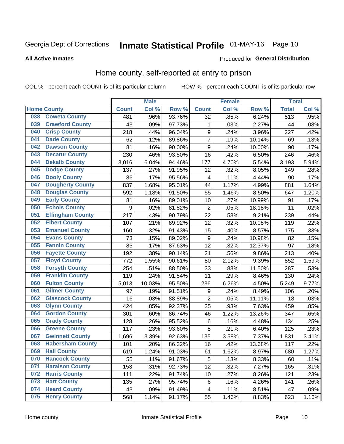# Inmate Statistical Profile 01-MAY-16 Page 10

### **All Active Inmates**

#### Produced for General Distribution

### Home county, self-reported at entry to prison

COL % - percent each COUNT is of its particular column

|     |                         |              | <b>Male</b> |        |                  | <b>Female</b> |        | <b>Total</b>     |       |
|-----|-------------------------|--------------|-------------|--------|------------------|---------------|--------|------------------|-------|
|     | <b>Home County</b>      | <b>Count</b> | Col %       | Row %  | <b>Count</b>     | Col %         | Row %  | <b>Total</b>     | Col % |
| 038 | <b>Coweta County</b>    | 481          | .96%        | 93.76% | $\overline{32}$  | .85%          | 6.24%  | $\overline{513}$ | .95%  |
| 039 | <b>Crawford County</b>  | 43           | .09%        | 97.73% | 1                | .03%          | 2.27%  | 44               | .08%  |
| 040 | <b>Crisp County</b>     | 218          | .44%        | 96.04% | $\boldsymbol{9}$ | .24%          | 3.96%  | 227              | .42%  |
| 041 | <b>Dade County</b>      | 62           | .12%        | 89.86% | $\overline{7}$   | .19%          | 10.14% | 69               | .13%  |
| 042 | <b>Dawson County</b>    | 81           | .16%        | 90.00% | $\boldsymbol{9}$ | .24%          | 10.00% | 90               | .17%  |
| 043 | <b>Decatur County</b>   | 230          | .46%        | 93.50% | 16               | .42%          | 6.50%  | 246              | .46%  |
| 044 | <b>Dekalb County</b>    | 3,016        | 6.04%       | 94.46% | 177              | 4.70%         | 5.54%  | 3,193            | 5.94% |
| 045 | <b>Dodge County</b>     | 137          | .27%        | 91.95% | 12               | .32%          | 8.05%  | 149              | .28%  |
| 046 | <b>Dooly County</b>     | 86           | .17%        | 95.56% | 4                | .11%          | 4.44%  | 90               | .17%  |
| 047 | <b>Dougherty County</b> | 837          | 1.68%       | 95.01% | 44               | 1.17%         | 4.99%  | 881              | 1.64% |
| 048 | <b>Douglas County</b>   | 592          | 1.18%       | 91.50% | 55               | 1.46%         | 8.50%  | 647              | 1.20% |
| 049 | <b>Early County</b>     | 81           | .16%        | 89.01% | 10               | .27%          | 10.99% | 91               | .17%  |
| 050 | <b>Echols County</b>    | 9            | .02%        | 81.82% | $\overline{2}$   | .05%          | 18.18% | 11               | .02%  |
| 051 | <b>Effingham County</b> | 217          | .43%        | 90.79% | 22               | .58%          | 9.21%  | 239              | .44%  |
| 052 | <b>Elbert County</b>    | 107          | .21%        | 89.92% | 12               | .32%          | 10.08% | 119              | .22%  |
| 053 | <b>Emanuel County</b>   | 160          | .32%        | 91.43% | 15               | .40%          | 8.57%  | 175              | .33%  |
| 054 | <b>Evans County</b>     | 73           | .15%        | 89.02% | $\boldsymbol{9}$ | .24%          | 10.98% | 82               | .15%  |
| 055 | <b>Fannin County</b>    | 85           | .17%        | 87.63% | 12               | .32%          | 12.37% | 97               | .18%  |
| 056 | <b>Fayette County</b>   | 192          | .38%        | 90.14% | 21               | .56%          | 9.86%  | 213              | .40%  |
| 057 | <b>Floyd County</b>     | 772          | 1.55%       | 90.61% | 80               | 2.12%         | 9.39%  | 852              | 1.59% |
| 058 | <b>Forsyth County</b>   | 254          | .51%        | 88.50% | 33               | .88%          | 11.50% | 287              | .53%  |
| 059 | <b>Franklin County</b>  | 119          | .24%        | 91.54% | 11               | .29%          | 8.46%  | 130              | .24%  |
| 060 | <b>Fulton County</b>    | 5,013        | 10.03%      | 95.50% | 236              | 6.26%         | 4.50%  | 5,249            | 9.77% |
| 061 | <b>Gilmer County</b>    | 97           | .19%        | 91.51% | 9                | .24%          | 8.49%  | 106              | .20%  |
| 062 | <b>Glascock County</b>  | 16           | .03%        | 88.89% | $\overline{2}$   | .05%          | 11.11% | 18               | .03%  |
| 063 | <b>Glynn County</b>     | 424          | .85%        | 92.37% | 35               | .93%          | 7.63%  | 459              | .85%  |
| 064 | <b>Gordon County</b>    | 301          | .60%        | 86.74% | 46               | 1.22%         | 13.26% | 347              | .65%  |
| 065 | <b>Grady County</b>     | 128          | .26%        | 95.52% | $\,6$            | .16%          | 4.48%  | 134              | .25%  |
| 066 | <b>Greene County</b>    | 117          | .23%        | 93.60% | 8                | .21%          | 6.40%  | 125              | .23%  |
| 067 | <b>Gwinnett County</b>  | 1,696        | 3.39%       | 92.63% | 135              | 3.58%         | 7.37%  | 1,831            | 3.41% |
| 068 | <b>Habersham County</b> | 101          | .20%        | 86.32% | 16               | .42%          | 13.68% | 117              | .22%  |
| 069 | <b>Hall County</b>      | 619          | 1.24%       | 91.03% | 61               | 1.62%         | 8.97%  | 680              | 1.27% |
| 070 | <b>Hancock County</b>   | 55           | .11%        | 91.67% | 5                | .13%          | 8.33%  | 60               | .11%  |
| 071 | <b>Haralson County</b>  | 153          | .31%        | 92.73% | 12               | .32%          | 7.27%  | 165              | .31%  |
| 072 | <b>Harris County</b>    | 111          | .22%        | 91.74% | 10               | .27%          | 8.26%  | 121              | .23%  |
| 073 | <b>Hart County</b>      | 135          | .27%        | 95.74% | $\,6$            | .16%          | 4.26%  | 141              | .26%  |
| 074 | <b>Heard County</b>     | 43           | .09%        | 91.49% | $\overline{4}$   | .11%          | 8.51%  | 47               | .09%  |
| 075 | <b>Henry County</b>     | 568          | 1.14%       | 91.17% | 55               | 1.46%         | 8.83%  | 623              | 1.16% |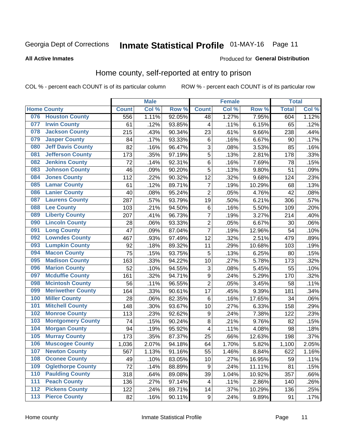# Inmate Statistical Profile 01-MAY-16 Page 11

### **All Active Inmates**

### Produced for General Distribution

### Home county, self-reported at entry to prison

COL % - percent each COUNT is of its particular column

|                  |                          |              | <b>Male</b> |                  |                         | <b>Female</b> |        | <b>Total</b> |       |
|------------------|--------------------------|--------------|-------------|------------------|-------------------------|---------------|--------|--------------|-------|
|                  | <b>Home County</b>       | <b>Count</b> | Col %       | Row <sup>%</sup> | <b>Count</b>            | Col %         | Row %  | <b>Total</b> | Col % |
| 076              | <b>Houston County</b>    | 556          | 1.11%       | 92.05%           | 48                      | 1.27%         | 7.95%  | 604          | 1.12% |
| 077              | <b>Irwin County</b>      | 61           | .12%        | 93.85%           | 4                       | .11%          | 6.15%  | 65           | .12%  |
| 078              | <b>Jackson County</b>    | 215          | .43%        | 90.34%           | 23                      | .61%          | 9.66%  | 238          | .44%  |
| 079              | <b>Jasper County</b>     | 84           | .17%        | 93.33%           | 6                       | .16%          | 6.67%  | 90           | .17%  |
| 080              | <b>Jeff Davis County</b> | 82           | .16%        | 96.47%           | 3                       | .08%          | 3.53%  | 85           | .16%  |
| 081              | <b>Jefferson County</b>  | 173          | .35%        | 97.19%           | 5                       | .13%          | 2.81%  | 178          | .33%  |
| 082              | <b>Jenkins County</b>    | 72           | .14%        | 92.31%           | 6                       | .16%          | 7.69%  | 78           | .15%  |
| 083              | <b>Johnson County</b>    | 46           | .09%        | 90.20%           | 5                       | .13%          | 9.80%  | 51           | .09%  |
| 084              | <b>Jones County</b>      | 112          | .22%        | 90.32%           | 12                      | .32%          | 9.68%  | 124          | .23%  |
| 085              | <b>Lamar County</b>      | 61           | .12%        | 89.71%           | $\overline{7}$          | .19%          | 10.29% | 68           | .13%  |
| 086              | <b>Lanier County</b>     | 40           | .08%        | 95.24%           | $\overline{2}$          | .05%          | 4.76%  | 42           | .08%  |
| 087              | <b>Laurens County</b>    | 287          | .57%        | 93.79%           | 19                      | .50%          | 6.21%  | 306          | .57%  |
| 088              | <b>Lee County</b>        | 103          | .21%        | 94.50%           | 6                       | .16%          | 5.50%  | 109          | .20%  |
| 089              | <b>Liberty County</b>    | 207          | .41%        | 96.73%           | 7                       | .19%          | 3.27%  | 214          | .40%  |
| 090              | <b>Lincoln County</b>    | 28           | .06%        | 93.33%           | $\overline{2}$          | .05%          | 6.67%  | 30           | .06%  |
| 091              | <b>Long County</b>       | 47           | .09%        | 87.04%           | $\overline{7}$          | .19%          | 12.96% | 54           | .10%  |
| 092              | <b>Lowndes County</b>    | 467          | .93%        | 97.49%           | 12                      | .32%          | 2.51%  | 479          | .89%  |
| 093              | <b>Lumpkin County</b>    | 92           | .18%        | 89.32%           | 11                      | .29%          | 10.68% | 103          | .19%  |
| 094              | <b>Macon County</b>      | 75           | .15%        | 93.75%           | 5                       | .13%          | 6.25%  | 80           | .15%  |
| 095              | <b>Madison County</b>    | 163          | .33%        | 94.22%           | 10                      | .27%          | 5.78%  | 173          | .32%  |
| 096              | <b>Marion County</b>     | 52           | .10%        | 94.55%           | 3                       | .08%          | 5.45%  | 55           | .10%  |
| 097              | <b>Mcduffie County</b>   | 161          | .32%        | 94.71%           | $\boldsymbol{9}$        | .24%          | 5.29%  | 170          | .32%  |
| 098              | <b>Mcintosh County</b>   | 56           | .11%        | 96.55%           | $\overline{2}$          | .05%          | 3.45%  | 58           | .11%  |
| 099              | <b>Meriwether County</b> | 164          | .33%        | 90.61%           | 17                      | .45%          | 9.39%  | 181          | .34%  |
| 100              | <b>Miller County</b>     | 28           | .06%        | 82.35%           | 6                       | .16%          | 17.65% | 34           | .06%  |
| 101              | <b>Mitchell County</b>   | 148          | .30%        | 93.67%           | 10                      | .27%          | 6.33%  | 158          | .29%  |
| 102              | <b>Monroe County</b>     | 113          | .23%        | 92.62%           | $\boldsymbol{9}$        | .24%          | 7.38%  | 122          | .23%  |
| 103              | <b>Montgomery County</b> | 74           | .15%        | 90.24%           | 8                       | .21%          | 9.76%  | 82           | .15%  |
| 104              | <b>Morgan County</b>     | 94           | .19%        | 95.92%           | $\overline{\mathbf{4}}$ | .11%          | 4.08%  | 98           | .18%  |
| 105              | <b>Murray County</b>     | 173          | .35%        | 87.37%           | 25                      | .66%          | 12.63% | 198          | .37%  |
| 106              | <b>Muscogee County</b>   | 1,036        | 2.07%       | 94.18%           | 64                      | 1.70%         | 5.82%  | 1,100        | 2.05% |
| 107              | <b>Newton County</b>     | 567          | 1.13%       | 91.16%           | 55                      | 1.46%         | 8.84%  | 622          | 1.16% |
| 108              | <b>Oconee County</b>     | 49           | .10%        | 83.05%           | 10                      | .27%          | 16.95% | 59           | .11%  |
| 109              | <b>Oglethorpe County</b> | 72           | .14%        | 88.89%           | $\boldsymbol{9}$        | .24%          | 11.11% | 81           | .15%  |
| 110              | <b>Paulding County</b>   | 318          | .64%        | 89.08%           | 39                      | 1.04%         | 10.92% | 357          | .66%  |
| 111              | <b>Peach County</b>      | 136          | .27%        | 97.14%           | 4                       | .11%          | 2.86%  | 140          | .26%  |
| $\overline{112}$ | <b>Pickens County</b>    | 122          | .24%        | 89.71%           | 14                      | .37%          | 10.29% | 136          | .25%  |
| 113              | <b>Pierce County</b>     | 82           | .16%        | 90.11%           | $\boldsymbol{9}$        | .24%          | 9.89%  | 91           | .17%  |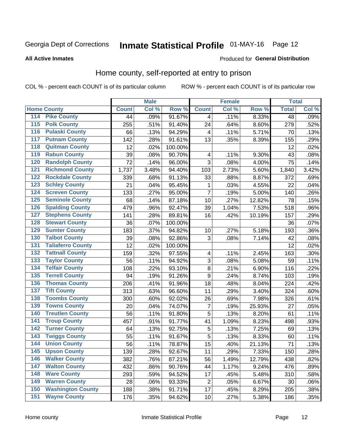# Inmate Statistical Profile 01-MAY-16 Page 12

### **All Active Inmates**

#### Produced for General Distribution

### Home county, self-reported at entry to prison

COL % - percent each COUNT is of its particular column

|                  |                          |              | <b>Male</b> |                  |                         | <b>Female</b> |        | <b>Total</b>    |       |
|------------------|--------------------------|--------------|-------------|------------------|-------------------------|---------------|--------|-----------------|-------|
|                  | <b>Home County</b>       | <b>Count</b> | Col %       | Row <sup>%</sup> | <b>Count</b>            | Col %         | Row %  | <b>Total</b>    | Col % |
| 114              | <b>Pike County</b>       | 44           | .09%        | 91.67%           | 4                       | .11%          | 8.33%  | $\overline{48}$ | .09%  |
| 115              | <b>Polk County</b>       | 255          | .51%        | 91.40%           | 24                      | .64%          | 8.60%  | 279             | .52%  |
| 116              | <b>Pulaski County</b>    | 66           | .13%        | 94.29%           | 4                       | .11%          | 5.71%  | 70              | .13%  |
| 117              | <b>Putnam County</b>     | 142          | .28%        | 91.61%           | 13                      | .35%          | 8.39%  | 155             | .29%  |
| 118              | <b>Quitman County</b>    | 12           | .02%        | 100.00%          |                         |               |        | 12              | .02%  |
| 119              | <b>Rabun County</b>      | 39           | .08%        | 90.70%           | 4                       | .11%          | 9.30%  | 43              | .08%  |
| 120              | <b>Randolph County</b>   | 72           | .14%        | 96.00%           | 3                       | .08%          | 4.00%  | 75              | .14%  |
| 121              | <b>Richmond County</b>   | 1,737        | 3.48%       | 94.40%           | 103                     | 2.73%         | 5.60%  | 1,840           | 3.42% |
| 122              | <b>Rockdale County</b>   | 339          | .68%        | 91.13%           | 33                      | .88%          | 8.87%  | 372             | .69%  |
| 123              | <b>Schley County</b>     | 21           | .04%        | 95.45%           | 1                       | .03%          | 4.55%  | 22              | .04%  |
| 124              | <b>Screven County</b>    | 133          | .27%        | 95.00%           | 7                       | .19%          | 5.00%  | 140             | .26%  |
| 125              | <b>Seminole County</b>   | 68           | .14%        | 87.18%           | 10                      | .27%          | 12.82% | 78              | .15%  |
| 126              | <b>Spalding County</b>   | 479          | .96%        | 92.47%           | 39                      | 1.04%         | 7.53%  | 518             | .96%  |
| 127              | <b>Stephens County</b>   | 141          | .28%        | 89.81%           | 16                      | .42%          | 10.19% | 157             | .29%  |
| 128              | <b>Stewart County</b>    | 36           | .07%        | 100.00%          |                         |               |        | 36              | .07%  |
| 129              | <b>Sumter County</b>     | 183          | .37%        | 94.82%           | 10                      | .27%          | 5.18%  | 193             | .36%  |
| 130              | <b>Talbot County</b>     | 39           | .08%        | 92.86%           | 3                       | .08%          | 7.14%  | 42              | .08%  |
| 131              | <b>Taliaferro County</b> | 12           | .02%        | 100.00%          |                         |               |        | 12              | .02%  |
| 132              | <b>Tattnall County</b>   | 159          | .32%        | 97.55%           | $\overline{\mathbf{4}}$ | .11%          | 2.45%  | 163             | .30%  |
| 133              | <b>Taylor County</b>     | 56           | .11%        | 94.92%           | 3                       | .08%          | 5.08%  | 59              | .11%  |
| 134              | <b>Telfair County</b>    | 108          | .22%        | 93.10%           | $\bf 8$                 | .21%          | 6.90%  | 116             | .22%  |
| 135              | <b>Terrell County</b>    | 94           | .19%        | 91.26%           | $\boldsymbol{9}$        | .24%          | 8.74%  | 103             | .19%  |
| 136              | <b>Thomas County</b>     | 206          | .41%        | 91.96%           | 18                      | .48%          | 8.04%  | 224             | .42%  |
| 137              | <b>Tift County</b>       | 313          | .63%        | 96.60%           | 11                      | .29%          | 3.40%  | 324             | .60%  |
| 138              | <b>Toombs County</b>     | 300          | .60%        | 92.02%           | 26                      | .69%          | 7.98%  | 326             | .61%  |
| 139              | <b>Towns County</b>      | 20           | .04%        | 74.07%           | 7                       | .19%          | 25.93% | 27              | .05%  |
| 140              | <b>Treutlen County</b>   | 56           | .11%        | 91.80%           | 5                       | .13%          | 8.20%  | 61              | .11%  |
| 141              | <b>Troup County</b>      | 457          | .91%        | 91.77%           | 41                      | 1.09%         | 8.23%  | 498             | .93%  |
| $\overline{142}$ | <b>Turner County</b>     | 64           | .13%        | 92.75%           | 5                       | .13%          | 7.25%  | 69              | .13%  |
| 143              | <b>Twiggs County</b>     | 55           | .11%        | 91.67%           | 5                       | .13%          | 8.33%  | 60              | .11%  |
| 144              | <b>Union County</b>      | 56           | .11%        | 78.87%           | 15                      | .40%          | 21.13% | 71              | .13%  |
| 145              | <b>Upson County</b>      | 139          | .28%        | 92.67%           | 11                      | .29%          | 7.33%  | 150             | .28%  |
| 146              | <b>Walker County</b>     | 382          | .76%        | 87.21%           | 56                      | 1.49%         | 12.79% | 438             | .82%  |
| 147              | <b>Walton County</b>     | 432          | .86%        | 90.76%           | 44                      | 1.17%         | 9.24%  | 476             | .89%  |
| 148              | <b>Ware County</b>       | 293          | .59%        | 94.52%           | 17                      | .45%          | 5.48%  | 310             | .58%  |
| 149              | <b>Warren County</b>     | 28           | .06%        | 93.33%           | $\overline{2}$          | .05%          | 6.67%  | 30              | .06%  |
| 150              | <b>Washington County</b> | 188          | .38%        | 91.71%           | 17                      | .45%          | 8.29%  | 205             | .38%  |
| 151              | <b>Wayne County</b>      | 176          | .35%        | 94.62%           | 10                      | .27%          | 5.38%  | 186             | .35%  |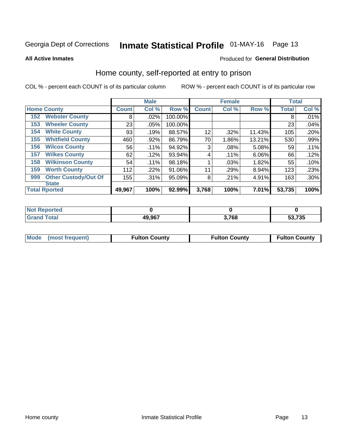# Inmate Statistical Profile 01-MAY-16 Page 13

**All Active Inmates** 

### Produced for General Distribution

### Home county, self-reported at entry to prison

COL % - percent each COUNT is of its particular column

|     |                             |              | <b>Male</b> |         |              | <b>Female</b> |          | <b>Total</b> |         |
|-----|-----------------------------|--------------|-------------|---------|--------------|---------------|----------|--------------|---------|
|     | <b>Home County</b>          | <b>Count</b> | Col %       | Row %   | <b>Count</b> | Col %         | Row %    | <b>Total</b> | Col %   |
| 152 | <b>Webster County</b>       | 8            | .02%        | 100.00% |              |               |          | 8            | .01%    |
| 153 | <b>Wheeler County</b>       | 23           | .05%        | 100.00% |              |               |          | 23           | .04%    |
| 154 | <b>White County</b>         | 93           | .19%        | 88.57%  | 12           | .32%          | 11.43%   | 105          | .20%    |
| 155 | <b>Whitfield County</b>     | 460          | .92%        | 86.79%  | 70           | 1.86%         | 13.21%   | 530          | .99%    |
| 156 | <b>Wilcox County</b>        | 56           | .11%        | 94.92%  | 3            | .08%          | 5.08%    | 59           | .11%    |
| 157 | <b>Wilkes County</b>        | 62           | .12%        | 93.94%  | 4            | .11%          | $6.06\%$ | 66           | .12%    |
| 158 | <b>Wilkinson County</b>     | 54           | $.11\%$     | 98.18%  |              | .03%          | 1.82%    | 55           | .10%    |
| 159 | <b>Worth County</b>         | 112          | .22%        | 91.06%  | 11           | .29%          | 8.94%    | 123          | .23%    |
| 999 | <b>Other Custody/Out Of</b> | 155          | .31%        | 95.09%  | 8            | .21%          | 4.91%    | 163          | $.30\%$ |
|     | <b>State</b>                |              |             |         |              |               |          |              |         |
|     | <b>Total Rported</b>        | 49,967       | 100%        | 92.99%  | 3,768        | 100%          | 7.01%    | 53,735       | 100%    |

| Reported<br>NOT |        |       |        |
|-----------------|--------|-------|--------|
| <b>c</b> otal   | 49,967 | 3,768 | 53,735 |

|  | Mode (most frequent) | <b>Fulton County</b> | <b>Fulton County</b> | <b>Fulton County</b> |
|--|----------------------|----------------------|----------------------|----------------------|
|--|----------------------|----------------------|----------------------|----------------------|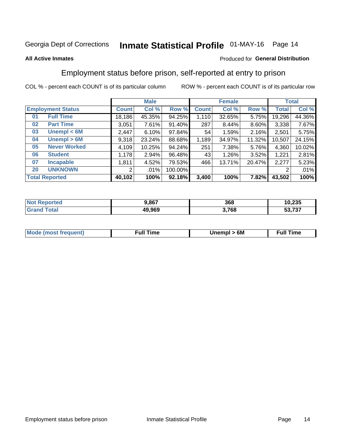# Inmate Statistical Profile 01-MAY-16 Page 14

### **All Active Inmates**

### Produced for General Distribution

### Employment status before prison, self-reported at entry to prison

COL % - percent each COUNT is of its particular column

|                           | <b>Male</b>  |        |         | <b>Female</b> |        |        | <b>Total</b> |        |
|---------------------------|--------------|--------|---------|---------------|--------|--------|--------------|--------|
| <b>Employment Status</b>  | <b>Count</b> | Col %  | Row %   | <b>Count</b>  | Col %  | Row %  | Total        | Col %  |
| <b>Full Time</b><br>01    | 18,186       | 45.35% | 94.25%  | 1,110         | 32.65% | 5.75%  | 19,296       | 44.36% |
| <b>Part Time</b><br>02    | 3,051        | 7.61%  | 91.40%  | 287           | 8.44%  | 8.60%  | 3,338        | 7.67%  |
| Unempl $<$ 6M<br>03       | 2,447        | 6.10%  | 97.84%  | 54            | 1.59%  | 2.16%  | 2,501        | 5.75%  |
| Unempl > 6M<br>04         | 9,318        | 23.24% | 88.68%  | 1,189         | 34.97% | 11.32% | 10,507       | 24.15% |
| <b>Never Worked</b><br>05 | 4,109        | 10.25% | 94.24%  | 251           | 7.38%  | 5.76%  | 4,360        | 10.02% |
| <b>Student</b><br>06      | 1,178        | 2.94%  | 96.48%  | 43            | 1.26%  | 3.52%  | 1,221        | 2.81%  |
| <b>Incapable</b><br>07    | 1,811        | 4.52%  | 79.53%  | 466           | 13.71% | 20.47% | 2,277        | 5.23%  |
| <b>UNKNOWN</b><br>20      | 2            | .01%   | 100.00% |               |        |        | 2            | .01%   |
| <b>Total Reported</b>     | 40,102       | 100%   | 92.18%  | 3,400         | 100%   | 7.82%  | 43,502       | 100%   |

| <b>Not Reported</b> | 9,867  | 368   | 10,235 |
|---------------------|--------|-------|--------|
| <b>Grand Total</b>  | 49,969 | 3,768 | 53,737 |

| <b>Mode (most frequent)</b> | Unempl > 6M | <b>Full Time</b> |
|-----------------------------|-------------|------------------|
|                             |             |                  |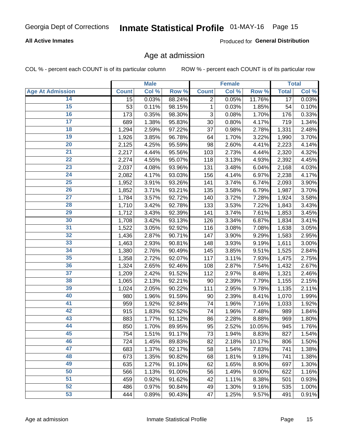# Inmate Statistical Profile 01-MAY-16 Page 15

### **All Active Inmates**

Produced for General Distribution

### Age at admission

COL % - percent each COUNT is of its particular column

|                         |              | <b>Male</b> |        |                | <b>Female</b> |        |                 | <b>Total</b> |
|-------------------------|--------------|-------------|--------|----------------|---------------|--------|-----------------|--------------|
| <b>Age At Admission</b> | <b>Count</b> | Col %       | Row %  | <b>Count</b>   | Col %         | Row %  | <b>Total</b>    | Col %        |
| 14                      | 15           | 0.03%       | 88.24% | $\overline{2}$ | 0.05%         | 11.76% | $\overline{17}$ | 0.03%        |
| 15                      | 53           | 0.11%       | 98.15% | 1              | 0.03%         | 1.85%  | 54              | 0.10%        |
| 16                      | 173          | 0.35%       | 98.30% | 3              | 0.08%         | 1.70%  | 176             | 0.33%        |
| $\overline{17}$         | 689          | 1.38%       | 95.83% | 30             | 0.80%         | 4.17%  | 719             | 1.34%        |
| $\overline{18}$         | 1,294        | 2.59%       | 97.22% | 37             | 0.98%         | 2.78%  | 1,331           | 2.48%        |
| 19                      | 1,926        | 3.85%       | 96.78% | 64             | 1.70%         | 3.22%  | 1,990           | 3.70%        |
| 20                      | 2,125        | 4.25%       | 95.59% | 98             | 2.60%         | 4.41%  | 2,223           | 4.14%        |
| $\overline{21}$         | 2,217        | 4.44%       | 95.56% | 103            | 2.73%         | 4.44%  | 2,320           | 4.32%        |
| $\overline{22}$         | 2,274        | 4.55%       | 95.07% | 118            | 3.13%         | 4.93%  | 2,392           | 4.45%        |
| 23                      | 2,037        | 4.08%       | 93.96% | 131            | 3.48%         | 6.04%  | 2,168           | 4.03%        |
| 24                      | 2,082        | 4.17%       | 93.03% | 156            | 4.14%         | 6.97%  | 2,238           | 4.17%        |
| $\overline{25}$         | 1,952        | 3.91%       | 93.26% | 141            | 3.74%         | 6.74%  | 2,093           | 3.90%        |
| $\overline{26}$         | 1,852        | 3.71%       | 93.21% | 135            | 3.58%         | 6.79%  | 1,987           | 3.70%        |
| $\overline{27}$         | 1,784        | 3.57%       | 92.72% | 140            | 3.72%         | 7.28%  | 1,924           | 3.58%        |
| 28                      | 1,710        | 3.42%       | 92.78% | 133            | 3.53%         | 7.22%  | 1,843           | 3.43%        |
| 29                      | 1,712        | 3.43%       | 92.39% | 141            | 3.74%         | 7.61%  | 1,853           | 3.45%        |
| 30                      | 1,708        | 3.42%       | 93.13% | 126            | 3.34%         | 6.87%  | 1,834           | 3.41%        |
| 31                      | 1,522        | 3.05%       | 92.92% | 116            | 3.08%         | 7.08%  | 1,638           | 3.05%        |
| 32                      | 1,436        | 2.87%       | 90.71% | 147            | 3.90%         | 9.29%  | 1,583           | 2.95%        |
| 33                      | 1,463        | 2.93%       | 90.81% | 148            | 3.93%         | 9.19%  | 1,611           | 3.00%        |
| 34                      | 1,380        | 2.76%       | 90.49% | 145            | 3.85%         | 9.51%  | 1,525           | 2.84%        |
| 35                      | 1,358        | 2.72%       | 92.07% | 117            | 3.11%         | 7.93%  | 1,475           | 2.75%        |
| 36                      | 1,324        | 2.65%       | 92.46% | 108            | 2.87%         | 7.54%  | 1,432           | 2.67%        |
| $\overline{37}$         | 1,209        | 2.42%       | 91.52% | 112            | 2.97%         | 8.48%  | 1,321           | 2.46%        |
| 38                      | 1,065        | 2.13%       | 92.21% | 90             | 2.39%         | 7.79%  | 1,155           | 2.15%        |
| 39                      | 1,024        | 2.05%       | 90.22% | 111            | 2.95%         | 9.78%  | 1,135           | 2.11%        |
| 40                      | 980          | 1.96%       | 91.59% | 90             | 2.39%         | 8.41%  | 1,070           | 1.99%        |
| 41                      | 959          | 1.92%       | 92.84% | 74             | 1.96%         | 7.16%  | 1,033           | 1.92%        |
| 42                      | 915          | 1.83%       | 92.52% | 74             | 1.96%         | 7.48%  | 989             | 1.84%        |
| 43                      | 883          | 1.77%       | 91.12% | 86             | 2.28%         | 8.88%  | 969             | 1.80%        |
| 44                      | 850          | 1.70%       | 89.95% | 95             | 2.52%         | 10.05% | 945             | 1.76%        |
| 45                      | 754          | 1.51%       | 91.17% | 73             | 1.94%         | 8.83%  | 827             | 1.54%        |
| 46                      | 724          | 1.45%       | 89.83% | 82             | 2.18%         | 10.17% | 806             | 1.50%        |
| 47                      | 683          | 1.37%       | 92.17% | 58             | 1.54%         | 7.83%  | 741             | 1.38%        |
| 48                      | 673          | 1.35%       | 90.82% | 68             | 1.81%         | 9.18%  | 741             | 1.38%        |
| 49                      | 635          | 1.27%       | 91.10% | 62             | 1.65%         | 8.90%  | 697             | 1.30%        |
| 50                      | 566          | 1.13%       | 91.00% | 56             | 1.49%         | 9.00%  | 622             | 1.16%        |
| 51                      | 459          | 0.92%       | 91.62% | 42             | 1.11%         | 8.38%  | 501             | 0.93%        |
| 52                      | 486          | 0.97%       | 90.84% | 49             | 1.30%         | 9.16%  | 535             | 1.00%        |
| 53                      | 444          | 0.89%       | 90.43% | 47             | 1.25%         | 9.57%  | 491             | 0.91%        |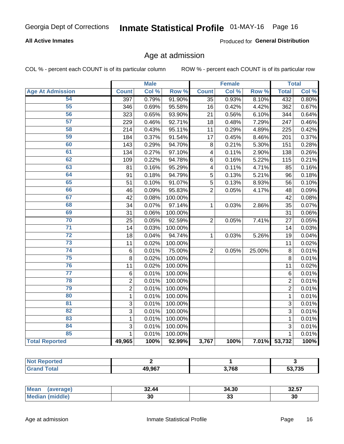# Inmate Statistical Profile 01-MAY-16 Page 16

### **All Active Inmates**

Produced for General Distribution

### Age at admission

COL % - percent each COUNT is of its particular column

|                         |                | <b>Male</b> |         |                         | <b>Female</b> |        |                | <b>Total</b> |
|-------------------------|----------------|-------------|---------|-------------------------|---------------|--------|----------------|--------------|
| <b>Age At Admission</b> | <b>Count</b>   | Col %       | Row %   | <b>Count</b>            | Col %         | Row %  | <b>Total</b>   | Col %        |
| 54                      | 397            | 0.79%       | 91.90%  | $\overline{35}$         | 0.93%         | 8.10%  | 432            | 0.80%        |
| 55                      | 346            | 0.69%       | 95.58%  | 16                      | 0.42%         | 4.42%  | 362            | 0.67%        |
| 56                      | 323            | 0.65%       | 93.90%  | 21                      | 0.56%         | 6.10%  | 344            | 0.64%        |
| 57                      | 229            | 0.46%       | 92.71%  | 18                      | 0.48%         | 7.29%  | 247            | 0.46%        |
| 58                      | 214            | 0.43%       | 95.11%  | 11                      | 0.29%         | 4.89%  | 225            | 0.42%        |
| 59                      | 184            | 0.37%       | 91.54%  | 17                      | 0.45%         | 8.46%  | 201            | 0.37%        |
| 60                      | 143            | 0.29%       | 94.70%  | 8                       | 0.21%         | 5.30%  | 151            | 0.28%        |
| 61                      | 134            | 0.27%       | 97.10%  | $\overline{\mathbf{4}}$ | 0.11%         | 2.90%  | 138            | 0.26%        |
| 62                      | 109            | 0.22%       | 94.78%  | 6                       | 0.16%         | 5.22%  | 115            | 0.21%        |
| 63                      | 81             | 0.16%       | 95.29%  | $\overline{\mathbf{4}}$ | 0.11%         | 4.71%  | 85             | 0.16%        |
| 64                      | 91             | 0.18%       | 94.79%  | 5                       | 0.13%         | 5.21%  | 96             | 0.18%        |
| 65                      | 51             | 0.10%       | 91.07%  | $\overline{5}$          | 0.13%         | 8.93%  | 56             | 0.10%        |
| 66                      | 46             | 0.09%       | 95.83%  | $\overline{2}$          | 0.05%         | 4.17%  | 48             | 0.09%        |
| 67                      | 42             | 0.08%       | 100.00% |                         |               |        | 42             | 0.08%        |
| 68                      | 34             | 0.07%       | 97.14%  | 1                       | 0.03%         | 2.86%  | 35             | 0.07%        |
| 69                      | 31             | 0.06%       | 100.00% |                         |               |        | 31             | 0.06%        |
| 70                      | 25             | 0.05%       | 92.59%  | $\overline{2}$          | 0.05%         | 7.41%  | 27             | 0.05%        |
| $\overline{71}$         | 14             | 0.03%       | 100.00% |                         |               |        | 14             | 0.03%        |
| $\overline{72}$         | 18             | 0.04%       | 94.74%  | 1                       | 0.03%         | 5.26%  | 19             | 0.04%        |
| $\overline{73}$         | 11             | 0.02%       | 100.00% |                         |               |        | 11             | 0.02%        |
| $\overline{74}$         | $\,6$          | 0.01%       | 75.00%  | $\overline{2}$          | 0.05%         | 25.00% | 8              | 0.01%        |
| 75                      | 8              | 0.02%       | 100.00% |                         |               |        | 8              | 0.01%        |
| 76                      | 11             | 0.02%       | 100.00% |                         |               |        | 11             | 0.02%        |
| $\overline{77}$         | $\,6$          | 0.01%       | 100.00% |                         |               |        | 6              | 0.01%        |
| 78                      | $\overline{2}$ | 0.01%       | 100.00% |                         |               |        | $\overline{2}$ | 0.01%        |
| 79                      | $\overline{2}$ | 0.01%       | 100.00% |                         |               |        | $\overline{2}$ | 0.01%        |
| 80                      | $\mathbf{1}$   | 0.01%       | 100.00% |                         |               |        | $\mathbf{1}$   | 0.01%        |
| 81                      | $\overline{3}$ | 0.01%       | 100.00% |                         |               |        | $\overline{3}$ | 0.01%        |
| $\overline{82}$         | $\overline{3}$ | 0.01%       | 100.00% |                         |               |        | $\overline{3}$ | 0.01%        |
| 83                      | 1              | 0.01%       | 100.00% |                         |               |        | 1              | 0.01%        |
| 84                      | 3              | 0.01%       | 100.00% |                         |               |        | 3              | 0.01%        |
| 85                      | $\mathbf{1}$   | 0.01%       | 100.00% |                         |               |        | $\mathbf{1}$   | 0.01%        |
| <b>Total Reported</b>   | 49,965         | 100%        | 92.99%  | 3,767                   | 100%          | 7.01%  | 53,732         | 100%         |

| rtea        |        |       |                   |
|-------------|--------|-------|-------------------|
| $f$ oto $'$ | 49.967 | 3,768 | 70F<br>7 9 9<br>. |

| <b>Mean</b> | -- - - | 34.30 | 88 F.T        |
|-------------|--------|-------|---------------|
| ⊸verauer –  | 32.44  |       | 32.J <i>I</i> |
| Me          | 30     | ◡     | 30            |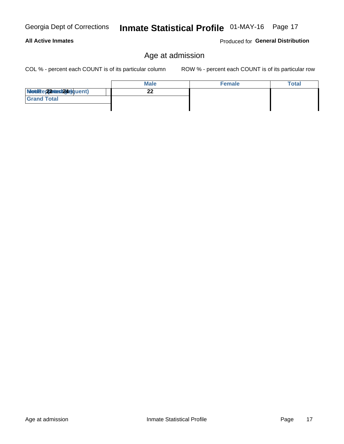**All Active Inmates** 

Modiae 22 viest24e)quent)

**Grand Total** 

COL % - percent each COUNT is of its particular column

ROW % - percent each COUNT is of its particular row

**Female** 

Produced for General Distribution

**Total** 

| Georgia Dept of Corrections  Inmate Statistical Profile 01-MAY-16  Page 17 |  |  |
|----------------------------------------------------------------------------|--|--|
|                                                                            |  |  |

Age at admission

**Male** 

 $\overline{22}$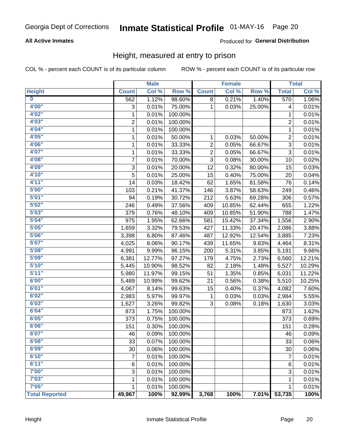# Inmate Statistical Profile 01-MAY-16 Page 20

### **All Active Inmates**

### Produced for General Distribution

### Height, measured at entry to prison

COL % - percent each COUNT is of its particular column

|                         |                | <b>Male</b> |         |                         | <b>Female</b> |        |                | <b>Total</b> |
|-------------------------|----------------|-------------|---------|-------------------------|---------------|--------|----------------|--------------|
| <b>Height</b>           | <b>Count</b>   | Col %       | Row %   | <b>Count</b>            | Col %         | Row %  | <b>Total</b>   | Col %        |
| $\overline{\mathbf{0}}$ | 562            | 1.12%       | 98.60%  | 8                       | 0.21%         | 1.40%  | 570            | 1.06%        |
| 4'00"                   | 3              | 0.01%       | 75.00%  | 1                       | 0.03%         | 25.00% | 4              | 0.01%        |
| 4'02"                   | $\mathbf{1}$   | 0.01%       | 100.00% |                         |               |        | 1              | 0.01%        |
| 4'03''                  | $\overline{c}$ | 0.01%       | 100.00% |                         |               |        | $\overline{c}$ | 0.01%        |
| 4'04"                   | 1              | 0.01%       | 100.00% |                         |               |        | $\mathbf{1}$   | 0.01%        |
| 4'05"                   | 1              | 0.01%       | 50.00%  | 1                       | 0.03%         | 50.00% | $\overline{c}$ | 0.01%        |
| 4'06"                   | 1              | 0.01%       | 33.33%  | $\overline{\mathbf{c}}$ | 0.05%         | 66.67% | 3              | 0.01%        |
| 4'07"                   | 1              | 0.01%       | 33.33%  | $\overline{c}$          | 0.05%         | 66.67% | 3              | 0.01%        |
| 4'08"                   | 7              | 0.01%       | 70.00%  | 3                       | 0.08%         | 30.00% | 10             | 0.02%        |
| 4'09"                   | 3              | 0.01%       | 20.00%  | 12                      | 0.32%         | 80.00% | 15             | 0.03%        |
| 4'10"                   | 5              | 0.01%       | 25.00%  | 15                      | 0.40%         | 75.00% | 20             | 0.04%        |
| 4'11''                  | 14             | 0.03%       | 18.42%  | 62                      | 1.65%         | 81.58% | 76             | 0.14%        |
| 5'00''                  | 103            | 0.21%       | 41.37%  | 146                     | 3.87%         | 58.63% | 249            | 0.46%        |
| 5'01"                   | 94             | 0.19%       | 30.72%  | 212                     | 5.63%         | 69.28% | 306            | 0.57%        |
| 5'02"                   | 246            | 0.49%       | 37.56%  | 409                     | 10.85%        | 62.44% | 655            | 1.22%        |
| 5'03''                  | 379            | 0.76%       | 48.10%  | 409                     | 10.85%        | 51.90% | 788            | 1.47%        |
| 5'04"                   | 975            | 1.95%       | 62.66%  | 581                     | 15.42%        | 37.34% | 1,556          | 2.90%        |
| 5'05"                   | 1,659          | 3.32%       | 79.53%  | 427                     | 11.33%        | 20.47% | 2,086          | 3.88%        |
| 5'06''                  | 3,398          | 6.80%       | 87.46%  | 487                     | 12.92%        | 12.54% | 3,885          | 7.23%        |
| 5'07''                  | 4,025          | 8.06%       | 90.17%  | 439                     | 11.65%        | 9.83%  | 4,464          | 8.31%        |
| 5'08''                  | 4,991          | 9.99%       | 96.15%  | 200                     | 5.31%         | 3.85%  | 5,191          | 9.66%        |
| 5'09''                  | 6,381          | 12.77%      | 97.27%  | 179                     | 4.75%         | 2.73%  | 6,560          | 12.21%       |
| 5'10''                  | 5,445          | 10.90%      | 98.52%  | 82                      | 2.18%         | 1.48%  | 5,527          | 10.29%       |
| 5'11"                   | 5,980          | 11.97%      | 99.15%  | 51                      | 1.35%         | 0.85%  | 6,031          | 11.22%       |
| 6'00''                  | 5,489          | 10.99%      | 99.62%  | 21                      | 0.56%         | 0.38%  | 5,510          | 10.25%       |
| 6'01''                  | 4,067          | 8.14%       | 99.63%  | 15                      | 0.40%         | 0.37%  | 4,082          | 7.60%        |
| 6'02"                   | 2,983          | 5.97%       | 99.97%  | 1                       | 0.03%         | 0.03%  | 2,984          | 5.55%        |
| 6'03''                  | 1,627          | 3.26%       | 99.82%  | 3                       | 0.08%         | 0.18%  | 1,630          | 3.03%        |
| 6'04"                   | 873            | 1.75%       | 100.00% |                         |               |        | 873            | 1.62%        |
| 6'05"                   | 373            | 0.75%       | 100.00% |                         |               |        | 373            | 0.69%        |
| 6'06"                   | 151            | 0.30%       | 100.00% |                         |               |        | 151            | 0.28%        |
| 6'07"                   | 46             | 0.09%       | 100.00% |                         |               |        | 46             | 0.09%        |
| 6'08''                  | 33             | 0.07%       | 100.00% |                         |               |        | 33             | 0.06%        |
| 6'09''                  | 30             | 0.06%       | 100.00% |                         |               |        | 30             | 0.06%        |
| 6'10''                  | 7              | 0.01%       | 100.00% |                         |               |        | $\overline{7}$ | 0.01%        |
| 6'11''                  | 6              | 0.01%       | 100.00% |                         |               |        | 6              | 0.01%        |
| 7'00"                   | 3              | 0.01%       | 100.00% |                         |               |        | 3              | 0.01%        |
| 7'03''                  | 1              | 0.01%       | 100.00% |                         |               |        | 1              | 0.01%        |
| 7'05''                  | 1              | 0.01%       | 100.00% |                         |               |        | 1              | 0.01%        |
| <b>Total Reported</b>   | 49,967         | 100%        | 92.99%  | 3,768                   | 100%          | 7.01%  | 53,735         | 100%         |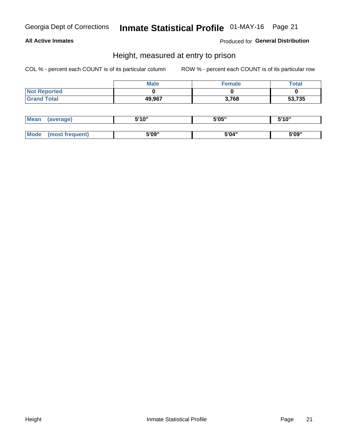# Inmate Statistical Profile 01-MAY-16 Page 21

### **All Active Inmates**

Produced for General Distribution

### Height, measured at entry to prison

COL % - percent each COUNT is of its particular column

|                     | <b>Male</b> | Female | Total  |
|---------------------|-------------|--------|--------|
| <b>Not Reported</b> |             |        |        |
| <b>Grand Total</b>  | 49,967      | 3,768  | 53,735 |

| <b>Mean</b> | erage) | 5'10" | 5'05" | <b>CIA AIL</b><br>. . |
|-------------|--------|-------|-------|-----------------------|
|             |        |       |       |                       |
| <b>Mode</b> |        | 5'09" | 5'04" | 5'09"                 |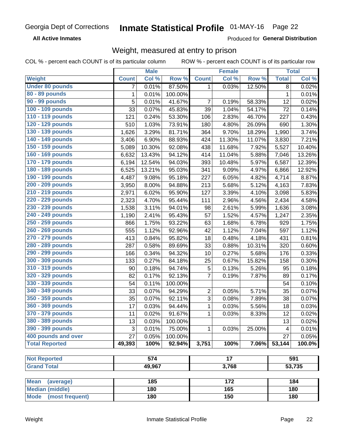#### Inmate Statistical Profile 01-MAY-16 Page 22

**All Active Inmates** 

Produced for General Distribution

### Weight, measured at entry to prison

COL % - percent each COUNT is of its particular column

|                                |              | <b>Male</b> |         |                | <b>Female</b>   |        |              | <b>Total</b> |
|--------------------------------|--------------|-------------|---------|----------------|-----------------|--------|--------------|--------------|
| Weight                         | <b>Count</b> | Col %       | Row %   | <b>Count</b>   | Col %           | Row %  | <b>Total</b> | Col %        |
| <b>Under 80 pounds</b>         | 7            | 0.01%       | 87.50%  | $\mathbf 1$    | 0.03%           | 12.50% | 8            | 0.02%        |
| 80 - 89 pounds                 | $\mathbf{1}$ | 0.01%       | 100.00% |                |                 |        | $\mathbf{1}$ | 0.01%        |
| 90 - 99 pounds                 | 5            | 0.01%       | 41.67%  | 7              | 0.19%           | 58.33% | 12           | 0.02%        |
| 100 - 109 pounds               | 33           | 0.07%       | 45.83%  | 39             | 1.04%           | 54.17% | 72           | 0.14%        |
| 110 - 119 pounds               | 121          | 0.24%       | 53.30%  | 106            | 2.83%           | 46.70% | 227          | 0.43%        |
| 120 - 129 pounds               | 510          | 1.03%       | 73.91%  | 180            | 4.80%           | 26.09% | 690          | 1.30%        |
| 130 - 139 pounds               | 1,626        | 3.29%       | 81.71%  | 364            | 9.70%           | 18.29% | 1,990        | 3.74%        |
| 140 - 149 pounds               | 3,406        | 6.90%       | 88.93%  | 424            | 11.30%          | 11.07% | 3,830        | 7.21%        |
| 150 - 159 pounds               | 5,089        | 10.30%      | 92.08%  | 438            | 11.68%          | 7.92%  | 5,527        | 10.40%       |
| 160 - 169 pounds               | 6,632        | 13.43%      | 94.12%  | 414            | 11.04%          | 5.88%  | 7,046        | 13.26%       |
| 170 - 179 pounds               | 6,194        | 12.54%      | 94.03%  | 393            | 10.48%          | 5.97%  | 6,587        | 12.39%       |
| 180 - 189 pounds               | 6,525        | 13.21%      | 95.03%  | 341            | 9.09%           | 4.97%  | 6,866        | 12.92%       |
| 190 - 199 pounds               | 4,487        | 9.08%       | 95.18%  | 227            | 6.05%           | 4.82%  | 4,714        | 8.87%        |
| 200 - 209 pounds               | 3,950        | 8.00%       | 94.88%  | 213            | 5.68%           | 5.12%  | 4,163        | 7.83%        |
| 210 - 219 pounds               | 2,971        | 6.02%       | 95.90%  | 127            | 3.39%           | 4.10%  | 3,098        | 5.83%        |
| 220 - 229 pounds               | 2,323        | 4.70%       | 95.44%  | 111            | 2.96%           | 4.56%  | 2,434        | 4.58%        |
| 230 - 239 pounds               | 1,538        | 3.11%       | 94.01%  | 98             | 2.61%           | 5.99%  | 1,636        | 3.08%        |
| 240 - 249 pounds               | 1,190        | 2.41%       | 95.43%  | 57             | 1.52%           | 4.57%  | 1,247        | 2.35%        |
| 250 - 259 pounds               | 866          | 1.75%       | 93.22%  | 63             | 1.68%           | 6.78%  | 929          | 1.75%        |
| 260 - 269 pounds               | 555          | 1.12%       | 92.96%  | 42             | 1.12%           | 7.04%  | 597          | 1.12%        |
| 270 - 279 pounds               | 413          | 0.84%       | 95.82%  | 18             | 0.48%           | 4.18%  | 431          | 0.81%        |
| 280 - 289 pounds               | 287          | 0.58%       | 89.69%  | 33             | 0.88%           | 10.31% | 320          | 0.60%        |
| 290 - 299 pounds               | 166          | 0.34%       | 94.32%  | 10             | 0.27%           | 5.68%  | 176          | 0.33%        |
| 300 - 309 pounds               | 133          | 0.27%       | 84.18%  | 25             | 0.67%           | 15.82% | 158          | 0.30%        |
| 310 - 319 pounds               | 90           | 0.18%       | 94.74%  | 5              | 0.13%           | 5.26%  | 95           | 0.18%        |
| 320 - 329 pounds               | 82           | 0.17%       | 92.13%  | $\overline{7}$ | 0.19%           | 7.87%  | 89           | 0.17%        |
| 330 - 339 pounds               | 54           | 0.11%       | 100.00% |                |                 |        | 54           | 0.10%        |
| 340 - 349 pounds               | 33           | 0.07%       | 94.29%  | $\overline{2}$ | 0.05%           | 5.71%  | 35           | 0.07%        |
| 350 - 359 pounds               | 35           | 0.07%       | 92.11%  | 3              | 0.08%           | 7.89%  | 38           | 0.07%        |
| 360 - 369 pounds               | 17           | 0.03%       | 94.44%  | 1              | 0.03%           | 5.56%  | 18           | 0.03%        |
| 370 - 379 pounds               | 11           | 0.02%       | 91.67%  | $\mathbf{1}$   | 0.03%           | 8.33%  | 12           | 0.02%        |
| 380 - 389 pounds               | 13           | 0.03%       | 100.00% |                |                 |        | 13           | 0.02%        |
| 390 - 399 pounds               | 3            | 0.01%       | 75.00%  | $\mathbf{1}$   | 0.03%           | 25.00% | 4            | 0.01%        |
| 400 pounds and over            | 27           | 0.05%       | 100.00% |                |                 |        | 27           | 0.05%        |
| <b>Total Reported</b>          | 49,393       | 100%        | 92.94%  | 3,751          | 100%            | 7.06%  | 53,144       | 100.0%       |
|                                |              |             |         |                |                 |        |              |              |
| <b>Not Reported</b>            |              | 574         |         |                | $\overline{17}$ |        |              | 591          |
| <b>Grand Total</b>             |              | 49,967      |         |                | 3,768           |        |              | 53,735       |
| <b>Mean</b><br>(average)       |              | 185         |         |                | 172             |        |              | 184          |
| <b>Median (middle)</b>         |              | 180         |         |                | 165             |        |              | 180          |
| <b>Mode</b><br>(most frequent) |              | 180         |         |                | 150             |        |              | 180          |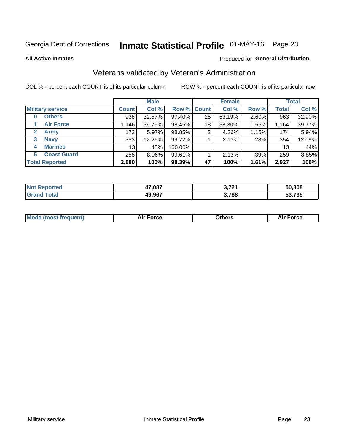# Inmate Statistical Profile 01-MAY-16 Page 23

**All Active Inmates** 

#### Produced for General Distribution

### Veterans validated by Veteran's Administration

COL % - percent each COUNT is of its particular column

|                         |                 | <b>Male</b> |         |                    | <b>Female</b> |       |              | <b>Total</b> |
|-------------------------|-----------------|-------------|---------|--------------------|---------------|-------|--------------|--------------|
| <b>Military service</b> | <b>Count</b>    | Col %       |         | <b>Row % Count</b> | Col %         | Row % | <b>Total</b> | Col %        |
| <b>Others</b><br>0      | 938             | 32.57%      | 97.40%  | 25                 | 53.19%        | 2.60% | 963          | 32.90%       |
| <b>Air Force</b>        | 1,146           | 39.79%      | 98.45%  | 18                 | 38.30%        | 1.55% | 1,164        | 39.77%       |
| 2<br><b>Army</b>        | 172             | 5.97%       | 98.85%  | 2                  | 4.26%         | 1.15% | 174          | 5.94%        |
| <b>Navy</b><br>3        | 353             | 12.26%      | 99.72%  |                    | 2.13%         | .28%  | 354          | 12.09%       |
| <b>Marines</b><br>4     | 13 <sub>1</sub> | .45%        | 100.00% |                    |               |       | 13           | .44%         |
| <b>Coast Guard</b><br>5 | 258             | 8.96%       | 99.61%  |                    | 2.13%         | .39%  | 259          | 8.85%        |
| <b>Total Reported</b>   | 2,880           | 100%        | 98.39%  | 47                 | 100%          | 1.61% | 2,927        | 100%         |

| orted<br>NOT | 47,087 | <b>2.724</b><br>$\mathbf{z}$ . The set of $\mathbf{z}$ | 50.808      |
|--------------|--------|--------------------------------------------------------|-------------|
|              | 49,967 | 3,768                                                  | 53,735<br>. |

|  |  | <b>Mode (most frequent)</b> | <b>Force</b><br>Aır | วthers | orce |
|--|--|-----------------------------|---------------------|--------|------|
|--|--|-----------------------------|---------------------|--------|------|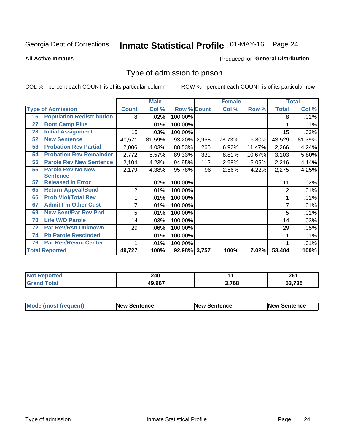# Inmate Statistical Profile 01-MAY-16 Page 24

#### **All Active Inmates**

### **Produced for General Distribution**

### Type of admission to prison

COL % - percent each COUNT is of its particular column

|    |                                  |                | <b>Male</b> |                    |     | <b>Female</b> |        |                | <b>Total</b> |
|----|----------------------------------|----------------|-------------|--------------------|-----|---------------|--------|----------------|--------------|
|    | <b>Type of Admission</b>         | <b>Count</b>   | Col %       | <b>Row % Count</b> |     | Col %         | Row %  | <b>Total</b>   | Col %        |
| 16 | <b>Population Redistribution</b> | 8              | .02%        | 100.00%            |     |               |        | 8              | .01%         |
| 27 | <b>Boot Camp Plus</b>            |                | .01%        | 100.00%            |     |               |        |                | .01%         |
| 28 | <b>Initial Assignment</b>        | 15             | .03%        | 100.00%            |     |               |        | 15             | .03%         |
| 52 | <b>New Sentence</b>              | 40,571         | 81.59%      | 93.20% 2,958       |     | 78.73%        | 6.80%  | 43,529         | 81.39%       |
| 53 | <b>Probation Rev Partial</b>     | 2,006          | 4.03%       | 88.53%             | 260 | 6.92%         | 11.47% | 2,266          | 4.24%        |
| 54 | <b>Probation Rev Remainder</b>   | 2,772          | 5.57%       | 89.33%             | 331 | 8.81%         | 10.67% | 3,103          | 5.80%        |
| 55 | <b>Parole Rev New Sentence</b>   | 2,104          | 4.23%       | 94.95%             | 112 | 2.98%         | 5.05%  | 2,216          | 4.14%        |
| 56 | <b>Parole Rev No New</b>         | 2,179          | 4.38%       | 95.78%             | 96  | 2.56%         | 4.22%  | 2,275          | 4.25%        |
|    | <b>Sentence</b>                  |                |             |                    |     |               |        |                |              |
| 57 | <b>Released In Error</b>         | 11             | .02%        | 100.00%            |     |               |        | 11             | .02%         |
| 65 | <b>Return Appeal/Bond</b>        | $\overline{2}$ | .01%        | 100.00%            |     |               |        | $\overline{2}$ | .01%         |
| 66 | <b>Prob Viol/Total Rev</b>       | 1              | .01%        | 100.00%            |     |               |        |                | .01%         |
| 67 | <b>Admit Fm Other Cust</b>       | 7              | .01%        | 100.00%            |     |               |        | 7              | .01%         |
| 69 | <b>New Sent/Par Rev Pnd</b>      | 5              | .01%        | 100.00%            |     |               |        | 5              | .01%         |
| 70 | <b>Life W/O Parole</b>           | 14             | .03%        | 100.00%            |     |               |        | 14             | .03%         |
| 72 | <b>Par Rev/Rsn Unknown</b>       | 29             | .06%        | 100.00%            |     |               |        | 29             | .05%         |
| 74 | <b>Pb Parole Rescinded</b>       | 1              | .01%        | 100.00%            |     |               |        |                | .01%         |
| 76 | <b>Par Rev/Revoc Center</b>      | 1              | .01%        | 100.00%            |     |               |        |                | .01%         |
|    | <b>Total Reported</b>            | 49,727         | 100%        | 92.98% 3,757       |     | 100%          | 7.02%  | 53,484         | 100%         |

| N    | 240           |       | OE.            |
|------|---------------|-------|----------------|
| neio | $\sim$        |       | ZJ I           |
|      | <b>49 967</b> | 3,768 | 50.725<br>/ აე |

| <b>Mode (most frequent)</b> | New Sentence | <b>New Sentence</b> | <b>New Sentence</b> |
|-----------------------------|--------------|---------------------|---------------------|
|                             |              |                     |                     |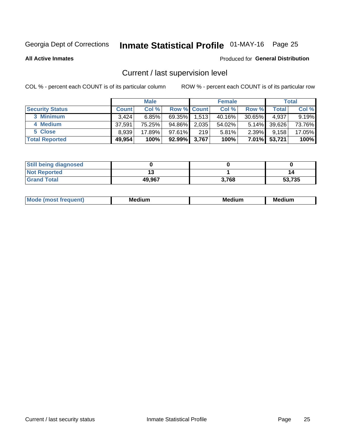# Inmate Statistical Profile 01-MAY-16 Page 25

**All Active Inmates** 

#### Produced for General Distribution

### Current / last supervision level

COL % - percent each COUNT is of its particular column

|                        |              | <b>Male</b> |                    |       | <b>Female</b> |           |        | <b>Total</b> |
|------------------------|--------------|-------------|--------------------|-------|---------------|-----------|--------|--------------|
| <b>Security Status</b> | <b>Count</b> | Col %       | <b>Row % Count</b> |       | Col %         | Row %     | Total  | Col %        |
| 3 Minimum              | 3.424        | 6.85%       | 69.35%             | 1,513 | 40.16%        | $30.65\%$ | 4,937  | 9.19%        |
| 4 Medium               | 37.591       | 75.25%      | 94.86%             | 2,035 | 54.02%        | $5.14\%$  | 39,626 | 73.76%       |
| 5 Close                | 8,939        | 17.89%      | 97.61%             | 219   | 5.81%         | $2.39\%$  | 9,158  | 17.05%       |
| <b>Total Reported</b>  | 49,954       | 100%        | 92.99%             | 3,767 | 100%          | $7.01\%$  | 53,721 | 100%         |

| <b>Still being diagnosed</b> |        |       |        |
|------------------------------|--------|-------|--------|
| <b>Not Reported</b>          |        |       | 14     |
| <b>Grand Total</b>           | 49,967 | 3,768 | 53,735 |

| M | . | -- |
|---|---|----|
|   |   |    |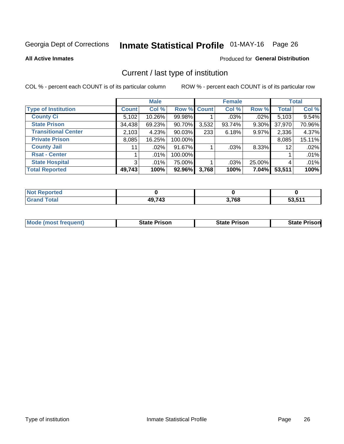# Inmate Statistical Profile 01-MAY-16 Page 26

**All Active Inmates** 

#### Produced for General Distribution

### Current / last type of institution

COL % - percent each COUNT is of its particular column

|                            |                | <b>Male</b> |             |       | <b>Female</b> |          |              | <b>Total</b> |
|----------------------------|----------------|-------------|-------------|-------|---------------|----------|--------------|--------------|
| <b>Type of Institution</b> | <b>Count</b>   | Col %       | Row % Count |       | Col %         | Row %    | <b>Total</b> | Col %        |
| <b>County Ci</b>           | 5,102          | 10.26%      | 99.98%      |       | $.03\%$       | $.02\%$  | 5,103        | 9.54%        |
| <b>State Prison</b>        | 34,438         | 69.23%      | 90.70%      | 3,532 | 93.74%        | 9.30%    | 37,970       | 70.96%       |
| <b>Transitional Center</b> | 2,103          | 4.23%       | $90.03\%$   | 233   | 6.18%         | 9.97%    | 2,336        | 4.37%        |
| <b>Private Prison</b>      | 8,085          | 16.25%      | 100.00%     |       |               |          | 8,085        | 15.11%       |
| <b>County Jail</b>         | 11             | $.02\%$     | 91.67%      |       | .03%          | $8.33\%$ | 12           | .02%         |
| <b>Rsat - Center</b>       |                | .01%        | 100.00%     |       |               |          |              | .01%         |
| <b>State Hospital</b>      | 3 <sup>1</sup> | $.01\%$     | 75.00%      |       | .03%          | 25.00%   | 4            | .01%         |
| <b>Total Reported</b>      | 49,743         | 100%        | 92.96%      | 3,768 | 100%          | 7.04%    | 53,511       | 100%         |

| ported<br><b>NOT</b> |              |       |                  |
|----------------------|--------------|-------|------------------|
| <b>otal</b>          | AOZA2<br>- 1 | 3,768 | 52 611<br>33.3 I |

| <b>Mode (most frequent)</b> | <b>State Prison</b> | <b>State Prison</b> | <b>State Prison</b> |
|-----------------------------|---------------------|---------------------|---------------------|
|                             |                     |                     |                     |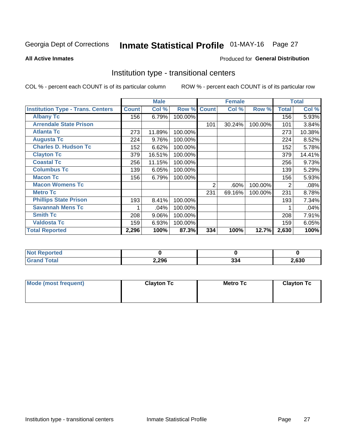# Inmate Statistical Profile 01-MAY-16 Page 27

#### **All Active Inmates**

### Produced for General Distribution

### Institution type - transitional centers

COL % - percent each COUNT is of its particular column

|                                          |              | <b>Male</b> |         |              | <b>Female</b> |         |              | <b>Total</b> |
|------------------------------------------|--------------|-------------|---------|--------------|---------------|---------|--------------|--------------|
| <b>Institution Type - Trans. Centers</b> | <b>Count</b> | Col %       | Row %   | <b>Count</b> | Col %         | Row %   | <b>Total</b> | Col %        |
| <b>Albany Tc</b>                         | 156          | 6.79%       | 100.00% |              |               |         | 156          | 5.93%        |
| <b>Arrendale State Prison</b>            |              |             |         | 101          | 30.24%        | 100.00% | 101          | 3.84%        |
| <b>Atlanta Tc</b>                        | 273          | 11.89%      | 100.00% |              |               |         | 273          | 10.38%       |
| <b>Augusta Tc</b>                        | 224          | 9.76%       | 100.00% |              |               |         | 224          | 8.52%        |
| <b>Charles D. Hudson Tc</b>              | 152          | 6.62%       | 100.00% |              |               |         | 152          | 5.78%        |
| <b>Clayton Tc</b>                        | 379          | 16.51%      | 100.00% |              |               |         | 379          | 14.41%       |
| <b>Coastal Tc</b>                        | 256          | 11.15%      | 100.00% |              |               |         | 256          | 9.73%        |
| <b>Columbus Tc</b>                       | 139          | 6.05%       | 100.00% |              |               |         | 139          | 5.29%        |
| <b>Macon Tc</b>                          | 156          | 6.79%       | 100.00% |              |               |         | 156          | 5.93%        |
| <b>Macon Womens Tc</b>                   |              |             |         | 2            | .60%          | 100.00% | 2            | .08%         |
| <b>Metro Tc</b>                          |              |             |         | 231          | 69.16%        | 100.00% | 231          | 8.78%        |
| <b>Phillips State Prison</b>             | 193          | 8.41%       | 100.00% |              |               |         | 193          | 7.34%        |
| <b>Savannah Mens Tc</b>                  |              | .04%        | 100.00% |              |               |         |              | .04%         |
| <b>Smith Tc</b>                          | 208          | 9.06%       | 100.00% |              |               |         | 208          | 7.91%        |
| <b>Valdosta Tc</b>                       | 159          | 6.93%       | 100.00% |              |               |         | 159          | 6.05%        |
| <b>Total Reported</b>                    | 2,296        | 100%        | 87.3%   | 334          | 100%          | 12.7%   | 2,630        | 100%         |

| <b>NOT</b><br>portea |       |               |      |
|----------------------|-------|---------------|------|
| .                    | 2,296 | $\sim$<br>აა∙ | ,630 |

| Mode (most frequent) | <b>Clayton Tc</b> | <b>Metro Tc</b> | <b>Clayton Tc</b> |
|----------------------|-------------------|-----------------|-------------------|
|                      |                   |                 |                   |
|                      |                   |                 |                   |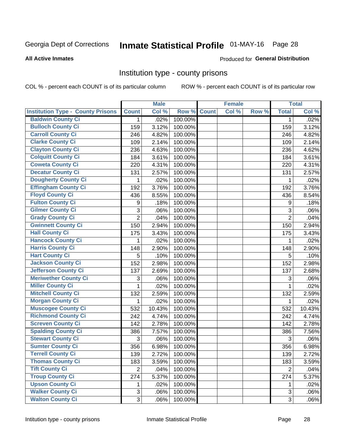# Inmate Statistical Profile 01-MAY-16 Page 28

#### **All Active Inmates**

#### Produced for General Distribution

### Institution type - county prisons

COL % - percent each COUNT is of its particular column

|                                          |                | <b>Male</b> |         |              | <b>Female</b> |       |                  | <b>Total</b> |
|------------------------------------------|----------------|-------------|---------|--------------|---------------|-------|------------------|--------------|
| <b>Institution Type - County Prisons</b> | <b>Count</b>   | Col %       | Row %   | <b>Count</b> | Col %         | Row % | <b>Total</b>     | Col %        |
| <b>Baldwin County Ci</b>                 | $\mathbf{1}$   | .02%        | 100.00% |              |               |       | $\mathbf 1$      | .02%         |
| <b>Bulloch County Ci</b>                 | 159            | 3.12%       | 100.00% |              |               |       | 159              | 3.12%        |
| <b>Carroll County Ci</b>                 | 246            | 4.82%       | 100.00% |              |               |       | 246              | 4.82%        |
| <b>Clarke County Ci</b>                  | 109            | 2.14%       | 100.00% |              |               |       | 109              | 2.14%        |
| <b>Clayton County Ci</b>                 | 236            | 4.63%       | 100.00% |              |               |       | 236              | 4.62%        |
| <b>Colquitt County Ci</b>                | 184            | 3.61%       | 100.00% |              |               |       | 184              | 3.61%        |
| <b>Coweta County Ci</b>                  | 220            | 4.31%       | 100.00% |              |               |       | 220              | 4.31%        |
| <b>Decatur County Ci</b>                 | 131            | 2.57%       | 100.00% |              |               |       | 131              | 2.57%        |
| <b>Dougherty County Ci</b>               | 1              | .02%        | 100.00% |              |               |       | 1                | .02%         |
| <b>Effingham County Ci</b>               | 192            | 3.76%       | 100.00% |              |               |       | 192              | 3.76%        |
| <b>Floyd County Ci</b>                   | 436            | 8.55%       | 100.00% |              |               |       | 436              | 8.54%        |
| <b>Fulton County Ci</b>                  | 9              | .18%        | 100.00% |              |               |       | $\boldsymbol{9}$ | .18%         |
| <b>Gilmer County Ci</b>                  | 3              | .06%        | 100.00% |              |               |       | 3                | .06%         |
| <b>Grady County Ci</b>                   | $\overline{c}$ | .04%        | 100.00% |              |               |       | $\overline{2}$   | .04%         |
| <b>Gwinnett County Ci</b>                | 150            | 2.94%       | 100.00% |              |               |       | 150              | 2.94%        |
| <b>Hall County Ci</b>                    | 175            | 3.43%       | 100.00% |              |               |       | 175              | 3.43%        |
| <b>Hancock County Ci</b>                 | 1              | .02%        | 100.00% |              |               |       | 1                | .02%         |
| <b>Harris County Ci</b>                  | 148            | 2.90%       | 100.00% |              |               |       | 148              | 2.90%        |
| <b>Hart County Ci</b>                    | 5              | .10%        | 100.00% |              |               |       | 5                | .10%         |
| <b>Jackson County Ci</b>                 | 152            | 2.98%       | 100.00% |              |               |       | 152              | 2.98%        |
| <b>Jefferson County Ci</b>               | 137            | 2.69%       | 100.00% |              |               |       | 137              | 2.68%        |
| <b>Meriwether County Ci</b>              | 3              | .06%        | 100.00% |              |               |       | 3                | .06%         |
| <b>Miller County Ci</b>                  | 1              | .02%        | 100.00% |              |               |       | 1                | .02%         |
| <b>Mitchell County Ci</b>                | 132            | 2.59%       | 100.00% |              |               |       | 132              | 2.59%        |
| <b>Morgan County Ci</b>                  | 1              | .02%        | 100.00% |              |               |       | 1                | .02%         |
| <b>Muscogee County Ci</b>                | 532            | 10.43%      | 100.00% |              |               |       | 532              | 10.43%       |
| <b>Richmond County Ci</b>                | 242            | 4.74%       | 100.00% |              |               |       | 242              | 4.74%        |
| <b>Screven County Ci</b>                 | 142            | 2.78%       | 100.00% |              |               |       | 142              | 2.78%        |
| <b>Spalding County Ci</b>                | 386            | 7.57%       | 100.00% |              |               |       | 386              | 7.56%        |
| <b>Stewart County Ci</b>                 | 3              | .06%        | 100.00% |              |               |       | 3                | .06%         |
| <b>Sumter County Ci</b>                  | 356            | 6.98%       | 100.00% |              |               |       | 356              | 6.98%        |
| <b>Terrell County Ci</b>                 | 139            | 2.72%       | 100.00% |              |               |       | 139              | 2.72%        |
| <b>Thomas County Ci</b>                  | 183            | 3.59%       | 100.00% |              |               |       | 183              | 3.59%        |
| <b>Tift County Ci</b>                    | $\overline{2}$ | .04%        | 100.00% |              |               |       | $\overline{2}$   | .04%         |
| <b>Troup County Ci</b>                   | 274            | 5.37%       | 100.00% |              |               |       | 274              | 5.37%        |
| <b>Upson County Ci</b>                   | 1              | .02%        | 100.00% |              |               |       | 1                | .02%         |
| <b>Walker County Ci</b>                  | 3              | .06%        | 100.00% |              |               |       | $\mathfrak{B}$   | .06%         |
| <b>Walton County Ci</b>                  | 3              | .06%        | 100.00% |              |               |       | 3                | .06%         |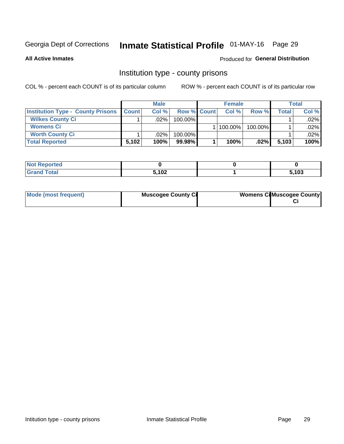# Inmate Statistical Profile 01-MAY-16 Page 29

**All Active Inmates** 

#### Produced for General Distribution

### Institution type - county prisons

COL % - percent each COUNT is of its particular column

|                                          |              | <b>Male</b> |                    | <b>Female</b> |         |       | <b>Total</b> |
|------------------------------------------|--------------|-------------|--------------------|---------------|---------|-------|--------------|
| <b>Institution Type - County Prisons</b> | <b>Count</b> | Col%        | <b>Row % Count</b> | Col%          | Row %   | Total | Col %        |
| <b>Wilkes County Ci</b>                  |              | .02%        | 100.00%            |               |         |       | $.02\%$      |
| <b>Womens Ci</b>                         |              |             |                    | 100.00%       | 100.00% |       | .02%         |
| <b>Worth County Ci</b>                   |              | $.02\%$     | 100.00%            |               |         |       | $.02\%$      |
| <b>Total Reported</b>                    | 5,102        | 100%        | $99.98\%$          | 100%          | $.02\%$ | 5,103 | 100%         |

| τeα   |       |             |
|-------|-------|-------------|
| _____ | 5,102 | .100<br>ט ו |

| Mode (most frequent) | <b>Muscogee County Ci</b> | <b>Womens Ci</b> Muscogee County |
|----------------------|---------------------------|----------------------------------|
|----------------------|---------------------------|----------------------------------|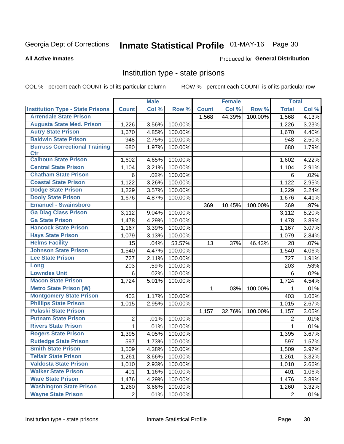# Inmate Statistical Profile 01-MAY-16 Page 30

#### **All Active Inmates**

#### Produced for General Distribution

### Institution type - state prisons

COL % - percent each COUNT is of its particular column

|                                         |                | <b>Male</b> |         |              | <b>Female</b> |         | <b>Total</b> |       |
|-----------------------------------------|----------------|-------------|---------|--------------|---------------|---------|--------------|-------|
| <b>Institution Type - State Prisons</b> | <b>Count</b>   | Col %       | Row %   | <b>Count</b> | Col %         | Row %   | <b>Total</b> | Col % |
| <b>Arrendale State Prison</b>           |                |             |         | 1,568        | 44.39%        | 100.00% | 1,568        | 4.13% |
| <b>Augusta State Med. Prison</b>        | 1,226          | 3.56%       | 100.00% |              |               |         | 1,226        | 3.23% |
| <b>Autry State Prison</b>               | 1,670          | 4.85%       | 100.00% |              |               |         | 1,670        | 4.40% |
| <b>Baldwin State Prison</b>             | 948            | 2.75%       | 100.00% |              |               |         | 948          | 2.50% |
| <b>Burruss Correctional Training</b>    | 680            | 1.97%       | 100.00% |              |               |         | 680          | 1.79% |
| <b>Ctr</b>                              |                |             |         |              |               |         |              |       |
| <b>Calhoun State Prison</b>             | 1,602          | 4.65%       | 100.00% |              |               |         | 1,602        | 4.22% |
| <b>Central State Prison</b>             | 1,104          | 3.21%       | 100.00% |              |               |         | 1,104        | 2.91% |
| <b>Chatham State Prison</b>             | 6              | .02%        | 100.00% |              |               |         | 6            | .02%  |
| <b>Coastal State Prison</b>             | 1,122          | 3.26%       | 100.00% |              |               |         | 1,122        | 2.95% |
| <b>Dodge State Prison</b>               | 1,229          | 3.57%       | 100.00% |              |               |         | 1,229        | 3.24% |
| <b>Dooly State Prison</b>               | 1,676          | 4.87%       | 100.00% |              |               |         | 1,676        | 4.41% |
| <b>Emanuel - Swainsboro</b>             |                |             |         | 369          | 10.45%        | 100.00% | 369          | .97%  |
| <b>Ga Diag Class Prison</b>             | 3,112          | 9.04%       | 100.00% |              |               |         | 3,112        | 8.20% |
| <b>Ga State Prison</b>                  | 1,478          | 4.29%       | 100.00% |              |               |         | 1,478        | 3.89% |
| <b>Hancock State Prison</b>             | 1,167          | 3.39%       | 100.00% |              |               |         | 1,167        | 3.07% |
| <b>Hays State Prison</b>                | 1,079          | 3.13%       | 100.00% |              |               |         | 1,079        | 2.84% |
| <b>Helms Facility</b>                   | 15             | .04%        | 53.57%  | 13           | .37%          | 46.43%  | 28           | .07%  |
| <b>Johnson State Prison</b>             | 1,540          | 4.47%       | 100.00% |              |               |         | 1,540        | 4.06% |
| <b>Lee State Prison</b>                 | 727            | 2.11%       | 100.00% |              |               |         | 727          | 1.91% |
| Long                                    | 203            | .59%        | 100.00% |              |               |         | 203          | .53%  |
| <b>Lowndes Unit</b>                     | 6              | .02%        | 100.00% |              |               |         | 6            | .02%  |
| <b>Macon State Prison</b>               | 1,724          | 5.01%       | 100.00% |              |               |         | 1,724        | 4.54% |
| <b>Metro State Prison (W)</b>           |                |             |         | $\mathbf 1$  | .03%          | 100.00% | 1            | .01%  |
| <b>Montgomery State Prison</b>          | 403            | 1.17%       | 100.00% |              |               |         | 403          | 1.06% |
| <b>Phillips State Prison</b>            | 1,015          | 2.95%       | 100.00% |              |               |         | 1,015        | 2.67% |
| <b>Pulaski State Prison</b>             |                |             |         | 1,157        | 32.76%        | 100.00% | 1,157        | 3.05% |
| <b>Putnam State Prison</b>              | 2              | .01%        | 100.00% |              |               |         | 2            | .01%  |
| <b>Rivers State Prison</b>              | $\mathbf{1}$   | .01%        | 100.00% |              |               |         | 1            | .01%  |
| <b>Rogers State Prison</b>              | 1,395          | 4.05%       | 100.00% |              |               |         | 1,395        | 3.67% |
| <b>Rutledge State Prison</b>            | 597            | 1.73%       | 100.00% |              |               |         | 597          | 1.57% |
| <b>Smith State Prison</b>               | 1,509          | 4.38%       | 100.00% |              |               |         | 1,509        | 3.97% |
| <b>Telfair State Prison</b>             | 1,261          | 3.66%       | 100.00% |              |               |         | 1,261        | 3.32% |
| <b>Valdosta State Prison</b>            | 1,010          | 2.93%       | 100.00% |              |               |         | 1,010        | 2.66% |
| <b>Walker State Prison</b>              | 401            | 1.16%       | 100.00% |              |               |         | 401          | 1.06% |
| <b>Ware State Prison</b>                | 1,476          | 4.29%       | 100.00% |              |               |         | 1,476        | 3.89% |
| <b>Washington State Prison</b>          | 1,260          | 3.66%       | 100.00% |              |               |         | 1,260        | 3.32% |
| <b>Wayne State Prison</b>               | $\overline{2}$ | .01%        | 100.00% |              |               |         | 2            | .01%  |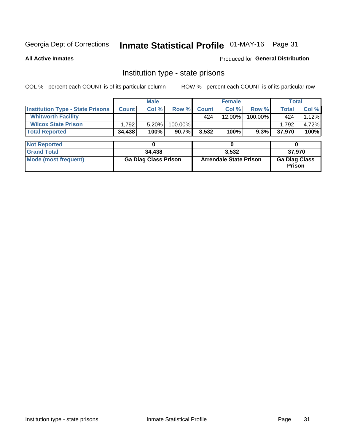# Inmate Statistical Profile 01-MAY-16 Page 31

**All Active Inmates** 

#### Produced for General Distribution

### Institution type - state prisons

COL % - percent each COUNT is of its particular column

|                                         |                             | <b>Male</b> |                               | <b>Female</b> |        |                                       | <b>Total</b> |       |
|-----------------------------------------|-----------------------------|-------------|-------------------------------|---------------|--------|---------------------------------------|--------------|-------|
| <b>Institution Type - State Prisons</b> | <b>Count</b>                | Col %       | Row %                         | <b>Count</b>  | Col %  | Row %                                 | Total        | Col % |
| <b>Whitworth Facility</b>               |                             |             |                               | 424           | 12.00% | 100.00%                               | 424          | 1.12% |
| <b>Wilcox State Prison</b>              | 1,792                       | 5.20%       | 100.00%                       |               |        |                                       | 1,792        | 4.72% |
| <b>Total Reported</b>                   | 34,438                      | 100%        | 90.7%                         | 3,532         | 100%   | 9.3%                                  | 37,970       | 100%  |
|                                         |                             |             |                               |               |        |                                       |              |       |
| <b>Not Reported</b>                     |                             | 0           |                               |               | 0      |                                       | 0            |       |
| <b>Grand Total</b>                      |                             | 34,438      |                               | 3,532         |        |                                       | 37,970       |       |
| <b>Mode (most frequent)</b>             | <b>Ga Diag Class Prison</b> |             | <b>Arrendale State Prison</b> |               |        | <b>Ga Diag Class</b><br><b>Prison</b> |              |       |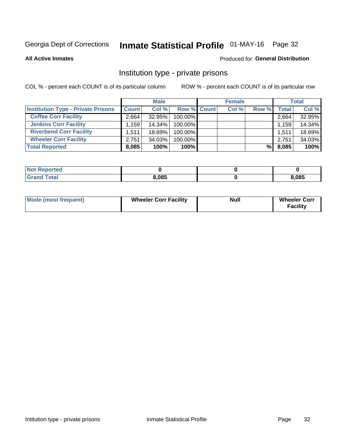# Inmate Statistical Profile 01-MAY-16 Page 32

**All Active Inmates** 

### Produced for General Distribution

### Institution type - private prisons

COL % - percent each COUNT is of its particular column

|                                           |              | <b>Male</b> |                    | <b>Female</b> |       |              | <b>Total</b> |
|-------------------------------------------|--------------|-------------|--------------------|---------------|-------|--------------|--------------|
| <b>Institution Type - Private Prisons</b> | <b>Count</b> | Col %       | <b>Row % Count</b> | Col %         | Row % | <b>Total</b> | Col %        |
| <b>Coffee Corr Facility</b>               | 2,664        | 32.95%      | 100.00%            |               |       | 2,664        | 32.95%       |
| <b>Jenkins Corr Facility</b>              | ∃159،،       | 14.34%      | $100.00\%$         |               |       | 1,159        | 14.34%       |
| <b>Riverbend Corr Facility</b>            | 1.511        | 18.69%      | 100.00%            |               |       | 1,511        | 18.69%       |
| <b>Wheeler Corr Facility</b>              | 2.751        | 34.03%      | 100.00%            |               |       | 2,751        | 34.03%       |
| <b>Total Reported</b>                     | 8,085        | 100%        | 100%               |               | %     | 8,085        | 100%         |

| <b>Not</b><br>Reported |       |       |
|------------------------|-------|-------|
| <b>Total</b>           | 8,085 | 8,085 |

| <b>Mode (most frequent)</b> | <b>Wheeler Corr Facility</b> | <b>Null</b> | <b>Wheeler Corr</b><br><b>Facility</b> |
|-----------------------------|------------------------------|-------------|----------------------------------------|
|-----------------------------|------------------------------|-------------|----------------------------------------|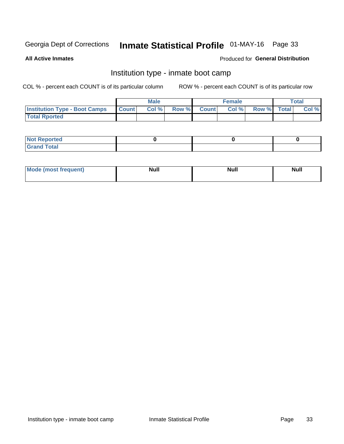# Inmate Statistical Profile 01-MAY-16 Page 33

**All Active Inmates** 

### Produced for General Distribution

### Institution type - inmate boot camp

COL % - percent each COUNT is of its particular column

|                                      |              | <b>Male</b> |               |              | <b>Female</b> |             | <b>Total</b> |
|--------------------------------------|--------------|-------------|---------------|--------------|---------------|-------------|--------------|
| <b>Institution Type - Boot Camps</b> | <b>Count</b> | Col %       | <b>Row %I</b> | <b>Count</b> | Col %         | Row % Total | Col %        |
| <b>Total Rported</b>                 |              |             |               |              |               |             |              |

| <b>Not Reported</b>            |  |  |
|--------------------------------|--|--|
| <b>Total</b><br>C <sub>r</sub> |  |  |

| Mod<br>uamo | Nul.<br>$- - - - - -$ | <b>Null</b> | . .<br>uu.<br>------ |
|-------------|-----------------------|-------------|----------------------|
|             |                       |             |                      |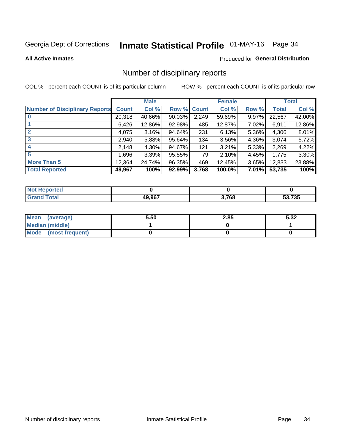# Inmate Statistical Profile 01-MAY-16 Page 34

#### **All Active Inmates**

#### Produced for General Distribution

### Number of disciplinary reports

COL % - percent each COUNT is of its particular column

|                                       |              | <b>Male</b> |                    |       | <b>Female</b> |       |              | <b>Total</b> |
|---------------------------------------|--------------|-------------|--------------------|-------|---------------|-------|--------------|--------------|
| <b>Number of Disciplinary Reports</b> | <b>Count</b> | Col %       | <b>Row % Count</b> |       | Col %         | Row % | <b>Total</b> | Col %        |
|                                       | 20,318       | 40.66%      | $90.03\%$          | 2,249 | 59.69%        | 9.97% | 22,567       | 42.00%       |
|                                       | 6,426        | 12.86%      | 92.98%             | 485   | 12.87%        | 7.02% | 6,911        | 12.86%       |
|                                       | 4,075        | 8.16%       | 94.64%             | 231   | 6.13%         | 5.36% | 4,306        | 8.01%        |
| 3                                     | 2,940        | 5.88%       | 95.64%             | 134   | 3.56%         | 4.36% | 3,074        | 5.72%        |
|                                       | 2,148        | 4.30%       | 94.67%             | 121   | 3.21%         | 5.33% | 2,269        | 4.22%        |
| 5                                     | ا 696. ا     | 3.39%       | 95.55%             | 79    | 2.10%         | 4.45% | 1,775        | 3.30%        |
| <b>More Than 5</b>                    | 12,364       | 24.74%      | 96.35%             | 469   | 12.45%        | 3.65% | 12,833       | 23.88%       |
| <b>Total Reported</b>                 | 49,967       | 100%        | 92.99%             | 3,768 | 100.0%        | 7.01% | 53,735       | 100%         |

| <b>rted</b><br>NO |        |       |        |
|-------------------|--------|-------|--------|
| <b>Total</b>      | 49 Q67 | 3,768 | 53,735 |

| Mean (average)       | 5.50 | 2.85 | 5.32 |
|----------------------|------|------|------|
| Median (middle)      |      |      |      |
| Mode (most frequent) |      |      |      |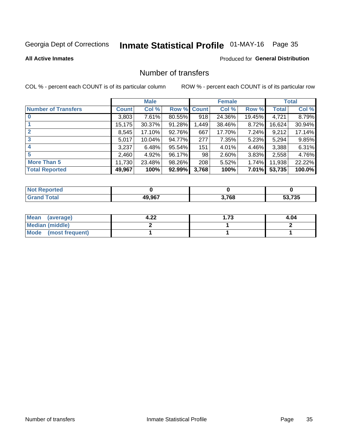# Inmate Statistical Profile 01-MAY-16 Page 35

#### **All Active Inmates**

### **Produced for General Distribution**

### Number of transfers

COL % - percent each COUNT is of its particular column

|                            |         | <b>Male</b> |                    |       | <b>Female</b> |          |              | <b>Total</b> |
|----------------------------|---------|-------------|--------------------|-------|---------------|----------|--------------|--------------|
| <b>Number of Transfers</b> | Count l | Col %       | <b>Row % Count</b> |       | Col %         | Row %    | <b>Total</b> | Col %        |
|                            | 3,803   | 7.61%       | 80.55%             | 918   | 24.36%        | 19.45%   | 4,721        | 8.79%        |
|                            | 15,175  | 30.37%      | 91.28%             | 1,449 | 38.46%        | 8.72%    | 16,624       | 30.94%       |
| $\mathbf{2}$               | 8,545   | 17.10%      | 92.76%             | 667   | 17.70%        | 7.24%    | 9,212        | 17.14%       |
| 3                          | 5,017   | 10.04%      | 94.77%             | 277   | 7.35%         | 5.23%    | 5,294        | 9.85%        |
| 4                          | 3,237   | 6.48%       | 95.54%             | 151   | 4.01%         | 4.46%    | 3,388        | 6.31%        |
| 5                          | 2,460   | 4.92%       | 96.17%             | 98    | 2.60%         | $3.83\%$ | 2,558        | 4.76%        |
| <b>More Than 5</b>         | 11,730  | 23.48%      | 98.26%             | 208   | 5.52%         | $1.74\%$ | 11,938       | 22.22%       |
| <b>Total Reported</b>      | 49,967  | 100%        | 92.99%             | 3,768 | 100%          | $7.01\%$ | 53,735       | 100.0%       |

| orted<br>NOT I |        |       |        |
|----------------|--------|-------|--------|
| Total          | 49 967 | 3,768 | 53.735 |

| Mean (average)       | ົດດ<br>4.ZZ | -73<br>1 3 | 4.04 |
|----------------------|-------------|------------|------|
| Median (middle)      |             |            |      |
| Mode (most frequent) |             |            |      |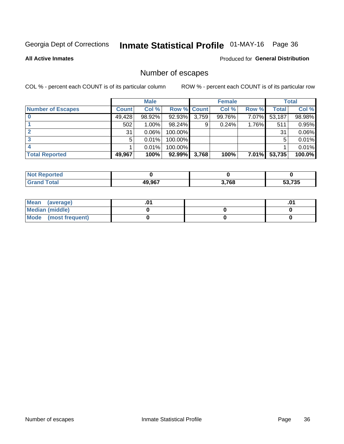# Inmate Statistical Profile 01-MAY-16 Page 36

**All Active Inmates** 

#### Produced for General Distribution

### Number of escapes

COL % - percent each COUNT is of its particular column

|                          |              | <b>Male</b> |             |       | <b>Female</b> |          |        | <b>Total</b> |
|--------------------------|--------------|-------------|-------------|-------|---------------|----------|--------|--------------|
| <b>Number of Escapes</b> | <b>Count</b> | Col %       | Row % Count |       | Col %         | Row %    | Total  | Col %        |
|                          | 49,428       | 98.92%      | 92.93%      | 3,759 | 99.76%        | 7.07%    | 53,187 | 98.98%       |
|                          | 502          | 1.00%       | 98.24%      | 9     | 0.24%         | 1.76%    | 511    | 0.95%        |
|                          | 31           | 0.06%       | 100.00%     |       |               |          | 31     | 0.06%        |
|                          | 5            | 0.01%       | 100.00%     |       |               |          | 5      | 0.01%        |
|                          |              | 0.01%       | 100.00%     |       |               |          |        | 0.01%        |
| <b>Total Reported</b>    | 49,967       | 100%        | $92.99\%$   | 3,768 | 100%          | $7.01\%$ | 53,735 | 100.0%       |

| orten        |        |       |        |
|--------------|--------|-------|--------|
| <b>Total</b> | 49.967 | 3,768 | 53,735 |

| Mean (average)         |  | .0 <sup>4</sup> |
|------------------------|--|-----------------|
| <b>Median (middle)</b> |  |                 |
| Mode (most frequent)   |  |                 |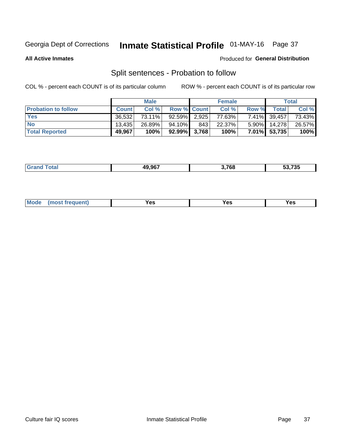# Inmate Statistical Profile 01-MAY-16 Page 37

**All Active Inmates** 

### Produced for General Distribution

### Split sentences - Probation to follow

COL % - percent each COUNT is of its particular column

|                            |              | <b>Male</b> |                    |     | <b>Female</b> |          |              | <b>Total</b> |
|----------------------------|--------------|-------------|--------------------|-----|---------------|----------|--------------|--------------|
| <b>Probation to follow</b> | <b>Count</b> | Col%        | <b>Row % Count</b> |     | Col %         | Row %    | <b>Total</b> | Col %        |
| <b>Yes</b>                 | 36.532       | 73.11%      | 92.59% 2.925       |     | 77.63%        |          | 7.41% 39,457 | 73.43%       |
| <b>No</b>                  | 13.435       | 26.89%      | 94.10%             | 843 | 22.37%        | $5.90\%$ | 14.278       | 26.57%       |
| <b>Total Reported</b>      | 49,967       | 100%        | $92.99\%$ 3,768    |     | 100%          |          | 7.01% 53,735 | 100%         |

|  |  | 49.967 | המי<br>709 | $F^{\alpha}$ in $F^{\alpha}$<br>33.733 |
|--|--|--------|------------|----------------------------------------|
|--|--|--------|------------|----------------------------------------|

| <b>Mode</b><br>reauent)<br>Yes<br>v.c<br>0٥<br>.<br>. .<br>$\sim$ |
|-------------------------------------------------------------------|
|-------------------------------------------------------------------|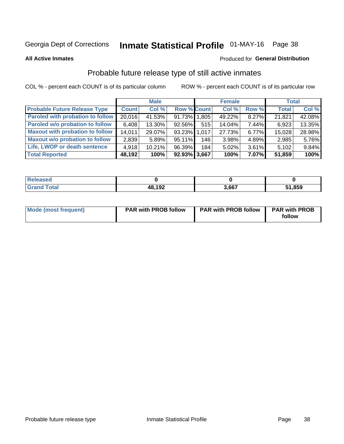# Inmate Statistical Profile 01-MAY-16 Page 38

**All Active Inmates** 

#### Produced for General Distribution

### Probable future release type of still active inmates

COL % - percent each COUNT is of its particular column

|                                         |              | <b>Male</b> |                    |     | <b>Female</b> |          | <b>Total</b> |        |
|-----------------------------------------|--------------|-------------|--------------------|-----|---------------|----------|--------------|--------|
| <b>Probable Future Release Type</b>     | <b>Count</b> | Col %       | <b>Row % Count</b> |     | Col %         | Row %    | <b>Total</b> | Col %  |
| <b>Paroled with probation to follow</b> | 20,016       | 41.53%      | 91.73% 1,805       |     | 49.22%        | 8.27%    | 21,821       | 42.08% |
| Paroled w/o probation to follow         | 6,408        | 13.30%      | 92.56%             | 515 | 14.04%        | 7.44%    | 6,923        | 13.35% |
| <b>Maxout with probation to follow</b>  | 14,011       | 29.07%      | 93.23% 1.017       |     | 27.73%        | 6.77%    | 15,028       | 28.98% |
| <b>Maxout w/o probation to follow</b>   | 2,839        | 5.89%       | 95.11%             | 146 | 3.98%         | 4.89%    | 2,985        | 5.76%  |
| Life, LWOP or death sentence            | 4,918        | 10.21%      | 96.39%             | 184 | 5.02%         | 3.61%    | 5,102        | 9.84%  |
| <b>Total Reported</b>                   | 48,192       | 100%        | $92.93\%$ 3,667    |     | 100%          | $7.07\%$ | 51,859       | 100%   |

| eleased      |                     |       |      |
|--------------|---------------------|-------|------|
| <b>cotal</b> | <b>18102</b><br>194 | 3.667 | ,859 |

| Mode (most frequent) | <b>PAR with PROB follow</b> | <b>PAR with PROB follow</b> | <b>PAR with PROB</b><br>follow |
|----------------------|-----------------------------|-----------------------------|--------------------------------|
|                      |                             |                             |                                |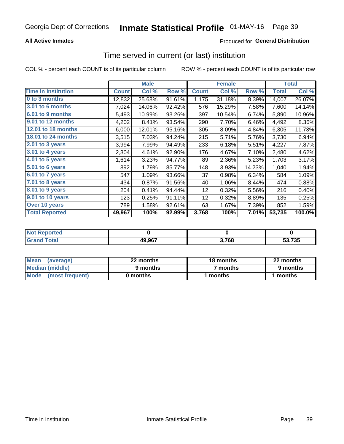### **All Active Inmates**

### **Produced for General Distribution**

### Time served in current (or last) institution

COL % - percent each COUNT is of its particular column

|                            |              | <b>Male</b> |        |              | <b>Female</b> |        |              | <b>Total</b> |
|----------------------------|--------------|-------------|--------|--------------|---------------|--------|--------------|--------------|
| <b>Time In Institution</b> | <b>Count</b> | Col %       | Row %  | <b>Count</b> | Col %         | Row %  | <b>Total</b> | Col %        |
| 0 to 3 months              | 12,832       | 25.68%      | 91.61% | 1,175        | 31.18%        | 8.39%  | 14,007       | 26.07%       |
| <b>3.01 to 6 months</b>    | 7,024        | 14.06%      | 92.42% | 576          | 15.29%        | 7.58%  | 7,600        | 14.14%       |
| 6.01 to 9 months           | 5,493        | 10.99%      | 93.26% | 397          | 10.54%        | 6.74%  | 5,890        | 10.96%       |
| 9.01 to 12 months          | 4,202        | 8.41%       | 93.54% | 290          | 7.70%         | 6.46%  | 4,492        | 8.36%        |
| 12.01 to 18 months         | 6,000        | 12.01%      | 95.16% | 305          | 8.09%         | 4.84%  | 6,305        | 11.73%       |
| <b>18.01 to 24 months</b>  | 3,515        | 7.03%       | 94.24% | 215          | 5.71%         | 5.76%  | 3,730        | 6.94%        |
| $2.01$ to 3 years          | 3,994        | 7.99%       | 94.49% | 233          | 6.18%         | 5.51%  | 4,227        | 7.87%        |
| $3.01$ to 4 years          | 2,304        | 4.61%       | 92.90% | 176          | 4.67%         | 7.10%  | 2,480        | 4.62%        |
| 4.01 to 5 years            | 1,614        | 3.23%       | 94.77% | 89           | 2.36%         | 5.23%  | 1,703        | 3.17%        |
| 5.01 to 6 years            | 892          | 1.79%       | 85.77% | 148          | 3.93%         | 14.23% | 1,040        | 1.94%        |
| $6.01$ to 7 years          | 547          | 1.09%       | 93.66% | 37           | 0.98%         | 6.34%  | 584          | 1.09%        |
| 7.01 to 8 years            | 434          | 0.87%       | 91.56% | 40           | 1.06%         | 8.44%  | 474          | 0.88%        |
| $8.01$ to 9 years          | 204          | 0.41%       | 94.44% | 12           | 0.32%         | 5.56%  | 216          | 0.40%        |
| 9.01 to 10 years           | 123          | 0.25%       | 91.11% | 12           | 0.32%         | 8.89%  | 135          | 0.25%        |
| Over 10 years              | 789          | 1.58%       | 92.61% | 63           | 1.67%         | 7.39%  | 852          | 1.59%        |
| <b>Total Reported</b>      | 49,967       | 100%        | 92.99% | 3,768        | 100%          | 7.01%  | 53,735       | 100.0%       |

| orted<br><b>Not</b> |        |       |        |
|---------------------|--------|-------|--------|
| i'nta'i             | 49,967 | 3,768 | 53.735 |

| <b>Mean</b><br>(average) | 22 months | 18 months | 22 months |
|--------------------------|-----------|-----------|-----------|
| Median (middle)          | 9 months  | 7 months  | 9 months  |
| Mode<br>(most frequent)  | 0 months  | months    | ∖ months  |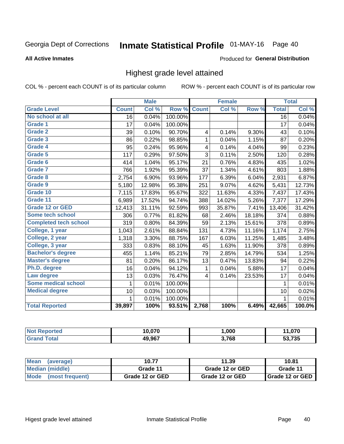# Inmate Statistical Profile 01-MAY-16 Page 40

### **All Active Inmates**

### Produced for General Distribution

### Highest grade level attained

COL % - percent each COUNT is of its particular column

|                              |                 | <b>Male</b> |         |                         | <b>Female</b> |        |                 | <b>Total</b> |
|------------------------------|-----------------|-------------|---------|-------------------------|---------------|--------|-----------------|--------------|
| <b>Grade Level</b>           | <b>Count</b>    | Col %       | Row %   | <b>Count</b>            | Col%          | Row %  | <b>Total</b>    | Col %        |
| No school at all             | $\overline{16}$ | 0.04%       | 100.00% |                         |               |        | $\overline{16}$ | 0.04%        |
| <b>Grade 1</b>               | 17              | 0.04%       | 100.00% |                         |               |        | 17              | 0.04%        |
| <b>Grade 2</b>               | 39              | 0.10%       | 90.70%  | 4                       | 0.14%         | 9.30%  | 43              | 0.10%        |
| Grade 3                      | 86              | 0.22%       | 98.85%  | $\mathbf{1}$            | 0.04%         | 1.15%  | 87              | 0.20%        |
| Grade 4                      | 95              | 0.24%       | 95.96%  | $\overline{\mathbf{4}}$ | 0.14%         | 4.04%  | 99              | 0.23%        |
| Grade 5                      | 117             | 0.29%       | 97.50%  | 3                       | 0.11%         | 2.50%  | 120             | 0.28%        |
| Grade 6                      | 414             | 1.04%       | 95.17%  | 21                      | 0.76%         | 4.83%  | 435             | 1.02%        |
| <b>Grade 7</b>               | 766             | 1.92%       | 95.39%  | 37                      | 1.34%         | 4.61%  | 803             | 1.88%        |
| Grade 8                      | 2,754           | 6.90%       | 93.96%  | 177                     | 6.39%         | 6.04%  | 2,931           | 6.87%        |
| Grade 9                      | 5,180           | 12.98%      | 95.38%  | 251                     | 9.07%         | 4.62%  | 5,431           | 12.73%       |
| Grade 10                     | 7,115           | 17.83%      | 95.67%  | 322                     | 11.63%        | 4.33%  | 7,437           | 17.43%       |
| Grade 11                     | 6,989           | 17.52%      | 94.74%  | 388                     | 14.02%        | 5.26%  | 7,377           | 17.29%       |
| <b>Grade 12 or GED</b>       | 12,413          | 31.11%      | 92.59%  | 993                     | 35.87%        | 7.41%  | 13,406          | 31.42%       |
| <b>Some tech school</b>      | 306             | 0.77%       | 81.82%  | 68                      | 2.46%         | 18.18% | 374             | 0.88%        |
| <b>Completed tech school</b> | 319             | 0.80%       | 84.39%  | 59                      | 2.13%         | 15.61% | 378             | 0.89%        |
| College, 1 year              | 1,043           | 2.61%       | 88.84%  | 131                     | 4.73%         | 11.16% | 1,174           | 2.75%        |
| College, 2 year              | 1,318           | 3.30%       | 88.75%  | 167                     | 6.03%         | 11.25% | 1,485           | 3.48%        |
| College, 3 year              | 333             | 0.83%       | 88.10%  | 45                      | 1.63%         | 11.90% | 378             | 0.89%        |
| <b>Bachelor's degree</b>     | 455             | 1.14%       | 85.21%  | 79                      | 2.85%         | 14.79% | 534             | 1.25%        |
| <b>Master's degree</b>       | 81              | 0.20%       | 86.17%  | 13                      | 0.47%         | 13.83% | 94              | 0.22%        |
| Ph.D. degree                 | 16              | 0.04%       | 94.12%  | $\mathbf{1}$            | 0.04%         | 5.88%  | 17              | 0.04%        |
| Law degree                   | 13              | 0.03%       | 76.47%  | 4                       | 0.14%         | 23.53% | 17              | 0.04%        |
| <b>Some medical school</b>   | 1               | 0.01%       | 100.00% |                         |               |        | 1               | 0.01%        |
| <b>Medical degree</b>        | 10              | 0.03%       | 100.00% |                         |               |        | 10              | 0.02%        |
|                              | 1               | 0.01%       | 100.00% |                         |               |        | $\mathbf{1}$    | 0.01%        |
| <b>Total Reported</b>        | 39,897          | 100%        | 93.51%  | 2,768                   | 100%          | 6.49%  | 42,665          | 100.0%       |

| 10.070       | ,000  | 070, ا |
|--------------|-------|--------|
| 49.967<br>лı | 3,768 | .735   |

| <b>Mean</b><br>(average) | 10.77           | 11.39           | 10.81           |
|--------------------------|-----------------|-----------------|-----------------|
| Median (middle)          | Grade 11        | Grade 12 or GED | Grade 11        |
| Mode (most frequent)     | Grade 12 or GED | Grade 12 or GED | Grade 12 or GED |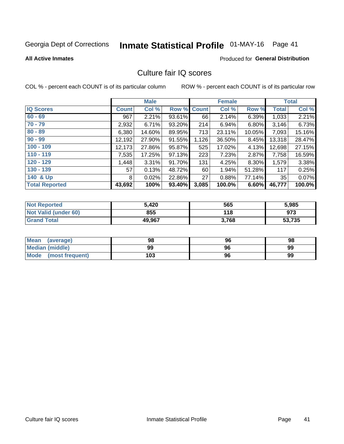# Inmate Statistical Profile 01-MAY-16 Page 41

#### **All Active Inmates**

### **Produced for General Distribution**

### Culture fair IQ scores

COL % - percent each COUNT is of its particular column

|                       |              | <b>Male</b> |             |       | <b>Female</b> |        |              | <b>Total</b> |
|-----------------------|--------------|-------------|-------------|-------|---------------|--------|--------------|--------------|
| <b>IQ Scores</b>      | <b>Count</b> | Col %       | Row % Count |       | Col %         | Row %  | <b>Total</b> | Col %        |
| $60 - 69$             | 967          | 2.21%       | 93.61%      | 66    | 2.14%         | 6.39%  | 1,033        | 2.21%        |
| $70 - 79$             | 2,932        | 6.71%       | 93.20%      | 214   | 6.94%         | 6.80%  | 3,146        | 6.73%        |
| $80 - 89$             | 6,380        | 14.60%      | 89.95%      | 713   | 23.11%        | 10.05% | 7,093        | 15.16%       |
| $90 - 99$             | 12,192       | 27.90%      | 91.55%      | 1,126 | 36.50%        | 8.45%  | 13,318       | 28.47%       |
| $100 - 109$           | 12,173       | 27.86%      | 95.87%      | 525   | 17.02%        | 4.13%  | 12,698       | 27.15%       |
| $110 - 119$           | 7,535        | 17.25%      | 97.13%      | 223   | 7.23%         | 2.87%  | 7,758        | 16.59%       |
| $120 - 129$           | ,448         | 3.31%       | 91.70%      | 131   | 4.25%         | 8.30%  | 1,579        | 3.38%        |
| $130 - 139$           | 57           | 0.13%       | 48.72%      | 60    | 1.94%         | 51.28% | 117          | 0.25%        |
| 140 & Up              | 8            | 0.02%       | 22.86%      | 27    | 0.88%         | 77.14% | 35           | 0.07%        |
| <b>Total Reported</b> | 43,692       | 100%        | 93.40%      | 3,085 | 100.0%        | 6.60%  | 46,777       | 100.0%       |

| <b>Not Reported</b>         | 5,420  | 565   | 5,985  |
|-----------------------------|--------|-------|--------|
| <b>Not Valid (under 60)</b> | 855    | 118   | 973    |
| <b>Grand Total</b>          | 49,967 | 3,768 | 53,735 |

| <b>Mean</b><br>(average)       | 98  | 96 | 98 |
|--------------------------------|-----|----|----|
| Median (middle)                | 99  | 96 | 99 |
| <b>Mode</b><br>(most frequent) | 103 | 96 | 99 |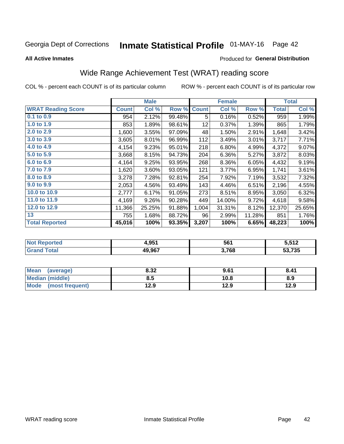# Inmate Statistical Profile 01-MAY-16 Page 42

#### **All Active Inmates**

### Produced for General Distribution

# Wide Range Achievement Test (WRAT) reading score

COL % - percent each COUNT is of its particular column

|                           |              | <b>Male</b> |        |              | <b>Female</b> |        |              | <b>Total</b> |
|---------------------------|--------------|-------------|--------|--------------|---------------|--------|--------------|--------------|
| <b>WRAT Reading Score</b> | <b>Count</b> | Col %       | Row %  | <b>Count</b> | Col %         | Row %  | <b>Total</b> | Col %        |
| $0.1$ to $0.9$            | 954          | 2.12%       | 99.48% | 5            | 0.16%         | 0.52%  | 959          | 1.99%        |
| 1.0 to 1.9                | 853          | 1.89%       | 98.61% | 12           | 0.37%         | 1.39%  | 865          | 1.79%        |
| 2.0 to 2.9                | 1,600        | 3.55%       | 97.09% | 48           | 1.50%         | 2.91%  | 1,648        | 3.42%        |
| 3.0 to 3.9                | 3,605        | 8.01%       | 96.99% | 112          | 3.49%         | 3.01%  | 3,717        | 7.71%        |
| 4.0 to 4.9                | 4,154        | 9.23%       | 95.01% | 218          | 6.80%         | 4.99%  | 4,372        | 9.07%        |
| 5.0 to 5.9                | 3,668        | 8.15%       | 94.73% | 204          | 6.36%         | 5.27%  | 3,872        | 8.03%        |
| 6.0 to 6.9                | 4,164        | 9.25%       | 93.95% | 268          | 8.36%         | 6.05%  | 4,432        | 9.19%        |
| 7.0 to 7.9                | 1,620        | 3.60%       | 93.05% | 121          | 3.77%         | 6.95%  | 1,741        | 3.61%        |
| 8.0 to 8.9                | 3,278        | 7.28%       | 92.81% | 254          | 7.92%         | 7.19%  | 3,532        | 7.32%        |
| 9.0 to 9.9                | 2,053        | 4.56%       | 93.49% | 143          | 4.46%         | 6.51%  | 2,196        | 4.55%        |
| 10.0 to 10.9              | 2,777        | 6.17%       | 91.05% | 273          | 8.51%         | 8.95%  | 3,050        | 6.32%        |
| 11.0 to 11.9              | 4,169        | 9.26%       | 90.28% | 449          | 14.00%        | 9.72%  | 4,618        | 9.58%        |
| 12.0 to 12.9              | 11,366       | 25.25%      | 91.88% | 1,004        | 31.31%        | 8.12%  | 12,370       | 25.65%       |
| 13                        | 755          | 1.68%       | 88.72% | 96           | 2.99%         | 11.28% | 851          | 1.76%        |
| <b>Total Reported</b>     | 45,016       | 100%        | 93.35% | 3,207        | 100%          | 6.65%  | 48,223       | 100%         |

| - - - orteg | 4.951             | 561   | 5 51 2<br>' I 4 |
|-------------|-------------------|-------|-----------------|
| 'otal       | 49 967<br>19.JU 1 | 3,768 | E2E<br>735<br>ິ |

| Mean<br>(average)    | 8.32 | 9.61 | 8.41 |
|----------------------|------|------|------|
| Median (middle)      | 8.5  | 10.8 | 8.9  |
| Mode (most frequent) | 12.9 | 12.9 | 12.9 |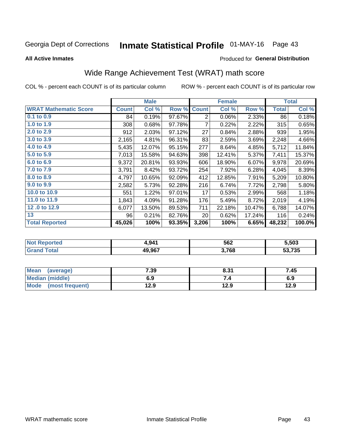# Inmate Statistical Profile 01-MAY-16 Page 43

**All Active Inmates** 

### Produced for General Distribution

# Wide Range Achievement Test (WRAT) math score

COL % - percent each COUNT is of its particular column

|                              |              | <b>Male</b> |        |                | <b>Female</b> |        |              | <b>Total</b> |
|------------------------------|--------------|-------------|--------|----------------|---------------|--------|--------------|--------------|
| <b>WRAT Mathematic Score</b> | <b>Count</b> | Col %       | Row %  | <b>Count</b>   | Col %         | Row %  | <b>Total</b> | Col %        |
| $0.1$ to $0.9$               | 84           | 0.19%       | 97.67% | $\overline{2}$ | 0.06%         | 2.33%  | 86           | 0.18%        |
| 1.0 to 1.9                   | 308          | 0.68%       | 97.78% | $\overline{7}$ | 0.22%         | 2.22%  | 315          | 0.65%        |
| 2.0 to 2.9                   | 912          | 2.03%       | 97.12% | 27             | 0.84%         | 2.88%  | 939          | 1.95%        |
| 3.0 to 3.9                   | 2,165        | 4.81%       | 96.31% | 83             | 2.59%         | 3.69%  | 2,248        | 4.66%        |
| 4.0 to 4.9                   | 5,435        | 12.07%      | 95.15% | 277            | 8.64%         | 4.85%  | 5,712        | 11.84%       |
| 5.0 to 5.9                   | 7,013        | 15.58%      | 94.63% | 398            | 12.41%        | 5.37%  | 7,411        | 15.37%       |
| 6.0 to 6.9                   | 9,372        | 20.81%      | 93.93% | 606            | 18.90%        | 6.07%  | 9,978        | 20.69%       |
| 7.0 to 7.9                   | 3,791        | 8.42%       | 93.72% | 254            | 7.92%         | 6.28%  | 4,045        | 8.39%        |
| 8.0 to 8.9                   | 4,797        | 10.65%      | 92.09% | 412            | 12.85%        | 7.91%  | 5,209        | 10.80%       |
| 9.0 to 9.9                   | 2,582        | 5.73%       | 92.28% | 216            | 6.74%         | 7.72%  | 2,798        | 5.80%        |
| 10.0 to 10.9                 | 551          | 1.22%       | 97.01% | 17             | 0.53%         | 2.99%  | 568          | 1.18%        |
| 11.0 to 11.9                 | 1,843        | 4.09%       | 91.28% | 176            | 5.49%         | 8.72%  | 2,019        | 4.19%        |
| 12.0 to 12.9                 | 6,077        | 13.50%      | 89.53% | 711            | 22.18%        | 10.47% | 6,788        | 14.07%       |
| 13                           | 96           | 0.21%       | 82.76% | 20             | 0.62%         | 17.24% | 116          | 0.24%        |
| <b>Total Reported</b>        | 45,026       | 100%        | 93.35% | 3,206          | 100%          | 6.65%  | 48,232       | 100.0%       |

| Reported<br><b>NOT</b> | 941,   | 562   | 5,503  |
|------------------------|--------|-------|--------|
| 'otal                  | 49,967 | 3,768 | 53,735 |

| <b>Mean</b><br>(average) | 7.39 | 8.31 | 7.45 |
|--------------------------|------|------|------|
| Median (middle)          | 6.9  |      | 6.9  |
| Mode<br>(most frequent)  | l2.9 | 12.9 | 12.9 |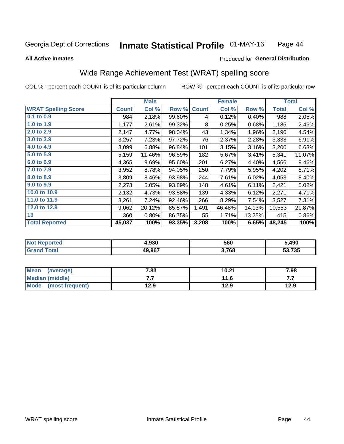#### **Inmate Statistical Profile 01-MAY-16** Page 44

#### **All Active Inmates**

### Produced for General Distribution

## Wide Range Achievement Test (WRAT) spelling score

COL % - percent each COUNT is of its particular column

|                            |              | <b>Male</b> |        |              | <b>Female</b> |        |              | <b>Total</b> |
|----------------------------|--------------|-------------|--------|--------------|---------------|--------|--------------|--------------|
| <b>WRAT Spelling Score</b> | <b>Count</b> | Col %       | Row %  | <b>Count</b> | Col %         | Row %  | <b>Total</b> | Col %        |
| $0.1$ to $0.9$             | 984          | 2.18%       | 99.60% | 4            | 0.12%         | 0.40%  | 988          | 2.05%        |
| 1.0 to 1.9                 | 1,177        | 2.61%       | 99.32% | 8            | 0.25%         | 0.68%  | 1,185        | 2.46%        |
| 2.0 to 2.9                 | 2,147        | 4.77%       | 98.04% | 43           | 1.34%         | 1.96%  | 2,190        | 4.54%        |
| 3.0 to 3.9                 | 3,257        | 7.23%       | 97.72% | 76           | 2.37%         | 2.28%  | 3,333        | 6.91%        |
| 4.0 to 4.9                 | 3,099        | 6.88%       | 96.84% | 101          | 3.15%         | 3.16%  | 3,200        | 6.63%        |
| 5.0 to 5.9                 | 5,159        | 11.46%      | 96.59% | 182          | 5.67%         | 3.41%  | 5,341        | 11.07%       |
| 6.0 to 6.9                 | 4,365        | 9.69%       | 95.60% | 201          | 6.27%         | 4.40%  | 4,566        | 9.46%        |
| 7.0 to 7.9                 | 3,952        | 8.78%       | 94.05% | 250          | 7.79%         | 5.95%  | 4,202        | 8.71%        |
| 8.0 to 8.9                 | 3,809        | 8.46%       | 93.98% | 244          | 7.61%         | 6.02%  | 4,053        | 8.40%        |
| 9.0 to 9.9                 | 2,273        | 5.05%       | 93.89% | 148          | 4.61%         | 6.11%  | 2,421        | 5.02%        |
| 10.0 to 10.9               | 2,132        | 4.73%       | 93.88% | 139          | 4.33%         | 6.12%  | 2,271        | 4.71%        |
| 11.0 to 11.9               | 3,261        | 7.24%       | 92.46% | 266          | 8.29%         | 7.54%  | 3,527        | 7.31%        |
| 12.0 to 12.9               | 9,062        | 20.12%      | 85.87% | 1,491        | 46.48%        | 14.13% | 10,553       | 21.87%       |
| 13                         | 360          | 0.80%       | 86.75% | 55           | 1.71%         | 13.25% | 415          | 0.86%        |
| <b>Total Reported</b>      | 45,037       | 100%        | 93.35% | 3,208        | 100%          | 6.65%  | 48,245       | 100%         |

| NO | 4,930  | 560   | 5,490  |
|----|--------|-------|--------|
|    | 49,967 | 3,768 | 53,735 |

| <b>Mean</b><br>(average) | 7.83 | 10.21 | 7.98 |
|--------------------------|------|-------|------|
| Median (middle)          | .    | 11.6  | .    |
| Mode<br>(most frequent)  | 12.9 | 12.9  | 12.9 |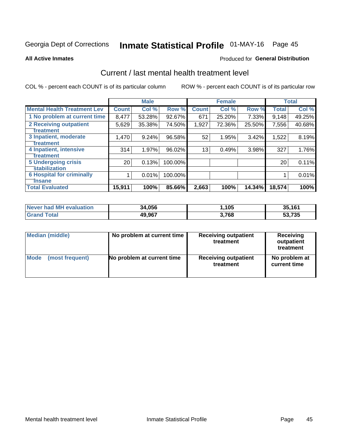# Inmate Statistical Profile 01-MAY-16 Page 45

#### **All Active Inmates**

### Produced for General Distribution

## Current / last mental health treatment level

COL % - percent each COUNT is of its particular column

|                                    |                 | <b>Male</b> |         |              | <b>Female</b> |        |              | <b>Total</b> |
|------------------------------------|-----------------|-------------|---------|--------------|---------------|--------|--------------|--------------|
| <b>Mental Health Treatment Lev</b> | <b>Count</b>    | Col %       | Row %   | <b>Count</b> | Col %         | Row %  | <b>Total</b> | Col %        |
| 1 No problem at current time       | 8,477           | 53.28%      | 92.67%  | 671          | 25.20%        | 7.33%  | 9,148        | 49.25%       |
| 2 Receiving outpatient             | 5,629           | 35.38%      | 74.50%  | 1,927        | 72.36%        | 25.50% | 7,556        | 40.68%       |
| <b>Treatment</b>                   |                 |             |         |              |               |        |              |              |
| 3 Inpatient, moderate              | 1,470           | 9.24%       | 96.58%  | 52           | 1.95%         | 3.42%  | 1,522        | 8.19%        |
| Treatment                          |                 |             |         |              |               |        |              |              |
| 4 Inpatient, intensive             | 314             | 1.97%       | 96.02%  | 13           | 0.49%         | 3.98%  | 327          | 1.76%        |
| <b>Treatment</b>                   |                 |             |         |              |               |        |              |              |
| 5 Undergoing crisis                | 20 <sub>1</sub> | 0.13%       | 100.00% |              |               |        | 20           | 0.11%        |
| <b>stabilization</b>               |                 |             |         |              |               |        |              |              |
| <b>6 Hospital for criminally</b>   |                 | 0.01%       | 100.00% |              |               |        |              | 0.01%        |
| <b>Tinsane</b>                     |                 |             |         |              |               |        |              |              |
| <b>Total Evaluated</b>             | 15,911          | 100%        | 85.66%  | 2,663        | 100%          | 14.34% | 18,574       | 100%         |

| Never had MH evaluation | 34,056 | ,105  | 35,161 |
|-------------------------|--------|-------|--------|
| <b>Grand Total</b>      | 49,967 | 3,768 | 53,735 |

| Median (middle) | No problem at current time | <b>Receiving outpatient</b><br>treatment | <b>Receiving</b><br>outpatient<br>treatment |
|-----------------|----------------------------|------------------------------------------|---------------------------------------------|
| <b>Mode</b>     | No problem at current time | <b>Receiving outpatient</b>              | No problem at                               |
| (most frequent) |                            | treatment                                | current time                                |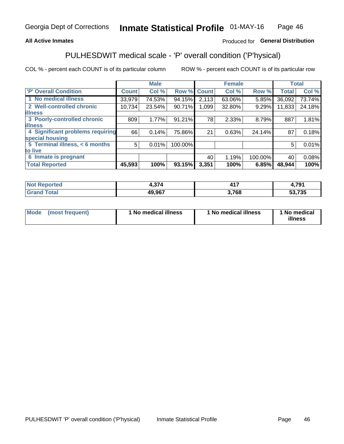### **All Active Inmates**

### Produced for General Distribution

# PULHESDWIT medical scale - 'P' overall condition ('P'hysical)

COL % - percent each COUNT is of its particular column

|                                  |                | <b>Male</b> |           |              | <b>Female</b> |         |              | <b>Total</b> |
|----------------------------------|----------------|-------------|-----------|--------------|---------------|---------|--------------|--------------|
| <b>P' Overall Condition</b>      | <b>Count</b>   | Col %       | Row %     | <b>Count</b> | Col %         | Row %   | <b>Total</b> | Col %        |
| 1 No medical illness             | 33,979         | 74.53%      | 94.15%    | 2,113        | 63.06%        | 5.85%   | 36,092       | 73.74%       |
| 2 Well-controlled chronic        | 10,734         | 23.54%      | 90.71%    | 1,099        | 32.80%        | 9.29%   | 11,833       | 24.18%       |
| <b>lilness</b>                   |                |             |           |              |               |         |              |              |
| 3 Poorly-controlled chronic      | 809            | 1.77%       | $91.21\%$ | 78           | 2.33%         | 8.79%   | 887          | 1.81%        |
| <b>illness</b>                   |                |             |           |              |               |         |              |              |
| 4 Significant problems requiring | 66             | 0.14%       | 75.86%    | 21           | 0.63%         | 24.14%  | 87           | 0.18%        |
| special housing                  |                |             |           |              |               |         |              |              |
| 5 Terminal illness, < 6 months   | 5 <sup>1</sup> | 0.01%       | 100.00%   |              |               |         | 5            | 0.01%        |
| to live                          |                |             |           |              |               |         |              |              |
| 6 Inmate is pregnant             |                |             |           | 40           | 1.19%         | 100.00% | 40           | 0.08%        |
| <b>Total Reported</b>            | 45,593         | 100%        | 93.15%    | 3,351        | 100%          | 6.85%   | 48,944       | 100%         |

| тео | . 271         | 47        | 704    |
|-----|---------------|-----------|--------|
|     | <b>49 967</b> | 700<br>oo | 53,735 |

| Mode | (most frequent) | 1 No medical illness | 1 No medical illness | 1 No medical<br>illness |
|------|-----------------|----------------------|----------------------|-------------------------|
|------|-----------------|----------------------|----------------------|-------------------------|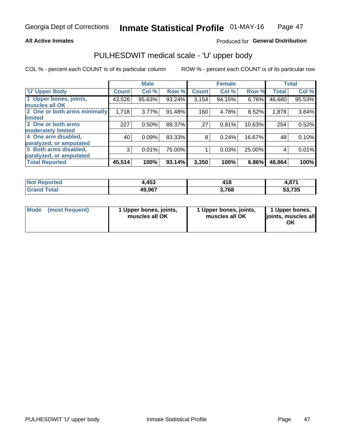### **All Active Inmates**

### Produced for General Distribution

# PULHESDWIT medical scale - 'U' upper body

COL % - percent each COUNT is of its particular column

|                              |                    | <b>Male</b> |        |              | <b>Female</b> |        |              | <b>Total</b> |
|------------------------------|--------------------|-------------|--------|--------------|---------------|--------|--------------|--------------|
| <b>U' Upper Body</b>         | Count <sup>1</sup> | Col %       | Row %  | <b>Count</b> | Col %         | Row %  | <b>Total</b> | Col %        |
| 1 Upper bones, joints,       | 43,526             | 95.63%      | 93.24% | 3,154        | 94.15%        | 6.76%  | 46,680       | 95.53%       |
| muscles all OK               |                    |             |        |              |               |        |              |              |
| 2 One or both arms minimally | 1,718              | 3.77%       | 91.48% | 160          | 4.78%         | 8.52%  | 1,878        | 3.84%        |
| <b>limited</b>               |                    |             |        |              |               |        |              |              |
| 3 One or both arms           | 227                | 0.50%       | 89.37% | 27           | 0.81%         | 10.63% | 254          | 0.52%        |
| <b>moderately limited</b>    |                    |             |        |              |               |        |              |              |
| 4 One arm disabled,          | 40                 | 0.09%       | 83.33% | 8            | 0.24%         | 16.67% | 48           | 0.10%        |
| paralyzed, or amputated      |                    |             |        |              |               |        |              |              |
| 5 Both arms disabled,        | 3                  | 0.01%       | 75.00% |              | 0.03%         | 25.00% | 4            | 0.01%        |
| paralyzed, or amputated      |                    |             |        |              |               |        |              |              |
| <b>Total Reported</b>        | 45,514             | 100%        | 93.14% | 3,350        | 100%          | 6.86%  | 48,864       | 100%         |

| <b>Not Reported</b> | 4,453  | 418   | 074<br>4.OL L |
|---------------------|--------|-------|---------------|
| Total<br>Grand      | 49,967 | 3,768 | 53,735        |

| Mode<br>(most frequent) | 1 Upper bones, joints,<br>muscles all OK | 1 Upper bones, joints,<br>muscles all OK | 1 Upper bones,<br>joints, muscles all<br>ΟK |
|-------------------------|------------------------------------------|------------------------------------------|---------------------------------------------|
|-------------------------|------------------------------------------|------------------------------------------|---------------------------------------------|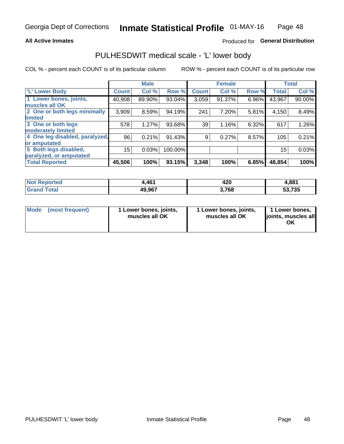### **All Active Inmates**

### Produced for General Distribution

### PULHESDWIT medical scale - 'L' lower body

COL % - percent each COUNT is of its particular column

|                                |              | <b>Male</b> |         |              | <b>Female</b> |       |                 | <b>Total</b> |
|--------------------------------|--------------|-------------|---------|--------------|---------------|-------|-----------------|--------------|
| 'L' Lower Body                 | <b>Count</b> | Col %       | Row %   | <b>Count</b> | Col %         | Row % | <b>Total</b>    | Col %        |
| 1 Lower bones, joints,         | 40,908       | 89.90%      | 93.04%  | 3,059        | 91.37%        | 6.96% | 43,967          | 90.00%       |
| muscles all OK                 |              |             |         |              |               |       |                 |              |
| 2 One or both legs minimally   | 3,909        | 8.59%       | 94.19%  | 241          | 7.20%         | 5.81% | 4,150           | 8.49%        |
| limited                        |              |             |         |              |               |       |                 |              |
| 3 One or both legs             | 578          | 1.27%       | 93.68%  | 39           | 1.16%         | 6.32% | 617             | 1.26%        |
| moderately limited             |              |             |         |              |               |       |                 |              |
| 4 One leg disabled, paralyzed, | 96           | 0.21%       | 91.43%  | 9            | 0.27%         | 8.57% | 105             | 0.21%        |
| or amputated                   |              |             |         |              |               |       |                 |              |
| 5 Both legs disabled,          | 15           | 0.03%       | 100.00% |              |               |       | 15 <sub>1</sub> | 0.03%        |
| paralyzed, or amputated        |              |             |         |              |               |       |                 |              |
| <b>Total Reported</b>          | 45,506       | 100%        | 93.15%  | 3,348        | 100%          | 6.85% | 48,854          | 100%         |

| Reported<br><b>NOT</b> | ,461   | 420  | 4,881  |
|------------------------|--------|------|--------|
| Total                  | 49,967 | ,768 | 53,735 |

| Mode (most frequent) | 1 Lower bones, joints,<br>muscles all OK | 1 Lower bones, joints,<br>muscles all OK | 1 Lower bones,<br>joints, muscles all<br>ΟK |
|----------------------|------------------------------------------|------------------------------------------|---------------------------------------------|
|----------------------|------------------------------------------|------------------------------------------|---------------------------------------------|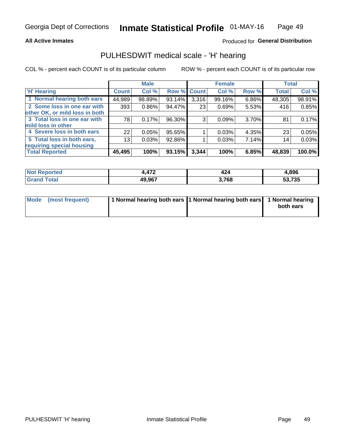### **All Active Inmates**

### Produced for General Distribution

### PULHESDWIT medical scale - 'H' hearing

COL % - percent each COUNT is of its particular column

|                                |                 | <b>Male</b> |        |             | <b>Female</b> |       | <b>Total</b> |        |
|--------------------------------|-----------------|-------------|--------|-------------|---------------|-------|--------------|--------|
| <b>H' Hearing</b>              | <b>Count</b>    | Col %       |        | Row % Count | Col %         | Row % | <b>Total</b> | Col %  |
| 1 Normal hearing both ears     | 44,989          | 98.89%      | 93.14% | 3,316       | 99.16%        | 6.86% | 48,305       | 98.91% |
| 2 Some loss in one ear with    | 393             | 0.86%       | 94.47% | 23          | 0.69%         | 5.53% | 416          | 0.85%  |
| other OK, or mild loss in both |                 |             |        |             |               |       |              |        |
| 3 Total loss in one ear with   | 78              | 0.17%       | 96.30% | 3           | 0.09%         | 3.70% | 81           | 0.17%  |
| mild loss in other             |                 |             |        |             |               |       |              |        |
| 4 Severe loss in both ears     | 22              | 0.05%       | 95.65% |             | 0.03%         | 4.35% | 23           | 0.05%  |
| 5 Total loss in both ears,     | 13 <sub>1</sub> | 0.03%       | 92.86% |             | 0.03%         | 7.14% | 14           | 0.03%  |
| requiring special housing      |                 |             |        |             |               |       |              |        |
| <b>Total Reported</b>          | 45,495          | 100%        | 93.15% | 3,344       | 100%          | 6.85% | 48,839       | 100.0% |

| 1.7 <sub>c</sub><br>. | ,,<br>44 | 1,896  |
|-----------------------|----------|--------|
| 49.967                | 3,768    | 53,735 |

| Mode (most frequent) | 1 Normal hearing both ears 1 Normal hearing both ears 1 Normal hearing | both ears |
|----------------------|------------------------------------------------------------------------|-----------|
|                      |                                                                        |           |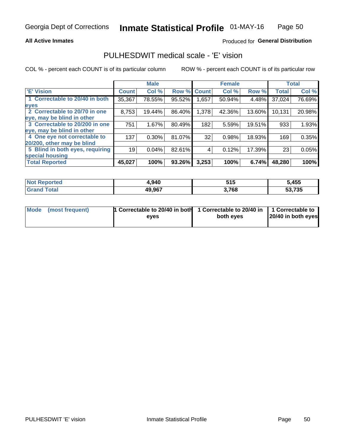### **All Active Inmates**

### Produced for General Distribution

### PULHESDWIT medical scale - 'E' vision

COL % - percent each COUNT is of its particular column

|                                 |              | <b>Male</b> |        |              | <b>Female</b> |        |              | <b>Total</b> |
|---------------------------------|--------------|-------------|--------|--------------|---------------|--------|--------------|--------------|
| <b>E' Vision</b>                | <b>Count</b> | Col %       | Row %  | <b>Count</b> | Col %         | Row %  | <b>Total</b> | Col %        |
| 1 Correctable to 20/40 in both  | 35,367       | 78.55%      | 95.52% | .657         | 50.94%        | 4.48%  | 37,024       | 76.69%       |
| eyes                            |              |             |        |              |               |        |              |              |
| 2 Correctable to 20/70 in one   | 8,753        | 19.44%      | 86.40% | 1,378        | 42.36%        | 13.60% | 10,131       | 20.98%       |
| eye, may be blind in other      |              |             |        |              |               |        |              |              |
| 3 Correctable to 20/200 in one  | 751          | 1.67%       | 80.49% | 182          | 5.59%         | 19.51% | 933          | 1.93%        |
| eye, may be blind in other      |              |             |        |              |               |        |              |              |
| 4 One eye not correctable to    | 137          | 0.30%       | 81.07% | 32           | 0.98%         | 18.93% | 169          | 0.35%        |
| 20/200, other may be blind      |              |             |        |              |               |        |              |              |
| 5 Blind in both eyes, requiring | 19           | 0.04%       | 82.61% | 4            | 0.12%         | 17.39% | 23           | 0.05%        |
| special housing                 |              |             |        |              |               |        |              |              |
| <b>Total Reported</b>           | 45,027       | 100%        | 93.26% | 3,253        | 100%          | 6.74%  | 48,280       | 100%         |

| <b>Not Reported</b> | 1,940  | 51 F<br>J I J | 5,455  |
|---------------------|--------|---------------|--------|
| Total<br>⊪Gran∕     | 49,967 | 3,768         | 53,735 |

| Mode (most frequent) | 1 Correctable to 20/40 in both<br>eves | 1 Correctable to 20/40 in   1 Correctable to  <br>both eves | 20/40 in both eyes |
|----------------------|----------------------------------------|-------------------------------------------------------------|--------------------|
|                      |                                        |                                                             |                    |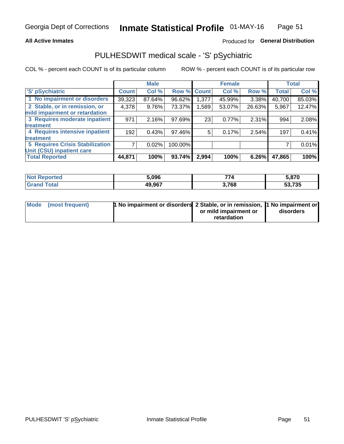### **All Active Inmates**

### Produced for General Distribution

# PULHESDWIT medical scale - 'S' pSychiatric

COL % - percent each COUNT is of its particular column

|                                        |              | <b>Male</b> |         |                    | <b>Female</b> |        |              | <b>Total</b> |
|----------------------------------------|--------------|-------------|---------|--------------------|---------------|--------|--------------|--------------|
| 'S' pSychiatric                        | <b>Count</b> | Col %       |         | <b>Row % Count</b> | Col %         | Row %  | <b>Total</b> | Col %        |
| 1 No impairment or disorders           | 39,323       | 87.64%      | 96.62%  | 1,377              | 45.99%        | 3.38%  | 40,700       | 85.03%       |
| 2 Stable, or in remission, or          | 4,378        | 9.76%       | 73.37%  | 1,589              | 53.07%        | 26.63% | 5,967        | 12.47%       |
| mild impairment or retardation         |              |             |         |                    |               |        |              |              |
| 3 Requires moderate inpatient          | 971          | 2.16%       | 97.69%  | 23                 | 0.77%         | 2.31%  | 994          | 2.08%        |
| treatment                              |              |             |         |                    |               |        |              |              |
| 4 Requires intensive inpatient         | 192          | 0.43%       | 97.46%  | 5                  | 0.17%         | 2.54%  | 197          | 0.41%        |
| treatment                              |              |             |         |                    |               |        |              |              |
| <b>5 Requires Crisis Stabilization</b> |              | 0.02%       | 100.00% |                    |               |        |              | 0.01%        |
| Unit (CSU) inpatient care              |              |             |         |                    |               |        |              |              |
| <b>Total Reported</b>                  | 44,871       | 100%        | 93.74%  | 2,994              | 100%          | 6.26%  | 47,865       | 100%         |

| <b>Not Reported</b> | 5.096  | --<br>70 | 5,870               |
|---------------------|--------|----------|---------------------|
| <b>Total</b>        | 49,967 | 3,768    | こつ フクに<br>735<br>აა |

| Mode (most frequent) | <b>1 No impairment or disorders 2 Stable, or in remission, 1 No impairment or</b> |                       |           |
|----------------------|-----------------------------------------------------------------------------------|-----------------------|-----------|
|                      |                                                                                   | or mild impairment or | disorders |
|                      |                                                                                   | retardation           |           |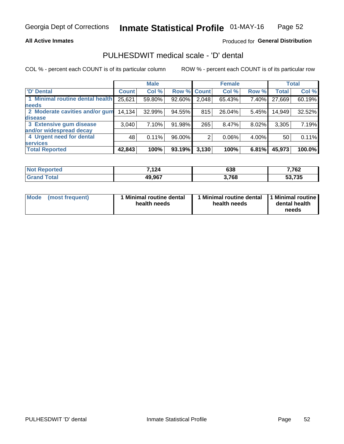### **All Active Inmates**

### Produced for General Distribution

# PULHESDWIT medical scale - 'D' dental

COL % - percent each COUNT is of its particular column

|                                 |              | <b>Male</b> |        |              | <b>Female</b> |       |              | <b>Total</b> |
|---------------------------------|--------------|-------------|--------|--------------|---------------|-------|--------------|--------------|
| <b>D'</b> Dental                | <b>Count</b> | Col %       | Row %  | <b>Count</b> | Col %         | Row % | <b>Total</b> | Col %        |
| 1 Minimal routine dental health | 25,621       | 59.80%      | 92.60% | 2,048        | 65.43%        | 7.40% | 27,669       | 60.19%       |
| <b>needs</b>                    |              |             |        |              |               |       |              |              |
| 2 Moderate cavities and/or gum  | 14,134       | 32.99%      | 94.55% | 815          | 26.04%        | 5.45% | 14,949       | 32.52%       |
| disease                         |              |             |        |              |               |       |              |              |
| 3 Extensive gum disease         | 3,040        | 7.10%       | 91.98% | 265          | 8.47%         | 8.02% | 3,305        | 7.19%        |
| and/or widespread decay         |              |             |        |              |               |       |              |              |
| 4 Urgent need for dental        | 48           | 0.11%       | 96.00% |              | 0.06%         | 4.00% | 50           | 0.11%        |
| <b>services</b>                 |              |             |        |              |               |       |              |              |
| <b>Total Reported</b>           | 42,843       | 100%        | 93.19% | 3,130        | 100%          | 6.81% | 45,973       | 100.0%       |

| <b>Not Reported</b>   | 7,124  | 638   | 7,762  |
|-----------------------|--------|-------|--------|
| <b>Total</b><br>Grand | 49,967 | 3,768 | 53,735 |

| <b>Mode</b> | (most frequent) | <b>Minimal routine dental</b><br>health needs | 1 Minimal routine dental<br>health needs | <b>11 Minimal routine I</b><br>dental health<br>needs |
|-------------|-----------------|-----------------------------------------------|------------------------------------------|-------------------------------------------------------|
|-------------|-----------------|-----------------------------------------------|------------------------------------------|-------------------------------------------------------|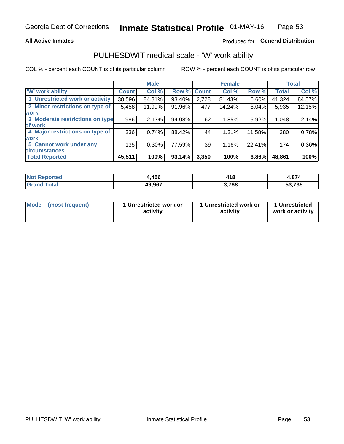### **All Active Inmates**

### Produced for General Distribution

### PULHESDWIT medical scale - 'W' work ability

COL % - percent each COUNT is of its particular column

|                                 |                    | <b>Male</b> |             |       | <b>Female</b> |        |              | <b>Total</b> |
|---------------------------------|--------------------|-------------|-------------|-------|---------------|--------|--------------|--------------|
| 'W' work ability                | Count <sup>'</sup> | Col %       | Row % Count |       | Col %         | Row %  | <b>Total</b> | Col %        |
| 1 Unrestricted work or activity | 38,596             | 84.81%      | 93.40%      | 2,728 | 81.43%        | 6.60%  | 41,324       | 84.57%       |
| 2 Minor restrictions on type of | 5,458              | 11.99%      | 91.96%      | 477   | 14.24%        | 8.04%  | 5,935        | 12.15%       |
| <b>work</b>                     |                    |             |             |       |               |        |              |              |
| 3 Moderate restrictions on type | 986                | 2.17%       | 94.08%      | 62    | 1.85%         | 5.92%  | 1,048        | 2.14%        |
| lof work                        |                    |             |             |       |               |        |              |              |
| 4 Major restrictions on type of | 336                | 0.74%       | 88.42%      | 44    | 1.31%         | 11.58% | 380          | 0.78%        |
| <b>work</b>                     |                    |             |             |       |               |        |              |              |
| 5 Cannot work under any         | 135                | $0.30\%$    | 77.59%      | 39    | 1.16%         | 22.41% | 174          | 0.36%        |
| <b>circumstances</b>            |                    |             |             |       |               |        |              |              |
| <b>Total Reported</b>           | 45,511             | 100%        | 93.14%      | 3,350 | 100%          | 6.86%  | 48,861       | 100%         |

| <b>Not Reported</b> | .456   | 418   | $\sim$ $\sim$ $\sim$<br>71.<br>1.O / 4 |
|---------------------|--------|-------|----------------------------------------|
| Total<br>Grand      | 49,967 | 3,768 | 53,735                                 |

| Mode (most frequent) | 1 Unrestricted work or | 1 Unrestricted work or | 1 Unrestricted   |
|----------------------|------------------------|------------------------|------------------|
|                      | activity               | activity               | work or activity |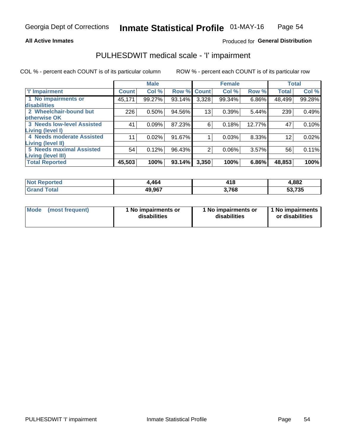### **All Active Inmates**

### Produced for General Distribution

# PULHESDWIT medical scale - 'I' impairment

COL % - percent each COUNT is of its particular column ROW % - percent each COUNT is of its particular row

|                                   |              | <b>Male</b> |             |       | <b>Female</b> |        |              | <b>Total</b> |
|-----------------------------------|--------------|-------------|-------------|-------|---------------|--------|--------------|--------------|
| <b>T' Impairment</b>              | <b>Count</b> | Col %       | Row % Count |       | Col %         | Row %  | <b>Total</b> | Col %        |
| 1 No impairments or               | 45,171       | 99.27%      | 93.14%      | 3,328 | 99.34%        | 6.86%  | 48,499       | 99.28%       |
| disabilities                      |              |             |             |       |               |        |              |              |
| 2 Wheelchair-bound but            | 226          | $0.50\%$    | 94.56%      | 13    | 0.39%         | 5.44%  | 239          | 0.49%        |
| otherwise OK                      |              |             |             |       |               |        |              |              |
| <b>3 Needs low-level Assisted</b> | 41           | 0.09%       | 87.23%      | 6     | 0.18%         | 12.77% | 47           | 0.10%        |
| Living (level I)                  |              |             |             |       |               |        |              |              |
| 4 Needs moderate Assisted         | 11           | 0.02%       | 91.67%      |       | 0.03%         | 8.33%  | 12           | 0.02%        |
| <b>Living (level II)</b>          |              |             |             |       |               |        |              |              |
| 5 Needs maximal Assisted          | 54           | 0.12%       | 96.43%      | 2     | 0.06%         | 3.57%  | 56           | 0.11%        |
| <b>Living (level III)</b>         |              |             |             |       |               |        |              |              |
| <b>Total Reported</b>             | 45,503       | 100%        | 93.14%      | 3,350 | 100%          | 6.86%  | 48,853       | 100%         |

| <b>rted</b><br>NO. | 464    | 418         | 4,882         |
|--------------------|--------|-------------|---------------|
| $\sim$ $\sim$      | 49,967 | 700<br>70 O | 53,735<br>აა. |

| Mode | (most frequent) | 1 No impairments or<br>disabilities | 1 No impairments or<br>disabilities | 1 No impairments<br>or disabilities |
|------|-----------------|-------------------------------------|-------------------------------------|-------------------------------------|
|------|-----------------|-------------------------------------|-------------------------------------|-------------------------------------|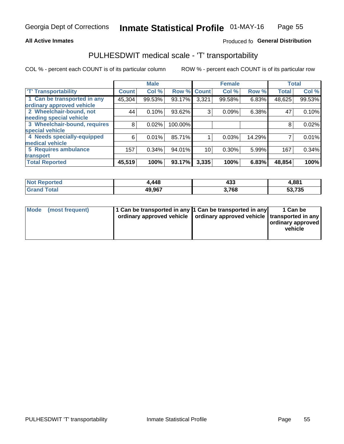### **All Active Inmates**

### Produced fo General Distribution

## PULHESDWIT medical scale - 'T' transportability

COL % - percent each COUNT is of its particular column

|                              |              | <b>Male</b> |         |              | <b>Female</b> |        | <b>Total</b> |        |
|------------------------------|--------------|-------------|---------|--------------|---------------|--------|--------------|--------|
| <b>T' Transportability</b>   | <b>Count</b> | Col %       | Row %   | <b>Count</b> | Col %         | Row %  | <b>Total</b> | Col %  |
| 1 Can be transported in any  | 45,304       | 99.53%      | 93.17%  | 3,321        | 99.58%        | 6.83%  | 48,625       | 99.53% |
| ordinary approved vehicle    |              |             |         |              |               |        |              |        |
| 2 Wheelchair-bound, not      | 44           | 0.10%       | 93.62%  | 3            | 0.09%         | 6.38%  | 47           | 0.10%  |
| needing special vehicle      |              |             |         |              |               |        |              |        |
| 3 Wheelchair-bound, requires | 8            | 0.02%       | 100.00% |              |               |        | 8            | 0.02%  |
| special vehicle              |              |             |         |              |               |        |              |        |
| 4 Needs specially-equipped   | 6            | 0.01%       | 85.71%  |              | 0.03%         | 14.29% |              | 0.01%  |
| medical vehicle              |              |             |         |              |               |        |              |        |
| <b>5 Requires ambulance</b>  | 157          | 0.34%       | 94.01%  | 10           | 0.30%         | 5.99%  | 167          | 0.34%  |
| transport                    |              |             |         |              |               |        |              |        |
| <b>Total Reported</b>        | 45,519       | 100%        | 93.17%  | 3,335        | 100%          | 6.83%  | 48,854       | 100%   |

| <b>Not</b><br>Reported | ,448   | 433   | 4,881  |
|------------------------|--------|-------|--------|
| Total                  | 49,967 | 3,768 | 53,735 |

|  | Mode (most frequent) | 1 Can be transported in any 1 Can be transported in any<br>ordinary approved vehicle   ordinary approved vehicle   transported in any |  | 1 Can be<br>  ordinary approved  <br>vehicle |
|--|----------------------|---------------------------------------------------------------------------------------------------------------------------------------|--|----------------------------------------------|
|--|----------------------|---------------------------------------------------------------------------------------------------------------------------------------|--|----------------------------------------------|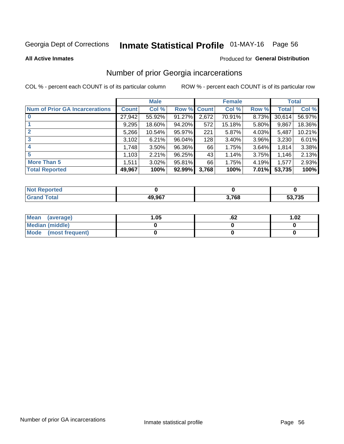# Inmate Statistical Profile 01-MAY-16 Page 56

#### **All Active Inmates**

### Produced for General Distribution

### Number of prior Georgia incarcerations

COL % - percent each COUNT is of its particular column

|                                       |              | <b>Male</b> |                    |       | <b>Female</b> |       |        | <b>Total</b> |
|---------------------------------------|--------------|-------------|--------------------|-------|---------------|-------|--------|--------------|
| <b>Num of Prior GA Incarcerations</b> | <b>Count</b> | Col %       | <b>Row % Count</b> |       | Col %         | Row % | Total  | Col %        |
|                                       | 27,942       | 55.92%      | 91.27%             | 2,672 | 70.91%        | 8.73% | 30,614 | 56.97%       |
|                                       | 9,295        | 18.60%      | 94.20%             | 572   | 15.18%        | 5.80% | 9,867  | 18.36%       |
| $\overline{2}$                        | 5,266        | 10.54%      | 95.97%             | 221   | 5.87%         | 4.03% | 5,487  | 10.21%       |
| 3                                     | 3,102        | 6.21%       | 96.04%             | 128   | 3.40%         | 3.96% | 3,230  | 6.01%        |
| $\boldsymbol{4}$                      | 1,748        | 3.50%       | 96.36%             | 66    | 1.75%         | 3.64% | 1,814  | 3.38%        |
| 5                                     | 1,103        | 2.21%       | 96.25%             | 43    | 1.14%         | 3.75% | 1,146  | 2.13%        |
| <b>More Than 5</b>                    | 1,511        | 3.02%       | 95.81%             | 66    | 1.75%         | 4.19% | 1,577  | 2.93%        |
| <b>Total Reported</b>                 | 49,967       | 100%        | 92.99%             | 3,768 | 100%          | 7.01% | 53,735 | 100%         |

| <b>Not Reported</b> |        |       |        |
|---------------------|--------|-------|--------|
| <sup>r</sup> otal   | 49,967 | 3,768 | 53,735 |

| Mean (average)       | .05 | .oz | 1.02 |
|----------------------|-----|-----|------|
| Median (middle)      |     |     |      |
| Mode (most frequent) |     |     |      |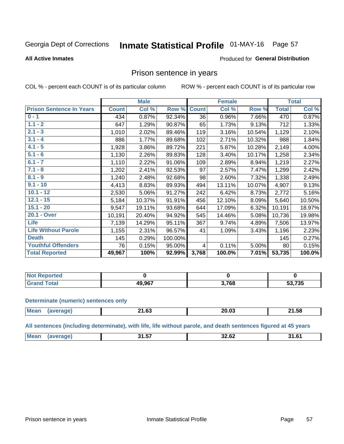#### Inmate Statistical Profile 01-MAY-16 Page 57

### **All Active Inmates**

### Produced for General Distribution

### Prison sentence in years

COL % - percent each COUNT is of its particular column

ROW % - percent each COUNT is of its particular row

|                                 |              | <b>Male</b> |         |              | <b>Female</b> |        |              | <b>Total</b> |
|---------------------------------|--------------|-------------|---------|--------------|---------------|--------|--------------|--------------|
| <b>Prison Sentence In Years</b> | <b>Count</b> | Col %       | Row %   | <b>Count</b> | Col %         | Row %  | <b>Total</b> | Col %        |
| $0 - 1$                         | 434          | 0.87%       | 92.34%  | 36           | 0.96%         | 7.66%  | 470          | 0.87%        |
| $1.1 - 2$                       | 647          | 1.29%       | 90.87%  | 65           | 1.73%         | 9.13%  | 712          | 1.33%        |
| $2.1 - 3$                       | 1,010        | 2.02%       | 89.46%  | 119          | 3.16%         | 10.54% | 1,129        | 2.10%        |
| $3.1 - 4$                       | 886          | 1.77%       | 89.68%  | 102          | 2.71%         | 10.32% | 988          | 1.84%        |
| $4.1 - 5$                       | 1,928        | 3.86%       | 89.72%  | 221          | 5.87%         | 10.28% | 2,149        | 4.00%        |
| $5.1 - 6$                       | 1,130        | 2.26%       | 89.83%  | 128          | 3.40%         | 10.17% | 1,258        | 2.34%        |
| $6.1 - 7$                       | 1,110        | 2.22%       | 91.06%  | 109          | 2.89%         | 8.94%  | 1,219        | 2.27%        |
| $7.1 - 8$                       | 1,202        | 2.41%       | 92.53%  | 97           | 2.57%         | 7.47%  | 1,299        | 2.42%        |
| $8.1 - 9$                       | 1,240        | 2.48%       | 92.68%  | 98           | 2.60%         | 7.32%  | 1,338        | 2.49%        |
| $9.1 - 10$                      | 4,413        | 8.83%       | 89.93%  | 494          | 13.11%        | 10.07% | 4,907        | 9.13%        |
| $10.1 - 12$                     | 2,530        | 5.06%       | 91.27%  | 242          | 6.42%         | 8.73%  | 2,772        | 5.16%        |
| $12.1 - 15$                     | 5,184        | 10.37%      | 91.91%  | 456          | 12.10%        | 8.09%  | 5,640        | 10.50%       |
| $15.1 - 20$                     | 9,547        | 19.11%      | 93.68%  | 644          | 17.09%        | 6.32%  | 10,191       | 18.97%       |
| 20.1 - Over                     | 10,191       | 20.40%      | 94.92%  | 545          | 14.46%        | 5.08%  | 10,736       | 19.98%       |
| <b>Life</b>                     | 7,139        | 14.29%      | 95.11%  | 367          | 9.74%         | 4.89%  | 7,506        | 13.97%       |
| <b>Life Without Parole</b>      | 1,155        | 2.31%       | 96.57%  | 41           | 1.09%         | 3.43%  | 1,196        | 2.23%        |
| <b>Death</b>                    | 145          | 0.29%       | 100.00% |              |               |        | 145          | 0.27%        |
| <b>Youthful Offenders</b>       | 76           | 0.15%       | 95.00%  | 4            | 0.11%         | 5.00%  | 80           | 0.15%        |
| <b>Total Reported</b>           | 49,967       | 100%        | 92.99%  | 3,768        | 100.0%        | 7.01%  | 53,735       | 100.0%       |

| <b>NOT</b><br>portea |        |               |        |
|----------------------|--------|---------------|--------|
|                      | 19.967 | 200 ל<br>' OC | 53,735 |

#### **Determinate (numeric) sentences only**

| <b>Mean</b> | <b>הה או</b><br><b>21.09</b> | ZU.US | 21.58 |
|-------------|------------------------------|-------|-------|
|             |                              |       |       |

All sentences (including determinate), with life, life without parole, and death sentences figured at 45 years

| Me: | .<br>. .<br>$\overline{\phantom{a}}$<br>. J | <br>JZ.UZ<br>____ | -61<br>- 24<br>ט.ו |
|-----|---------------------------------------------|-------------------|--------------------|
|     |                                             |                   |                    |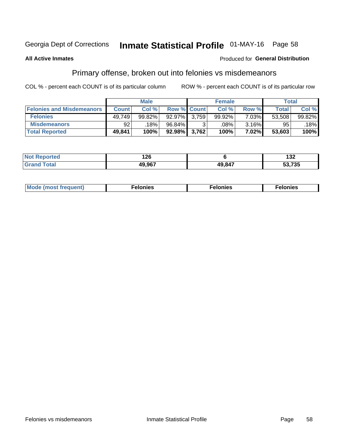# Inmate Statistical Profile 01-MAY-16 Page 58

### **All Active Inmates**

### Produced for General Distribution

### Primary offense, broken out into felonies vs misdemeanors

COL % - percent each COUNT is of its particular column

|                                  |              | <b>Male</b> |                    |       | <b>Female</b> |       | Total        |        |
|----------------------------------|--------------|-------------|--------------------|-------|---------------|-------|--------------|--------|
| <b>Felonies and Misdemeanors</b> | <b>Count</b> | Col %       | <b>Row % Count</b> |       | Col %         | Row % | <b>Total</b> | Col %  |
| <b>Felonies</b>                  | 49,749       | 99.82%      | 92.97%             | 3.759 | 99.92%        | 7.03% | 53.508       | 99.82% |
| <b>Misdemeanors</b>              | 92           | 18%         | 96.84%             |       | .08%          | 3.16% | 95           | 18%    |
| <b>Total Reported</b>            | 49,841       | 100%        | 92.98% 3,762       |       | 100%          | 7.02% | 53,603       | 100%   |

| <b>Not</b><br>rted<br>. | 126    |        | $\sim$<br>∣J∠        |
|-------------------------|--------|--------|----------------------|
| Grar<br>⊺otaı           | 49.967 | 49.847 | こつ フつに<br>.733<br>ວວ |

| Mode<br>freauent)<br>''''' | onies | nies | elonies |
|----------------------------|-------|------|---------|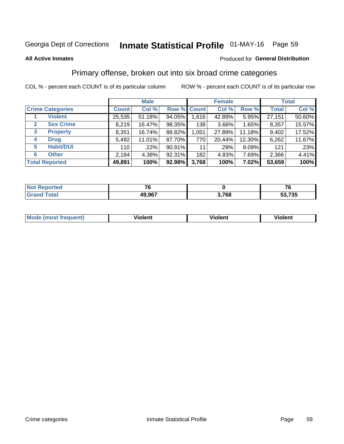# Inmate Statistical Profile 01-MAY-16 Page 59

### **All Active Inmates**

### Produced for General Distribution

### Primary offense, broken out into six broad crime categories

COL % - percent each COUNT is of its particular column

|                                  | <b>Male</b>  |        |        |             | <b>Female</b> | <b>Total</b> |              |        |
|----------------------------------|--------------|--------|--------|-------------|---------------|--------------|--------------|--------|
| <b>Crime Categories</b>          | <b>Count</b> | Col %  |        | Row % Count | Col %         | Row %        | <b>Total</b> | Col %  |
| <b>Violent</b>                   | 25,535       | 51.18% | 94.05% | 1,616       | 42.89%        | 5.95%        | 27,151       | 50.60% |
| <b>Sex Crime</b><br>$\mathbf{2}$ | 8,219        | 16.47% | 98.35% | 138         | $3.66\%$      | 1.65%        | 8,357        | 15.57% |
| 3<br><b>Property</b>             | 8,351        | 16.74% | 88.82% | 1,051       | 27.89%        | 11.18%       | 9,402        | 17.52% |
| <b>Drug</b><br>4                 | 5,492        | 11.01% | 87.70% | 770         | 20.44%        | 12.30%       | 6,262        | 11.67% |
| <b>Habit/DUI</b><br>5            | 110          | .22%   | 90.91% | 11          | .29%          | 9.09%        | 121          | .23%   |
| <b>Other</b><br>6                | 2,184        | 4.38%  | 92.31% | 182         | 4.83%         | 7.69%        | 2,366        | 4.41%  |
| <b>Total Reported</b>            | 49,891       | 100%   | 92.98% | 3,768       | 100%          | 7.02%        | 53,659       | 100%   |

| Reported<br><b>NOT</b> | --     |            | --<br>. U |
|------------------------|--------|------------|-----------|
| <b>Total</b>           | 49,967 | 2700<br>vu | 53,735    |

| Mo<br>uent)<br>nos | .<br>/iolent | <br>Violent | - --<br><b>Tiolent</b> |
|--------------------|--------------|-------------|------------------------|
|                    |              |             |                        |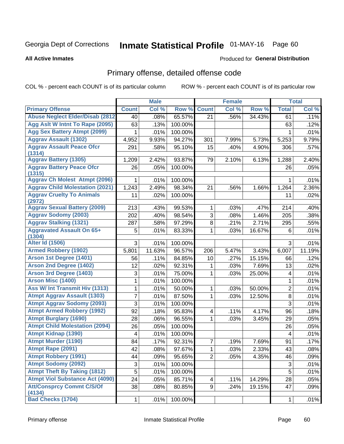# Inmate Statistical Profile 01-MAY-16 Page 60

#### **All Active Inmates**

### **Produced for General Distribution**

# Primary offense, detailed offense code

COL % - percent each COUNT is of its particular column

| Col %<br>Row %<br><b>Count</b><br>Col %<br>Row %<br>Col %<br><b>Primary Offense</b><br><b>Count</b><br><b>Total</b><br><b>Abuse Neglect Elder/Disab (2812)</b><br>65.57%<br>34.43%<br>.11%<br>.08%<br>21<br>.56%<br>40<br>61<br>Agg Aslt W Intnt To Rape (2095)<br>63<br>100.00%<br>.13%<br>63<br>.12%<br><b>Agg Sex Battery Atmpt (2099)</b><br>.01%<br>100.00%<br>.01%<br>1<br>1<br><b>Aggrav Assault (1302)</b><br>9.93%<br>94.27%<br>5.73%<br>9.79%<br>4,952<br>301<br>7.99%<br>5,253<br><b>Aggrav Assault Peace Ofcr</b><br>95.10%<br>15<br>.40%<br>4.90%<br>.57%<br>291<br>.58%<br>306<br>(1314)<br><b>Aggrav Battery (1305)</b><br>2.42%<br>93.87%<br>2.10%<br>2.40%<br>1,209<br>79<br>6.13%<br>1,288<br><b>Aggrav Battery Peace Ofcr</b><br>100.00%<br>.05%<br>26<br>.05%<br>26<br>(1315)<br><b>Aggrav Ch Molest Atmpt (2096)</b><br>100.00%<br>.01%<br>1<br>.01%<br>1<br><b>Aggrav Child Molestation (2021)</b><br>1,243<br>2.49%<br>98.34%<br>21<br>1,264<br>2.36%<br>.56%<br>1.66%<br><b>Aggrav Cruelty To Animals</b><br>100.00%<br>11<br>.02%<br>.02%<br>11<br>(2972)<br><b>Aggrav Sexual Battery (2009)</b><br>213<br>99.53%<br>$\mathbf{1}$<br>.03%<br>214<br>.40%<br>.43%<br>.47%<br><b>Aggrav Sodomy (2003)</b><br>3<br>202<br>.40%<br>98.54%<br>1.46%<br>205<br>.08%<br>.38%<br><b>Aggrav Stalking (1321)</b><br>8<br>.55%<br>287<br>.58%<br>97.29%<br>.21%<br>2.71%<br>295<br><b>Aggravated Assault On 65+</b><br>5<br>.01%<br>83.33%<br>.03%<br>16.67%<br>.01%<br>1<br>6<br>(1304)<br><b>Alter Id (1506)</b><br>3<br>100.00%<br>3<br>.01%<br>.01%<br><b>Armed Robbery (1902)</b><br>11.63%<br>96.57%<br>5.47%<br>3.43%<br>6,007<br>11.19%<br>5,801<br>206<br>Arson 1st Degree (1401)<br>.27%<br>15.15%<br>.11%<br>84.85%<br>.12%<br>56<br>10<br>66<br><b>Arson 2nd Degree (1402)</b><br>12<br>92.31%<br>7.69%<br>.02%<br>.02%<br>.03%<br>13<br>1<br><b>Arson 3rd Degree (1403)</b><br>3<br>.01%<br>75.00%<br>.03%<br>25.00%<br>.01%<br>1<br>4<br>Arson Misc (1400)<br>1<br>.01%<br>100.00%<br>$\mathbf{1}$<br>.01%<br><b>Ass W/ Int Transmit Hiv (1313)</b><br>1<br>$\overline{2}$<br>.01%<br>50.00%<br>$\mathbf{1}$<br>50.00%<br>.01%<br>.03%<br><b>Atmpt Aggrav Assault (1303)</b><br>7<br>8<br>.01%<br>87.50%<br>.01%<br>.03%<br>12.50%<br>1<br><b>Atmpt Aggrav Sodomy (2093)</b><br>3<br>3<br>100.00%<br>.01%<br>.01%<br><b>Atmpt Armed Robbery (1992)</b><br>92<br>.18%<br>95.83%<br>4.17%<br>.18%<br>4<br>.11%<br>96<br><b>Atmpt Burglary (1690)</b><br>96.55%<br>28<br>.06%<br>1<br>.03%<br>3.45%<br>29<br>.05%<br><b>Atmpt Child Molestation (2094)</b><br>26<br>100.00%<br>.05%<br>.05%<br>26<br><b>Atmpt Kidnap (1390)</b><br>100.00%<br>4<br>.01%<br>.01%<br>$\overline{4}$<br><b>Atmpt Murder (1190)</b><br>7<br>.17%<br>84<br>.17%<br>92.31%<br>.19%<br>7.69%<br>91<br>Atmpt Rape (2091)<br>42<br>.08%<br>97.67%<br>.03%<br>2.33%<br>$\overline{43}$<br>.08%<br>$\mathbf 1$<br><b>Atmpt Robbery (1991)</b><br>$\overline{2}$<br>44<br>95.65%<br>.05%<br>4.35%<br>46<br>.09%<br>.09%<br><b>Atmpt Sodomy (2092)</b><br>$\ensuremath{\mathsf{3}}$<br>$\ensuremath{\mathsf{3}}$<br>.01%<br>100.00%<br>.01%<br><b>Atmpt Theft By Taking (1812)</b><br>5<br>5<br>.01%<br>100.00%<br>.01%<br><b>Atmpt Viol Substance Act (4090)</b><br>24<br>.05%<br>85.71%<br>28<br>.05%<br>4<br>.11%<br>14.29% |                                  |    | <b>Male</b> |        |   | <b>Female</b> |        |    | <b>Total</b> |
|----------------------------------------------------------------------------------------------------------------------------------------------------------------------------------------------------------------------------------------------------------------------------------------------------------------------------------------------------------------------------------------------------------------------------------------------------------------------------------------------------------------------------------------------------------------------------------------------------------------------------------------------------------------------------------------------------------------------------------------------------------------------------------------------------------------------------------------------------------------------------------------------------------------------------------------------------------------------------------------------------------------------------------------------------------------------------------------------------------------------------------------------------------------------------------------------------------------------------------------------------------------------------------------------------------------------------------------------------------------------------------------------------------------------------------------------------------------------------------------------------------------------------------------------------------------------------------------------------------------------------------------------------------------------------------------------------------------------------------------------------------------------------------------------------------------------------------------------------------------------------------------------------------------------------------------------------------------------------------------------------------------------------------------------------------------------------------------------------------------------------------------------------------------------------------------------------------------------------------------------------------------------------------------------------------------------------------------------------------------------------------------------------------------------------------------------------------------------------------------------------------------------------------------------------------------------------------------------------------------------------------------------------------------------------------------------------------------------------------------------------------------------------------------------------------------------------------------------------------------------------------------------------------------------------------------------------------------------------------------------------------------------------------------------------------------------------------------------------------------------------------------------------------------------------------------------------------------------------------------------------------------------------------------------------------------------------|----------------------------------|----|-------------|--------|---|---------------|--------|----|--------------|
|                                                                                                                                                                                                                                                                                                                                                                                                                                                                                                                                                                                                                                                                                                                                                                                                                                                                                                                                                                                                                                                                                                                                                                                                                                                                                                                                                                                                                                                                                                                                                                                                                                                                                                                                                                                                                                                                                                                                                                                                                                                                                                                                                                                                                                                                                                                                                                                                                                                                                                                                                                                                                                                                                                                                                                                                                                                                                                                                                                                                                                                                                                                                                                                                                                                                                                                            |                                  |    |             |        |   |               |        |    |              |
|                                                                                                                                                                                                                                                                                                                                                                                                                                                                                                                                                                                                                                                                                                                                                                                                                                                                                                                                                                                                                                                                                                                                                                                                                                                                                                                                                                                                                                                                                                                                                                                                                                                                                                                                                                                                                                                                                                                                                                                                                                                                                                                                                                                                                                                                                                                                                                                                                                                                                                                                                                                                                                                                                                                                                                                                                                                                                                                                                                                                                                                                                                                                                                                                                                                                                                                            |                                  |    |             |        |   |               |        |    |              |
|                                                                                                                                                                                                                                                                                                                                                                                                                                                                                                                                                                                                                                                                                                                                                                                                                                                                                                                                                                                                                                                                                                                                                                                                                                                                                                                                                                                                                                                                                                                                                                                                                                                                                                                                                                                                                                                                                                                                                                                                                                                                                                                                                                                                                                                                                                                                                                                                                                                                                                                                                                                                                                                                                                                                                                                                                                                                                                                                                                                                                                                                                                                                                                                                                                                                                                                            |                                  |    |             |        |   |               |        |    |              |
|                                                                                                                                                                                                                                                                                                                                                                                                                                                                                                                                                                                                                                                                                                                                                                                                                                                                                                                                                                                                                                                                                                                                                                                                                                                                                                                                                                                                                                                                                                                                                                                                                                                                                                                                                                                                                                                                                                                                                                                                                                                                                                                                                                                                                                                                                                                                                                                                                                                                                                                                                                                                                                                                                                                                                                                                                                                                                                                                                                                                                                                                                                                                                                                                                                                                                                                            |                                  |    |             |        |   |               |        |    |              |
|                                                                                                                                                                                                                                                                                                                                                                                                                                                                                                                                                                                                                                                                                                                                                                                                                                                                                                                                                                                                                                                                                                                                                                                                                                                                                                                                                                                                                                                                                                                                                                                                                                                                                                                                                                                                                                                                                                                                                                                                                                                                                                                                                                                                                                                                                                                                                                                                                                                                                                                                                                                                                                                                                                                                                                                                                                                                                                                                                                                                                                                                                                                                                                                                                                                                                                                            |                                  |    |             |        |   |               |        |    |              |
|                                                                                                                                                                                                                                                                                                                                                                                                                                                                                                                                                                                                                                                                                                                                                                                                                                                                                                                                                                                                                                                                                                                                                                                                                                                                                                                                                                                                                                                                                                                                                                                                                                                                                                                                                                                                                                                                                                                                                                                                                                                                                                                                                                                                                                                                                                                                                                                                                                                                                                                                                                                                                                                                                                                                                                                                                                                                                                                                                                                                                                                                                                                                                                                                                                                                                                                            |                                  |    |             |        |   |               |        |    |              |
|                                                                                                                                                                                                                                                                                                                                                                                                                                                                                                                                                                                                                                                                                                                                                                                                                                                                                                                                                                                                                                                                                                                                                                                                                                                                                                                                                                                                                                                                                                                                                                                                                                                                                                                                                                                                                                                                                                                                                                                                                                                                                                                                                                                                                                                                                                                                                                                                                                                                                                                                                                                                                                                                                                                                                                                                                                                                                                                                                                                                                                                                                                                                                                                                                                                                                                                            |                                  |    |             |        |   |               |        |    |              |
|                                                                                                                                                                                                                                                                                                                                                                                                                                                                                                                                                                                                                                                                                                                                                                                                                                                                                                                                                                                                                                                                                                                                                                                                                                                                                                                                                                                                                                                                                                                                                                                                                                                                                                                                                                                                                                                                                                                                                                                                                                                                                                                                                                                                                                                                                                                                                                                                                                                                                                                                                                                                                                                                                                                                                                                                                                                                                                                                                                                                                                                                                                                                                                                                                                                                                                                            |                                  |    |             |        |   |               |        |    |              |
|                                                                                                                                                                                                                                                                                                                                                                                                                                                                                                                                                                                                                                                                                                                                                                                                                                                                                                                                                                                                                                                                                                                                                                                                                                                                                                                                                                                                                                                                                                                                                                                                                                                                                                                                                                                                                                                                                                                                                                                                                                                                                                                                                                                                                                                                                                                                                                                                                                                                                                                                                                                                                                                                                                                                                                                                                                                                                                                                                                                                                                                                                                                                                                                                                                                                                                                            |                                  |    |             |        |   |               |        |    |              |
|                                                                                                                                                                                                                                                                                                                                                                                                                                                                                                                                                                                                                                                                                                                                                                                                                                                                                                                                                                                                                                                                                                                                                                                                                                                                                                                                                                                                                                                                                                                                                                                                                                                                                                                                                                                                                                                                                                                                                                                                                                                                                                                                                                                                                                                                                                                                                                                                                                                                                                                                                                                                                                                                                                                                                                                                                                                                                                                                                                                                                                                                                                                                                                                                                                                                                                                            |                                  |    |             |        |   |               |        |    |              |
|                                                                                                                                                                                                                                                                                                                                                                                                                                                                                                                                                                                                                                                                                                                                                                                                                                                                                                                                                                                                                                                                                                                                                                                                                                                                                                                                                                                                                                                                                                                                                                                                                                                                                                                                                                                                                                                                                                                                                                                                                                                                                                                                                                                                                                                                                                                                                                                                                                                                                                                                                                                                                                                                                                                                                                                                                                                                                                                                                                                                                                                                                                                                                                                                                                                                                                                            |                                  |    |             |        |   |               |        |    |              |
|                                                                                                                                                                                                                                                                                                                                                                                                                                                                                                                                                                                                                                                                                                                                                                                                                                                                                                                                                                                                                                                                                                                                                                                                                                                                                                                                                                                                                                                                                                                                                                                                                                                                                                                                                                                                                                                                                                                                                                                                                                                                                                                                                                                                                                                                                                                                                                                                                                                                                                                                                                                                                                                                                                                                                                                                                                                                                                                                                                                                                                                                                                                                                                                                                                                                                                                            |                                  |    |             |        |   |               |        |    |              |
|                                                                                                                                                                                                                                                                                                                                                                                                                                                                                                                                                                                                                                                                                                                                                                                                                                                                                                                                                                                                                                                                                                                                                                                                                                                                                                                                                                                                                                                                                                                                                                                                                                                                                                                                                                                                                                                                                                                                                                                                                                                                                                                                                                                                                                                                                                                                                                                                                                                                                                                                                                                                                                                                                                                                                                                                                                                                                                                                                                                                                                                                                                                                                                                                                                                                                                                            |                                  |    |             |        |   |               |        |    |              |
|                                                                                                                                                                                                                                                                                                                                                                                                                                                                                                                                                                                                                                                                                                                                                                                                                                                                                                                                                                                                                                                                                                                                                                                                                                                                                                                                                                                                                                                                                                                                                                                                                                                                                                                                                                                                                                                                                                                                                                                                                                                                                                                                                                                                                                                                                                                                                                                                                                                                                                                                                                                                                                                                                                                                                                                                                                                                                                                                                                                                                                                                                                                                                                                                                                                                                                                            |                                  |    |             |        |   |               |        |    |              |
|                                                                                                                                                                                                                                                                                                                                                                                                                                                                                                                                                                                                                                                                                                                                                                                                                                                                                                                                                                                                                                                                                                                                                                                                                                                                                                                                                                                                                                                                                                                                                                                                                                                                                                                                                                                                                                                                                                                                                                                                                                                                                                                                                                                                                                                                                                                                                                                                                                                                                                                                                                                                                                                                                                                                                                                                                                                                                                                                                                                                                                                                                                                                                                                                                                                                                                                            |                                  |    |             |        |   |               |        |    |              |
|                                                                                                                                                                                                                                                                                                                                                                                                                                                                                                                                                                                                                                                                                                                                                                                                                                                                                                                                                                                                                                                                                                                                                                                                                                                                                                                                                                                                                                                                                                                                                                                                                                                                                                                                                                                                                                                                                                                                                                                                                                                                                                                                                                                                                                                                                                                                                                                                                                                                                                                                                                                                                                                                                                                                                                                                                                                                                                                                                                                                                                                                                                                                                                                                                                                                                                                            |                                  |    |             |        |   |               |        |    |              |
|                                                                                                                                                                                                                                                                                                                                                                                                                                                                                                                                                                                                                                                                                                                                                                                                                                                                                                                                                                                                                                                                                                                                                                                                                                                                                                                                                                                                                                                                                                                                                                                                                                                                                                                                                                                                                                                                                                                                                                                                                                                                                                                                                                                                                                                                                                                                                                                                                                                                                                                                                                                                                                                                                                                                                                                                                                                                                                                                                                                                                                                                                                                                                                                                                                                                                                                            |                                  |    |             |        |   |               |        |    |              |
|                                                                                                                                                                                                                                                                                                                                                                                                                                                                                                                                                                                                                                                                                                                                                                                                                                                                                                                                                                                                                                                                                                                                                                                                                                                                                                                                                                                                                                                                                                                                                                                                                                                                                                                                                                                                                                                                                                                                                                                                                                                                                                                                                                                                                                                                                                                                                                                                                                                                                                                                                                                                                                                                                                                                                                                                                                                                                                                                                                                                                                                                                                                                                                                                                                                                                                                            |                                  |    |             |        |   |               |        |    |              |
|                                                                                                                                                                                                                                                                                                                                                                                                                                                                                                                                                                                                                                                                                                                                                                                                                                                                                                                                                                                                                                                                                                                                                                                                                                                                                                                                                                                                                                                                                                                                                                                                                                                                                                                                                                                                                                                                                                                                                                                                                                                                                                                                                                                                                                                                                                                                                                                                                                                                                                                                                                                                                                                                                                                                                                                                                                                                                                                                                                                                                                                                                                                                                                                                                                                                                                                            |                                  |    |             |        |   |               |        |    |              |
|                                                                                                                                                                                                                                                                                                                                                                                                                                                                                                                                                                                                                                                                                                                                                                                                                                                                                                                                                                                                                                                                                                                                                                                                                                                                                                                                                                                                                                                                                                                                                                                                                                                                                                                                                                                                                                                                                                                                                                                                                                                                                                                                                                                                                                                                                                                                                                                                                                                                                                                                                                                                                                                                                                                                                                                                                                                                                                                                                                                                                                                                                                                                                                                                                                                                                                                            |                                  |    |             |        |   |               |        |    |              |
|                                                                                                                                                                                                                                                                                                                                                                                                                                                                                                                                                                                                                                                                                                                                                                                                                                                                                                                                                                                                                                                                                                                                                                                                                                                                                                                                                                                                                                                                                                                                                                                                                                                                                                                                                                                                                                                                                                                                                                                                                                                                                                                                                                                                                                                                                                                                                                                                                                                                                                                                                                                                                                                                                                                                                                                                                                                                                                                                                                                                                                                                                                                                                                                                                                                                                                                            |                                  |    |             |        |   |               |        |    |              |
|                                                                                                                                                                                                                                                                                                                                                                                                                                                                                                                                                                                                                                                                                                                                                                                                                                                                                                                                                                                                                                                                                                                                                                                                                                                                                                                                                                                                                                                                                                                                                                                                                                                                                                                                                                                                                                                                                                                                                                                                                                                                                                                                                                                                                                                                                                                                                                                                                                                                                                                                                                                                                                                                                                                                                                                                                                                                                                                                                                                                                                                                                                                                                                                                                                                                                                                            |                                  |    |             |        |   |               |        |    |              |
|                                                                                                                                                                                                                                                                                                                                                                                                                                                                                                                                                                                                                                                                                                                                                                                                                                                                                                                                                                                                                                                                                                                                                                                                                                                                                                                                                                                                                                                                                                                                                                                                                                                                                                                                                                                                                                                                                                                                                                                                                                                                                                                                                                                                                                                                                                                                                                                                                                                                                                                                                                                                                                                                                                                                                                                                                                                                                                                                                                                                                                                                                                                                                                                                                                                                                                                            |                                  |    |             |        |   |               |        |    |              |
|                                                                                                                                                                                                                                                                                                                                                                                                                                                                                                                                                                                                                                                                                                                                                                                                                                                                                                                                                                                                                                                                                                                                                                                                                                                                                                                                                                                                                                                                                                                                                                                                                                                                                                                                                                                                                                                                                                                                                                                                                                                                                                                                                                                                                                                                                                                                                                                                                                                                                                                                                                                                                                                                                                                                                                                                                                                                                                                                                                                                                                                                                                                                                                                                                                                                                                                            |                                  |    |             |        |   |               |        |    |              |
|                                                                                                                                                                                                                                                                                                                                                                                                                                                                                                                                                                                                                                                                                                                                                                                                                                                                                                                                                                                                                                                                                                                                                                                                                                                                                                                                                                                                                                                                                                                                                                                                                                                                                                                                                                                                                                                                                                                                                                                                                                                                                                                                                                                                                                                                                                                                                                                                                                                                                                                                                                                                                                                                                                                                                                                                                                                                                                                                                                                                                                                                                                                                                                                                                                                                                                                            |                                  |    |             |        |   |               |        |    |              |
|                                                                                                                                                                                                                                                                                                                                                                                                                                                                                                                                                                                                                                                                                                                                                                                                                                                                                                                                                                                                                                                                                                                                                                                                                                                                                                                                                                                                                                                                                                                                                                                                                                                                                                                                                                                                                                                                                                                                                                                                                                                                                                                                                                                                                                                                                                                                                                                                                                                                                                                                                                                                                                                                                                                                                                                                                                                                                                                                                                                                                                                                                                                                                                                                                                                                                                                            |                                  |    |             |        |   |               |        |    |              |
|                                                                                                                                                                                                                                                                                                                                                                                                                                                                                                                                                                                                                                                                                                                                                                                                                                                                                                                                                                                                                                                                                                                                                                                                                                                                                                                                                                                                                                                                                                                                                                                                                                                                                                                                                                                                                                                                                                                                                                                                                                                                                                                                                                                                                                                                                                                                                                                                                                                                                                                                                                                                                                                                                                                                                                                                                                                                                                                                                                                                                                                                                                                                                                                                                                                                                                                            |                                  |    |             |        |   |               |        |    |              |
|                                                                                                                                                                                                                                                                                                                                                                                                                                                                                                                                                                                                                                                                                                                                                                                                                                                                                                                                                                                                                                                                                                                                                                                                                                                                                                                                                                                                                                                                                                                                                                                                                                                                                                                                                                                                                                                                                                                                                                                                                                                                                                                                                                                                                                                                                                                                                                                                                                                                                                                                                                                                                                                                                                                                                                                                                                                                                                                                                                                                                                                                                                                                                                                                                                                                                                                            |                                  |    |             |        |   |               |        |    |              |
|                                                                                                                                                                                                                                                                                                                                                                                                                                                                                                                                                                                                                                                                                                                                                                                                                                                                                                                                                                                                                                                                                                                                                                                                                                                                                                                                                                                                                                                                                                                                                                                                                                                                                                                                                                                                                                                                                                                                                                                                                                                                                                                                                                                                                                                                                                                                                                                                                                                                                                                                                                                                                                                                                                                                                                                                                                                                                                                                                                                                                                                                                                                                                                                                                                                                                                                            |                                  |    |             |        |   |               |        |    |              |
|                                                                                                                                                                                                                                                                                                                                                                                                                                                                                                                                                                                                                                                                                                                                                                                                                                                                                                                                                                                                                                                                                                                                                                                                                                                                                                                                                                                                                                                                                                                                                                                                                                                                                                                                                                                                                                                                                                                                                                                                                                                                                                                                                                                                                                                                                                                                                                                                                                                                                                                                                                                                                                                                                                                                                                                                                                                                                                                                                                                                                                                                                                                                                                                                                                                                                                                            |                                  |    |             |        |   |               |        |    |              |
|                                                                                                                                                                                                                                                                                                                                                                                                                                                                                                                                                                                                                                                                                                                                                                                                                                                                                                                                                                                                                                                                                                                                                                                                                                                                                                                                                                                                                                                                                                                                                                                                                                                                                                                                                                                                                                                                                                                                                                                                                                                                                                                                                                                                                                                                                                                                                                                                                                                                                                                                                                                                                                                                                                                                                                                                                                                                                                                                                                                                                                                                                                                                                                                                                                                                                                                            |                                  |    |             |        |   |               |        |    |              |
|                                                                                                                                                                                                                                                                                                                                                                                                                                                                                                                                                                                                                                                                                                                                                                                                                                                                                                                                                                                                                                                                                                                                                                                                                                                                                                                                                                                                                                                                                                                                                                                                                                                                                                                                                                                                                                                                                                                                                                                                                                                                                                                                                                                                                                                                                                                                                                                                                                                                                                                                                                                                                                                                                                                                                                                                                                                                                                                                                                                                                                                                                                                                                                                                                                                                                                                            |                                  |    |             |        |   |               |        |    |              |
|                                                                                                                                                                                                                                                                                                                                                                                                                                                                                                                                                                                                                                                                                                                                                                                                                                                                                                                                                                                                                                                                                                                                                                                                                                                                                                                                                                                                                                                                                                                                                                                                                                                                                                                                                                                                                                                                                                                                                                                                                                                                                                                                                                                                                                                                                                                                                                                                                                                                                                                                                                                                                                                                                                                                                                                                                                                                                                                                                                                                                                                                                                                                                                                                                                                                                                                            |                                  |    |             |        |   |               |        |    |              |
|                                                                                                                                                                                                                                                                                                                                                                                                                                                                                                                                                                                                                                                                                                                                                                                                                                                                                                                                                                                                                                                                                                                                                                                                                                                                                                                                                                                                                                                                                                                                                                                                                                                                                                                                                                                                                                                                                                                                                                                                                                                                                                                                                                                                                                                                                                                                                                                                                                                                                                                                                                                                                                                                                                                                                                                                                                                                                                                                                                                                                                                                                                                                                                                                                                                                                                                            |                                  |    |             |        |   |               |        |    |              |
|                                                                                                                                                                                                                                                                                                                                                                                                                                                                                                                                                                                                                                                                                                                                                                                                                                                                                                                                                                                                                                                                                                                                                                                                                                                                                                                                                                                                                                                                                                                                                                                                                                                                                                                                                                                                                                                                                                                                                                                                                                                                                                                                                                                                                                                                                                                                                                                                                                                                                                                                                                                                                                                                                                                                                                                                                                                                                                                                                                                                                                                                                                                                                                                                                                                                                                                            |                                  |    |             |        |   |               |        |    |              |
| (4134)                                                                                                                                                                                                                                                                                                                                                                                                                                                                                                                                                                                                                                                                                                                                                                                                                                                                                                                                                                                                                                                                                                                                                                                                                                                                                                                                                                                                                                                                                                                                                                                                                                                                                                                                                                                                                                                                                                                                                                                                                                                                                                                                                                                                                                                                                                                                                                                                                                                                                                                                                                                                                                                                                                                                                                                                                                                                                                                                                                                                                                                                                                                                                                                                                                                                                                                     | <b>Att/Consprcy Commt C/S/Of</b> | 38 | .08%        | 80.85% | 9 | .24%          | 19.15% | 47 | .09%         |
| <b>Bad Checks (1704)</b><br>.01%<br>$\mathbf{1}$<br>.01%<br>100.00%<br>$\mathbf{1}$                                                                                                                                                                                                                                                                                                                                                                                                                                                                                                                                                                                                                                                                                                                                                                                                                                                                                                                                                                                                                                                                                                                                                                                                                                                                                                                                                                                                                                                                                                                                                                                                                                                                                                                                                                                                                                                                                                                                                                                                                                                                                                                                                                                                                                                                                                                                                                                                                                                                                                                                                                                                                                                                                                                                                                                                                                                                                                                                                                                                                                                                                                                                                                                                                                        |                                  |    |             |        |   |               |        |    |              |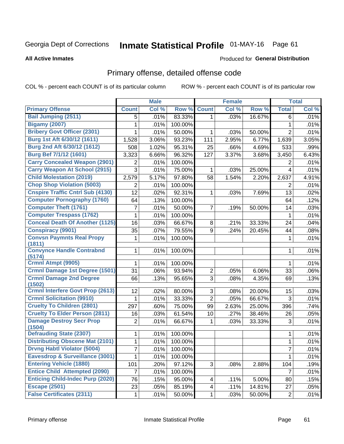# Inmate Statistical Profile 01-MAY-16 Page 61

### **All Active Inmates**

### **Produced for General Distribution**

### Primary offense, detailed offense code

COL % - percent each COUNT is of its particular column

|                                            |                | <b>Male</b> |         |                | <b>Female</b> |        |                | <b>Total</b> |
|--------------------------------------------|----------------|-------------|---------|----------------|---------------|--------|----------------|--------------|
| <b>Primary Offense</b>                     | <b>Count</b>   | Col %       | Row %   | <b>Count</b>   | Col %         | Row %  | <b>Total</b>   | Col %        |
| <b>Bail Jumping (2511)</b>                 | 5              | .01%        | 83.33%  | 1              | .03%          | 16.67% | 6              | .01%         |
| <b>Bigamy (2007)</b>                       | 1              | .01%        | 100.00% |                |               |        | $\mathbf{1}$   | .01%         |
| <b>Bribery Govt Officer (2301)</b>         | 1              | .01%        | 50.00%  | 1              | .03%          | 50.00% | $\overline{2}$ | .01%         |
| Burg 1st Aft 6/30/12 (1611)                | 1,528          | 3.06%       | 93.23%  | 111            | 2.95%         | 6.77%  | 1,639          | 3.05%        |
| Burg 2nd Aft 6/30/12 (1612)                | 508            | 1.02%       | 95.31%  | 25             | .66%          | 4.69%  | 533            | .99%         |
| <b>Burg Bef 7/1/12 (1601)</b>              | 3,323          | 6.66%       | 96.32%  | 127            | 3.37%         | 3.68%  | 3,450          | 6.43%        |
| <b>Carry Concealed Weapon (2901)</b>       | 2              | .01%        | 100.00% |                |               |        | 2              | .01%         |
| <b>Carry Weapon At School (2915)</b>       | 3              | .01%        | 75.00%  | 1              | .03%          | 25.00% | $\overline{4}$ | .01%         |
| <b>Child Molestation (2019)</b>            | 2,579          | 5.17%       | 97.80%  | 58             | 1.54%         | 2.20%  | 2,637          | 4.91%        |
| <b>Chop Shop Violation (5003)</b>          | 2              | .01%        | 100.00% |                |               |        | 2              | .01%         |
| <b>Cnspire Traffic Cntrl Sub (4130)</b>    | 12             | .02%        | 92.31%  | 1              | .03%          | 7.69%  | 13             | .02%         |
| <b>Computer Pornography (1760)</b>         | 64             | .13%        | 100.00% |                |               |        | 64             | .12%         |
| <b>Computer Theft (1761)</b>               | 7              | .01%        | 50.00%  | 7              | .19%          | 50.00% | 14             | .03%         |
| <b>Computer Trespass (1762)</b>            | 1              | .01%        | 100.00% |                |               |        | 1              | .01%         |
| <b>Conceal Death Of Another (1125)</b>     | 16             | .03%        | 66.67%  | 8              | .21%          | 33.33% | 24             | .04%         |
| <b>Conspiracy (9901)</b>                   | 35             | .07%        | 79.55%  | 9              | .24%          | 20.45% | 44             | .08%         |
| <b>Convsn Paymnts Real Propy</b><br>(1811) | 1              | .01%        | 100.00% |                |               |        | $\mathbf{1}$   | .01%         |
| <b>Convynce Handle Contrabnd</b><br>(5174) | 1              | .01%        | 100.00% |                |               |        | 1              | .01%         |
| Crmnl Atmpt (9905)                         | 1              | .01%        | 100.00% |                |               |        | 1              | .01%         |
| Crmnl Damage 1st Degree (1501)             | 31             | .06%        | 93.94%  | $\overline{c}$ | .05%          | 6.06%  | 33             | .06%         |
| <b>Crmnl Damage 2nd Degree</b>             | 66             | .13%        | 95.65%  | 3              | .08%          | 4.35%  | 69             | .13%         |
| (1502)                                     |                |             |         |                |               |        |                |              |
| <b>Crmnl Interfere Govt Prop (2613)</b>    | 12             | .02%        | 80.00%  | 3              | .08%          | 20.00% | 15             | .03%         |
| <b>Crmnl Solicitation (9910)</b>           | 1              | .01%        | 33.33%  | $\overline{2}$ | .05%          | 66.67% | 3              | .01%         |
| <b>Cruelty To Children (2801)</b>          | 297            | .60%        | 75.00%  | 99             | 2.63%         | 25.00% | 396            | .74%         |
| <b>Cruelty To Elder Person (2811)</b>      | 16             | .03%        | 61.54%  | 10             | .27%          | 38.46% | 26             | .05%         |
| <b>Damage Destroy Secr Prop</b><br>(1504)  | $\overline{2}$ | .01%        | 66.67%  | 1              | .03%          | 33.33% | 3              | .01%         |
| <b>Defrauding State (2307)</b>             | 1              | .01%        | 100.00% |                |               |        | 1              | .01%         |
| <b>Distributing Obscene Mat (2101)</b>     | 1              | .01%        | 100.00% |                |               |        | 1              | .01%         |
| <b>Drvng Habtl Violator (5004)</b>         | $\overline{7}$ | .01%        | 100.00% |                |               |        | $\overline{7}$ | .01%         |
| Eavesdrop & Surveillance (3001)            | 1              | .01%        | 100.00% |                |               |        | $\mathbf{1}$   | .01%         |
| <b>Entering Vehicle (1880)</b>             | 101            | .20%        | 97.12%  | 3              | .08%          | 2.88%  | 104            | .19%         |
| <b>Entice Child Attempted (2090)</b>       | $\overline{7}$ | .01%        | 100.00% |                |               |        | $\overline{7}$ | .01%         |
| <b>Enticing Child-Indec Purp (2020)</b>    | 76             | .15%        | 95.00%  | 4              | .11%          | 5.00%  | 80             | .15%         |
| <b>Escape (2501)</b>                       | 23             | .05%        | 85.19%  | 4              | .11%          | 14.81% | 27             | .05%         |
| <b>False Certificates (2311)</b>           | $\mathbf 1$    | .01%        | 50.00%  | 1              | .03%          | 50.00% | $\overline{2}$ | .01%         |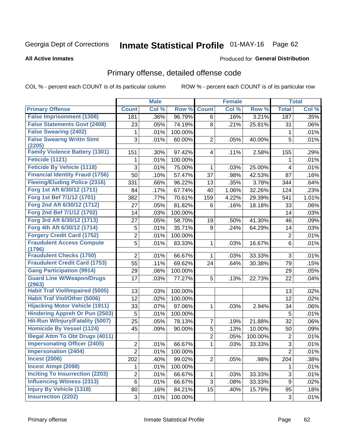# Inmate Statistical Profile 01-MAY-16 Page 62

### **All Active Inmates**

### Produced for General Distribution

# Primary offense, detailed offense code

COL % - percent each COUNT is of its particular column

|                                            |                | <b>Male</b> |         |                         | <b>Female</b> |         |                | <b>Total</b> |
|--------------------------------------------|----------------|-------------|---------|-------------------------|---------------|---------|----------------|--------------|
| <b>Primary Offense</b>                     | <b>Count</b>   | Col %       | Row %   | <b>Count</b>            | Col %         | Row %   | <b>Total</b>   | Col %        |
| <b>False Imprisonment (1308)</b>           | 181            | .36%        | 96.79%  | 6                       | .16%          | 3.21%   | 187            | .35%         |
| <b>False Statements Govt (2408)</b>        | 23             | .05%        | 74.19%  | 8                       | .21%          | 25.81%  | 31             | .06%         |
| <b>False Swearing (2402)</b>               | 1              | .01%        | 100.00% |                         |               |         | 1              | .01%         |
| <b>False Swearng Writtn Stmt</b>           | 3              | .01%        | 60.00%  | $\overline{2}$          | .05%          | 40.00%  | 5              | .01%         |
| (2205)                                     |                |             |         |                         |               |         |                |              |
| <b>Family Violence Battery (1301)</b>      | 151            | .30%        | 97.42%  | $\overline{\mathbf{4}}$ | .11%          | 2.58%   | 155            | .29%         |
| Feticide (1121)                            | 1              | .01%        | 100.00% |                         |               |         | 1              | .01%         |
| <b>Feticide By Vehicle (1118)</b>          | 3              | .01%        | 75.00%  | 1                       | .03%          | 25.00%  | $\overline{4}$ | .01%         |
| <b>Financial Identity Fraud (1756)</b>     | 50             | .10%        | 57.47%  | 37                      | .98%          | 42.53%  | 87             | .16%         |
| <b>Fleeing/Eluding Police (2316)</b>       | 331            | .66%        | 96.22%  | 13                      | .35%          | 3.78%   | 344            | .64%         |
| Forg 1st Aft 6/30/12 (1711)                | 84             | .17%        | 67.74%  | 40                      | 1.06%         | 32.26%  | 124            | .23%         |
| Forg 1st Bef 7/1/12 (1701)                 | 382            | .77%        | 70.61%  | 159                     | 4.22%         | 29.39%  | 541            | 1.01%        |
| Forg 2nd Aft 6/30/12 (1712)                | 27             | .05%        | 81.82%  | 6                       | .16%          | 18.18%  | 33             | .06%         |
| Forg 2nd Bef 7/1/12 (1702)                 | 14             | .03%        | 100.00% |                         |               |         | 14             | .03%         |
| Forg 3rd Aft 6/30/12 (1713)                | 27             | .05%        | 58.70%  | 19                      | .50%          | 41.30%  | 46             | .09%         |
| Forg 4th Aft 6/30/12 (1714)                | 5              | .01%        | 35.71%  | 9                       | .24%          | 64.29%  | 14             | .03%         |
| <b>Forgery Credit Card (1752)</b>          | $\overline{2}$ | .01%        | 100.00% |                         |               |         | $\overline{2}$ | .01%         |
| <b>Fraudulent Access Compute</b>           | 5              | .01%        | 83.33%  | 1                       | .03%          | 16.67%  | 6              | .01%         |
| (1796)                                     |                |             |         |                         |               |         |                |              |
| <b>Fraudulent Checks (1750)</b>            | $\overline{2}$ | .01%        | 66.67%  | 1                       | .03%          | 33.33%  | 3              | .01%         |
| <b>Fraudulent Credit Card (1753)</b>       | 55             | .11%        | 69.62%  | 24                      | .64%          | 30.38%  | 79             | .15%         |
| <b>Gang Participation (9914)</b>           | 29             | .06%        | 100.00% |                         |               |         | 29             | .05%         |
| <b>Guard Line W/Weapon/Drugs</b><br>(2963) | 17             | .03%        | 77.27%  | 5                       | .13%          | 22.73%  | 22             | .04%         |
| <b>Habit Traf Viol/Impaired (5005)</b>     | 13             | .03%        | 100.00% |                         |               |         | 13             | .02%         |
| <b>Habit Traf Viol/Other (5006)</b>        | 12             | .02%        | 100.00% |                         |               |         | 12             | .02%         |
| <b>Hijacking Motor Vehicle (1911)</b>      | 33             | .07%        | 97.06%  | 1                       | .03%          | 2.94%   | 34             | .06%         |
| <b>Hindering Appreh Or Pun (2503)</b>      | 5              | .01%        | 100.00% |                         |               |         | 5              | .01%         |
| Hit-Run W/Injury/Fatality (5007)           | 25             | .05%        | 78.13%  | 7                       | .19%          | 21.88%  | 32             | .06%         |
| <b>Homicide By Vessel (1124)</b>           | 45             | .09%        | 90.00%  | 5                       | .13%          | 10.00%  | 50             | .09%         |
| <b>Illegal Attm To Obt Drugs (4011)</b>    |                |             |         | 2                       | .05%          | 100.00% | $\overline{2}$ | .01%         |
| <b>Impersonating Officer (2405)</b>        | $\overline{2}$ | .01%        | 66.67%  | 1                       | .03%          | 33.33%  | 3              | .01%         |
| <b>Impersonation (2404)</b>                | $\overline{2}$ | .01%        | 100.00% |                         |               |         | $\overline{2}$ | .01%         |
| <b>Incest (2006)</b>                       | 202            | .40%        | 99.02%  | $\overline{2}$          | .05%          | .98%    | 204            | .38%         |
| <b>Incest Atmpt (2098)</b>                 | 1              | .01%        | 100.00% |                         |               |         | 1              | .01%         |
| <b>Inciting To Insurrection (2203)</b>     | $\overline{2}$ | .01%        | 66.67%  | 1                       | .03%          | 33.33%  | 3              | .01%         |
| <b>Influencing Witness (2313)</b>          | 6              | .01%        | 66.67%  | 3                       | .08%          | 33.33%  | 9              | .02%         |
| <b>Injury By Vehicle (1318)</b>            | 80             | .16%        | 84.21%  | 15                      | .40%          | 15.79%  | 95             | .18%         |
| <b>Insurrection (2202)</b>                 | 3              | .01%        | 100.00% |                         |               |         | 3              | .01%         |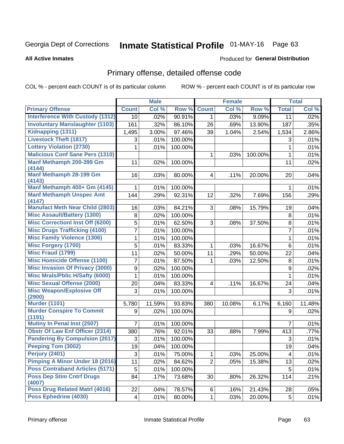# Inmate Statistical Profile 01-MAY-16 Page 63

#### **All Active Inmates**

### Produced for General Distribution

# Primary offense, detailed offense code

COL % - percent each COUNT is of its particular column

|                                            |                 | <b>Male</b> |         |                         | <b>Female</b> |         |                 | <b>Total</b> |
|--------------------------------------------|-----------------|-------------|---------|-------------------------|---------------|---------|-----------------|--------------|
| <b>Primary Offense</b>                     | <b>Count</b>    | Col %       | Row %   | <b>Count</b>            | Col %         | Row %   | <b>Total</b>    | Col %        |
| <b>Interference With Custody (1312)</b>    | 10 <sup>1</sup> | .02%        | 90.91%  | $\mathbf 1$             | .03%          | 9.09%   | $\overline{11}$ | .02%         |
| <b>Involuntary Manslaughter (1103)</b>     | 161             | .32%        | 86.10%  | 26                      | .69%          | 13.90%  | 187             | .35%         |
| Kidnapping (1311)                          | 1,495           | 3.00%       | 97.46%  | 39                      | 1.04%         | 2.54%   | 1,534           | 2.86%        |
| <b>Livestock Theft (1817)</b>              | 3               | .01%        | 100.00% |                         |               |         | 3               | .01%         |
| <b>Lottery Violation (2730)</b>            | 1               | .01%        | 100.00% |                         |               |         | 1               | .01%         |
| <b>Malicious Conf Sane Pers (1310)</b>     |                 |             |         | 1                       | .03%          | 100.00% | $\mathbf{1}$    | .01%         |
| Manf Methamph 200-399 Gm<br>(4144)         | 11              | .02%        | 100.00% |                         |               |         | 11              | .02%         |
| Manf Methamph 28-199 Gm<br>(4143)          | 16              | .03%        | 80.00%  | $\overline{\mathbf{4}}$ | .11%          | 20.00%  | 20              | .04%         |
| Manf Methamph 400+ Gm (4145)               | 1               | .01%        | 100.00% |                         |               |         | 1               | .01%         |
| <b>Manf Methamph Unspec Amt</b><br>(4147)  | 144             | .29%        | 92.31%  | 12                      | .32%          | 7.69%   | 156             | .29%         |
| <b>Manufact Meth Near Child (2803)</b>     | 16              | .03%        | 84.21%  | 3                       | .08%          | 15.79%  | 19              | .04%         |
| <b>Misc Assault/Battery (1300)</b>         | 8               | .02%        | 100.00% |                         |               |         | 8               | .01%         |
| <b>Misc Correctionl Inst Off (6200)</b>    | 5               | .01%        | 62.50%  | 3                       | .08%          | 37.50%  | 8               | .01%         |
| <b>Misc Drugs Trafficking (4100)</b>       | 7               | .01%        | 100.00% |                         |               |         | $\overline{7}$  | .01%         |
| <b>Misc Family Violence (1306)</b>         | 1               | .01%        | 100.00% |                         |               |         | 1               | .01%         |
| <b>Misc Forgery (1700)</b>                 | 5               | .01%        | 83.33%  | 1                       | .03%          | 16.67%  | $6\phantom{1}$  | .01%         |
| <b>Misc Fraud (1799)</b>                   | 11              | .02%        | 50.00%  | 11                      | .29%          | 50.00%  | 22              | .04%         |
| <b>Misc Homicide Offense (1100)</b>        | 7               | .01%        | 87.50%  | 1                       | .03%          | 12.50%  | 8               | .01%         |
| <b>Misc Invasion Of Privacy (3000)</b>     | 9               | .02%        | 100.00% |                         |               |         | 9               | .02%         |
| <b>Misc Mrals/Pblic H/Safty (6000)</b>     | 1               | .01%        | 100.00% |                         |               |         | $\mathbf 1$     | .01%         |
| <b>Misc Sexual Offense (2000)</b>          | 20              | .04%        | 83.33%  | 4                       | .11%          | 16.67%  | 24              | .04%         |
| <b>Misc Weapon/Explosive Off</b><br>(2900) | 3               | .01%        | 100.00% |                         |               |         | 3               | .01%         |
| <b>Murder (1101)</b>                       | 5,780           | 11.59%      | 93.83%  | 380                     | 10.08%        | 6.17%   | 6,160           | 11.48%       |
| <b>Murder Conspire To Commit</b><br>(1191) | 9               | .02%        | 100.00% |                         |               |         | 9               | .02%         |
| Mutiny In Penal Inst (2507)                | $\overline{7}$  | .01%        | 100.00% |                         |               |         | 7               | .01%         |
| <b>Obstr Of Law Enf Officer (2314)</b>     | 380             | .76%        | 92.01%  | 33                      | .88%          | 7.99%   | 413             | .77%         |
| <b>Pandering By Compulsion (2017)</b>      | 3               | .01%        | 100.00% |                         |               |         | 3               | .01%         |
| Peeping Tom (3002)                         | 19              | .04%        | 100.00% |                         |               |         | 19              | .04%         |
| <b>Perjury (2401)</b>                      | 3               | .01%        | 75.00%  | 1                       | .03%          | 25.00%  | 4               | .01%         |
| <b>Pimping A Minor Under 18 (2016)</b>     | 11              | .02%        | 84.62%  | $\overline{2}$          | .05%          | 15.38%  | 13              | .02%         |
| <b>Poss Contraband Articles (5171)</b>     | 5               | .01%        | 100.00% |                         |               |         | 5               | .01%         |
| <b>Poss Dep Stim Cntrf Drugs</b><br>(4007) | 84              | .17%        | 73.68%  | 30                      | .80%          | 26.32%  | 114             | .21%         |
| <b>Poss Drug Related Matri (4016)</b>      | 22              | .04%        | 78.57%  | 6                       | .16%          | 21.43%  | 28              | .05%         |
| <b>Poss Ephedrine (4030)</b>               | 4               | .01%        | 80.00%  | $\mathbf{1}$            | .03%          | 20.00%  | $5\,$           | .01%         |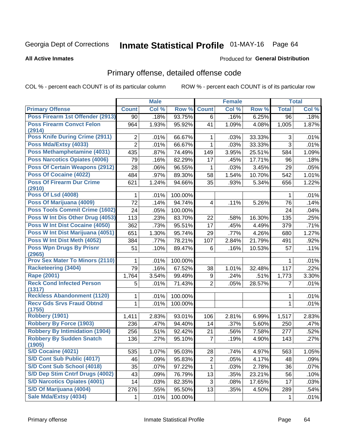# Inmate Statistical Profile 01-MAY-16 Page 64

### **All Active Inmates**

### Produced for General Distribution

# Primary offense, detailed offense code

COL % - percent each COUNT is of its particular column

|                                            |                | <b>Male</b> |         |                | <b>Female</b> |        |              | <b>Total</b> |
|--------------------------------------------|----------------|-------------|---------|----------------|---------------|--------|--------------|--------------|
| <b>Primary Offense</b>                     | <b>Count</b>   | Col %       | Row %   | <b>Count</b>   | Col %         | Row %  | <b>Total</b> | Col %        |
| Poss Firearm 1st Offender (2913)           | 90             | .18%        | 93.75%  | $6 \mid$       | .16%          | 6.25%  | 96           | .18%         |
| <b>Poss Firearm Convct Felon</b><br>(2914) | 964            | 1.93%       | 95.92%  | 41             | 1.09%         | 4.08%  | 1,005        | 1.87%        |
| <b>Poss Knife During Crime (2911)</b>      | 2              | .01%        | 66.67%  | 1              | .03%          | 33.33% | 3            | .01%         |
| Poss Mda/Extsy (4033)                      | $\overline{2}$ | .01%        | 66.67%  | $\mathbf{1}$   | .03%          | 33.33% | 3            | .01%         |
| Poss Methamphetamine (4031)                | 435            | .87%        | 74.49%  | 149            | 3.95%         | 25.51% | 584          | 1.09%        |
| <b>Poss Narcotics Opiates (4006)</b>       | 79             | .16%        | 82.29%  | 17             | .45%          | 17.71% | 96           | .18%         |
| <b>Poss Of Certain Weapons (2912)</b>      | 28             | .06%        | 96.55%  | $\mathbf{1}$   | .03%          | 3.45%  | 29           | .05%         |
| Poss Of Cocaine (4022)                     | 484            | .97%        | 89.30%  | 58             | 1.54%         | 10.70% | 542          | 1.01%        |
| <b>Poss Of Firearm Dur Crime</b><br>(2910) | 621            | 1.24%       | 94.66%  | 35             | .93%          | 5.34%  | 656          | 1.22%        |
| <b>Poss Of Lsd (4008)</b>                  | 1              | .01%        | 100.00% |                |               |        | 1            | .01%         |
| Poss Of Marijuana (4009)                   | 72             | .14%        | 94.74%  | 4              | .11%          | 5.26%  | 76           | .14%         |
| <b>Poss Tools Commit Crime (1602)</b>      | 24             | .05%        | 100.00% |                |               |        | 24           | .04%         |
| Poss W Int Dis Other Drug (4053)           | 113            | .23%        | 83.70%  | 22             | .58%          | 16.30% | 135          | .25%         |
| <b>Poss W Int Dist Cocaine (4050)</b>      | 362            | .73%        | 95.51%  | 17             | .45%          | 4.49%  | 379          | .71%         |
| Poss W Int Dist Marijuana (4051)           | 651            | 1.30%       | 95.74%  | 29             | .77%          | 4.26%  | 680          | 1.27%        |
| Poss W Int Dist Meth (4052)                | 384            | .77%        | 78.21%  | 107            | 2.84%         | 21.79% | 491          | .92%         |
| <b>Poss Wpn Drugs By Prisnr</b><br>(2965)  | 51             | .10%        | 89.47%  | 6              | .16%          | 10.53% | 57           | .11%         |
| <b>Prov Sex Mater To Minors (2110)</b>     | 1              | .01%        | 100.00% |                |               |        | 1            | .01%         |
| <b>Racketeering (3404)</b>                 | 79             | .16%        | 67.52%  | 38             | 1.01%         | 32.48% | 117          | .22%         |
| <b>Rape (2001)</b>                         | 1,764          | 3.54%       | 99.49%  | 9              | .24%          | .51%   | 1,773        | 3.30%        |
| <b>Reck Cond Infected Person</b><br>(1317) | 5              | .01%        | 71.43%  | $\overline{2}$ | .05%          | 28.57% | 7            | .01%         |
| <b>Reckless Abandonment (1120)</b>         | 1              | .01%        | 100.00% |                |               |        | 1            | .01%         |
| <b>Recv Gds Srvs Fraud Obtnd</b><br>(1755) | $\mathbf{1}$   | .01%        | 100.00% |                |               |        | 1            | .01%         |
| Robbery (1901)                             | 1,411          | 2.83%       | 93.01%  | 106            | 2.81%         | 6.99%  | 1,517        | 2.83%        |
| <b>Robbery By Force (1903)</b>             | 236            | .47%        | 94.40%  | 14             | .37%          | 5.60%  | 250          | .47%         |
| <b>Robbery By Intimidation (1904)</b>      | 256            | .51%        | 92.42%  | 21             | .56%          | 7.58%  | 277          | .52%         |
| <b>Robbery By Sudden Snatch</b><br>(1905)  | 136            | .27%        | 95.10%  | $\overline{7}$ | .19%          | 4.90%  | 143          | .27%         |
| S/D Cocaine (4021)                         | 535            | 1.07%       | 95.03%  | 28             | .74%          | 4.97%  | 563          | 1.05%        |
| S/D Cont Sub Public (4017)                 | 46             | .09%        | 95.83%  | $\overline{c}$ | .05%          | 4.17%  | 48           | .09%         |
| S/D Cont Sub School (4018)                 | 35             | .07%        | 97.22%  | $\mathbf{1}$   | .03%          | 2.78%  | 36           | .07%         |
| S/D Dep Stim Cntrf Drugs (4002)            | 43             | .09%        | 76.79%  | 13             | .35%          | 23.21% | 56           | .10%         |
| <b>S/D Narcotics Opiates (4001)</b>        | 14             | .03%        | 82.35%  | 3              | .08%          | 17.65% | 17           | .03%         |
| S/D Of Marijuana (4004)                    | 276            | .55%        | 95.50%  | 13             | .35%          | 4.50%  | 289          | .54%         |
| Sale Mda/Extsy (4034)                      | 1              | .01%        | 100.00% |                |               |        | 1            | .01%         |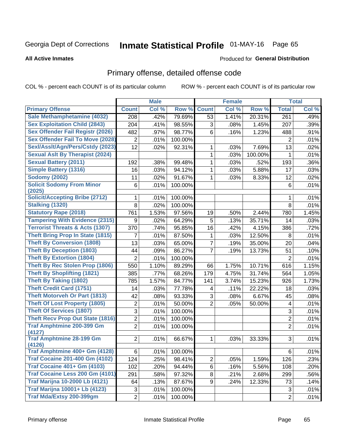# Inmate Statistical Profile 01-MAY-16 Page 65

**All Active Inmates** 

### Produced for General Distribution

# Primary offense, detailed offense code

COL % - percent each COUNT is of its particular column

|                                            |                  | <b>Male</b> |         |                | <b>Female</b> |                     |                           | <b>Total</b> |
|--------------------------------------------|------------------|-------------|---------|----------------|---------------|---------------------|---------------------------|--------------|
| <b>Primary Offense</b>                     | <b>Count</b>     | Col %       | Row %   | <b>Count</b>   | Col %         | Row %               | <b>Total</b>              | Col %        |
| Sale Methamphetamine (4032)                | 208              | .42%        | 79.69%  | 53             | 1.41%         | 20.31%              | 261                       | .49%         |
| <b>Sex Exploitation Child (2843)</b>       | 204              | .41%        | 98.55%  | 3              | .08%          | 1.45%               | 207                       | .39%         |
| <b>Sex Offender Fail Registr (2026)</b>    | 482              | .97%        | 98.77%  | 6              | .16%          | 1.23%               | 488                       | .91%         |
| <b>Sex Offender Fail To Move (2028)</b>    | $\overline{2}$   | .01%        | 100.00% |                |               |                     | $\overline{2}$            | .01%         |
| Sexl/Asslt/Agn/Pers/Cstdy (2023)           | 12               | .02%        | 92.31%  | 1              | .03%          | 7.69%               | 13                        | .02%         |
| <b>Sexual Aslt By Therapist (2024)</b>     |                  |             |         | 1              | .03%          | 100.00%             | 1                         | .01%         |
| <b>Sexual Battery (2011)</b>               | 192              | .38%        | 99.48%  | 1              | .03%          | .52%                | 193                       | .36%         |
| <b>Simple Battery (1316)</b>               | 16               | .03%        | 94.12%  | 1              | .03%          | 5.88%               | 17                        | .03%         |
| <b>Sodomy (2002)</b>                       | 11               | .02%        | 91.67%  | $\mathbf{1}$   | .03%          | 8.33%               | 12                        | .02%         |
| <b>Solicit Sodomy From Minor</b>           | 6                | .01%        | 100.00% |                |               |                     | 6                         | .01%         |
| (2025)                                     |                  |             |         |                |               |                     |                           |              |
| <b>Solicit/Accepting Bribe (2712)</b>      | 1                | .01%        | 100.00% |                |               |                     | 1                         | .01%         |
| <b>Stalking (1320)</b>                     | 8                | .02%        | 100.00% |                |               |                     | 8                         | .01%         |
| <b>Statutory Rape (2018)</b>               | 761              | 1.53%       | 97.56%  | 19             | .50%          | $\overline{2.44\%}$ | 780                       | 1.45%        |
| <b>Tampering With Evidence (2315)</b>      | $\boldsymbol{9}$ | .02%        | 64.29%  | 5              | .13%          | 35.71%              | 14                        | .03%         |
| <b>Terrorist Threats &amp; Acts (1307)</b> | 370              | .74%        | 95.85%  | 16             | .42%          | 4.15%               | 386                       | .72%         |
| <b>Theft Bring Prop In State (1815)</b>    | 7                | .01%        | 87.50%  | 1              | .03%          | 12.50%              | 8                         | .01%         |
| <b>Theft By Conversion (1808)</b>          | 13               | .03%        | 65.00%  | $\overline{7}$ | .19%          | 35.00%              | 20                        | .04%         |
| <b>Theft By Deception (1803)</b>           | 44               | .09%        | 86.27%  | $\overline{7}$ | .19%          | 13.73%              | 51                        | .10%         |
| <b>Theft By Extortion (1804)</b>           | $\overline{2}$   | .01%        | 100.00% |                |               |                     | $\overline{2}$            | .01%         |
| <b>Theft By Rec Stolen Prop (1806)</b>     | 550              | 1.10%       | 89.29%  | 66             | 1.75%         | 10.71%              | 616                       | 1.15%        |
| <b>Theft By Shoplifting (1821)</b>         | 385              | .77%        | 68.26%  | 179            | 4.75%         | 31.74%              | 564                       | 1.05%        |
| <b>Theft By Taking (1802)</b>              | 785              | 1.57%       | 84.77%  | 141            | 3.74%         | 15.23%              | 926                       | 1.73%        |
| <b>Theft Credit Card (1751)</b>            | 14               | .03%        | 77.78%  | 4              | .11%          | 22.22%              | 18                        | .03%         |
| <b>Theft Motorveh Or Part (1813)</b>       | 42               | .08%        | 93.33%  | 3              | .08%          | 6.67%               | 45                        | .08%         |
| <b>Theft Of Lost Property (1805)</b>       | $\overline{2}$   | .01%        | 50.00%  | $\overline{2}$ | .05%          | 50.00%              | $\overline{\mathbf{4}}$   | .01%         |
| <b>Theft Of Services (1807)</b>            | 3                | .01%        | 100.00% |                |               |                     | $\ensuremath{\mathsf{3}}$ | .01%         |
| <b>Theft Recv Prop Out State (1816)</b>    | $\overline{2}$   | .01%        | 100.00% |                |               |                     | $\overline{2}$            | .01%         |
| <b>Traf Amphtmine 200-399 Gm</b>           | $\overline{2}$   | .01%        | 100.00% |                |               |                     | $\overline{2}$            | .01%         |
| (4127)                                     |                  |             |         |                |               |                     |                           |              |
| <b>Traf Amphtmine 28-199 Gm</b><br>(4126)  | $\overline{2}$   | .01%        | 66.67%  | $\mathbf{1}$   | .03%          | 33.33%              | 3                         | .01%         |
| Traf Amphtmine 400+ Gm (4128)              | 6                | .01%        | 100.00% |                |               |                     | 6                         | .01%         |
| <b>Traf Cocaine 201-400 Gm (4102)</b>      | 124              | .25%        | 98.41%  | $\overline{2}$ | .05%          | 1.59%               | 126                       | .23%         |
| <b>Traf Cocaine 401+ Gm (4103)</b>         | 102              | .20%        | 94.44%  | 6              | .16%          | 5.56%               | 108                       | .20%         |
| Traf Cocaine Less 200 Gm (4101)            | 291              | .58%        | 97.32%  | 8              | .21%          | 2.68%               | 299                       | .56%         |
| <b>Traf Marijna 10-2000 Lb (4121)</b>      | 64               | .13%        | 87.67%  | 9              | .24%          | 12.33%              | 73                        | .14%         |
| <b>Traf Marijna 10001+ Lb (4123)</b>       | 3                | .01%        | 100.00% |                |               |                     | 3                         | .01%         |
| Traf Mda/Extsy 200-399gm                   | $\overline{2}$   | .01%        | 100.00% |                |               |                     | $\overline{2}$            | .01%         |
|                                            |                  |             |         |                |               |                     |                           |              |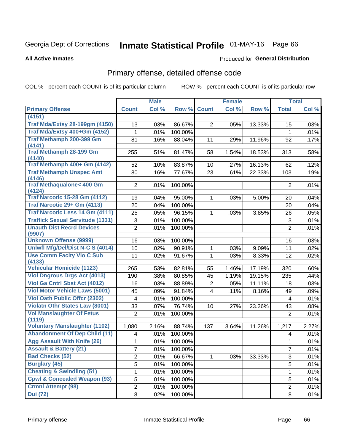# Inmate Statistical Profile 01-MAY-16 Page 66

### **All Active Inmates**

### **Produced for General Distribution**

### Primary offense, detailed offense code

COL % - percent each COUNT is of its particular column

|                                                |                | <b>Male</b> |         |                 | <b>Female</b> |        |                         | <b>Total</b> |
|------------------------------------------------|----------------|-------------|---------|-----------------|---------------|--------|-------------------------|--------------|
| <b>Primary Offense</b>                         | <b>Count</b>   | Col %       | Row %   | <b>Count</b>    | Col %         | Row %  | <b>Total</b>            | Col %        |
| (4151)                                         |                |             |         |                 |               |        |                         |              |
| <b>Traf Mda/Extsy 28-199gm (4150)</b>          | 13             | .03%        | 86.67%  | $\overline{2}$  | .05%          | 13.33% | 15                      | .03%         |
| Traf Mda/Extsy 400+Gm (4152)                   | 1              | .01%        | 100.00% |                 |               |        | 1                       | .01%         |
| Traf Methamph 200-399 Gm                       | 81             | .16%        | 88.04%  | 11              | .29%          | 11.96% | 92                      | .17%         |
| (4141)                                         |                |             |         |                 |               |        |                         |              |
| <b>Traf Methamph 28-199 Gm</b><br>(4140)       | 255            | .51%        | 81.47%  | 58              | 1.54%         | 18.53% | 313                     | .58%         |
| Traf Methamph 400+ Gm (4142)                   | 52             | .10%        | 83.87%  | 10 <sup>°</sup> | .27%          | 16.13% | 62                      | .12%         |
| <b>Traf Methamph Unspec Amt</b>                | 80             | .16%        | 77.67%  | 23              | .61%          | 22.33% | 103                     | .19%         |
| (4146)                                         |                |             |         |                 |               |        |                         |              |
| <b>Traf Methaqualone&lt; 400 Gm</b>            | $\overline{2}$ | .01%        | 100.00% |                 |               |        | $\overline{2}$          | .01%         |
| (4124)<br><b>Traf Narcotic 15-28 Gm (4112)</b> | 19             | .04%        | 95.00%  | $\mathbf 1$     | .03%          | 5.00%  | 20                      | .04%         |
| Traf Narcotic 29+ Gm (4113)                    | 20             | .04%        | 100.00% |                 |               |        | 20                      | .04%         |
| Traf Narcotic Less 14 Gm (4111)                |                |             |         |                 |               |        |                         |              |
|                                                | 25             | .05%        | 96.15%  | 1               | .03%          | 3.85%  | 26                      | .05%         |
| <b>Traffick Sexual Servitude (1331)</b>        | $\mathfrak{S}$ | .01%        | 100.00% |                 |               |        | 3                       | .01%         |
| <b>Unauth Dist Recrd Devices</b><br>(9907)     | $\overline{2}$ | .01%        | 100.00% |                 |               |        | $\overline{2}$          | .01%         |
| <b>Unknown Offense (9999)</b>                  | 16             | .03%        | 100.00% |                 |               |        | 16                      | .03%         |
| Uniwfl Mfg/Del/Dist N-C S (4014)               | 10             | .02%        | 90.91%  | 1               | .03%          | 9.09%  | 11                      | .02%         |
| <b>Use Comm Facity Vio C Sub</b><br>(4133)     | 11             | .02%        | 91.67%  | $\mathbf{1}$    | .03%          | 8.33%  | 12                      | .02%         |
| <b>Vehicular Homicide (1123)</b>               | 265            | .53%        | 82.81%  | 55              | 1.46%         | 17.19% | 320                     | .60%         |
| <b>Viol Dngrous Drgs Act (4013)</b>            | 190            | .38%        | 80.85%  | 45              | 1.19%         | 19.15% | 235                     | .44%         |
| <b>Viol Ga Cntrl Sbst Act (4012)</b>           | 16             | .03%        | 88.89%  | 2               | .05%          | 11.11% | 18                      | .03%         |
| <b>Viol Motor Vehicle Laws (5001)</b>          | 45             | .09%        | 91.84%  | $\overline{4}$  | .11%          | 8.16%  | 49                      | .09%         |
| <b>Viol Oath Public Offcr (2302)</b>           | 4              | .01%        | 100.00% |                 |               |        | $\overline{\mathbf{4}}$ | .01%         |
| <b>Violatn Othr States Law (8001)</b>          | 33             | .07%        | 76.74%  | 10              | .27%          | 23.26% | 43                      | .08%         |
| <b>Vol Manslaughter Of Fetus</b><br>(1119)     | $\overline{2}$ | .01%        | 100.00% |                 |               |        | $\overline{2}$          | .01%         |
| <b>Voluntary Manslaughter (1102)</b>           | 1,080          | 2.16%       | 88.74%  | 137             | 3.64%         | 11.26% | 1,217                   | 2.27%        |
| <b>Abandonment Of Dep Child (11)</b>           | 4              | .01%        | 100.00% |                 |               |        | 4                       | .01%         |
| <b>Agg Assault With Knife (26)</b>             | 1              | .01%        | 100.00% |                 |               |        | 1                       | .01%         |
| <b>Assault &amp; Battery (21)</b>              | 7              | .01%        | 100.00% |                 |               |        | $\overline{7}$          | .01%         |
| <b>Bad Checks (52)</b>                         | $\overline{2}$ | .01%        | 66.67%  | $\mathbf 1$     | .03%          | 33.33% | 3                       | .01%         |
| <b>Burglary (45)</b>                           | 5              | .01%        | 100.00% |                 |               |        | 5                       | .01%         |
| <b>Cheating &amp; Swindling (51)</b>           | 1              | .01%        | 100.00% |                 |               |        | 1                       | .01%         |
| <b>Cpwl &amp; Concealed Weapon (93)</b>        | 5              | .01%        | 100.00% |                 |               |        | 5                       | .01%         |
| <b>Crmnl Attempt (98)</b>                      | $\overline{2}$ | .01%        | 100.00% |                 |               |        | $\overline{2}$          | .01%         |
| <b>Dui</b> (72)                                | 8              | .02%        | 100.00% |                 |               |        | 8                       | .01%         |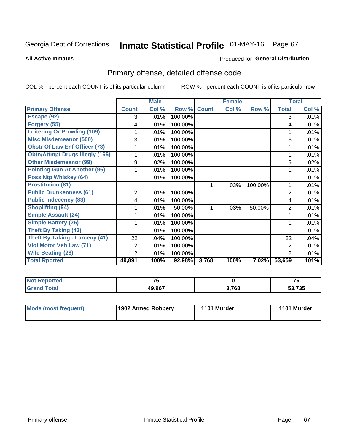# Inmate Statistical Profile 01-MAY-16 Page 67

### **All Active Inmates**

### Produced for General Distribution

# Primary offense, detailed offense code

COL % - percent each COUNT is of its particular column

|                                        |                | <b>Male</b> |         |              | <b>Female</b>             |         |                | <b>Total</b> |
|----------------------------------------|----------------|-------------|---------|--------------|---------------------------|---------|----------------|--------------|
| <b>Primary Offense</b>                 | <b>Count</b>   | Col %       | Row %   | <b>Count</b> | $\overline{\text{Col}}$ % | Row %   | <b>Total</b>   | Col %        |
| Escape (92)                            | 3              | .01%        | 100.00% |              |                           |         | 3              | .01%         |
| Forgery (55)                           | 4              | .01%        | 100.00% |              |                           |         | 4              | .01%         |
| <b>Loitering Or Prowling (109)</b>     |                | .01%        | 100.00% |              |                           |         |                | .01%         |
| <b>Misc Misdemeanor (500)</b>          | 3              | .01%        | 100.00% |              |                           |         | 3              | .01%         |
| <b>Obstr Of Law Enf Officer (73)</b>   |                | .01%        | 100.00% |              |                           |         |                | .01%         |
| <b>Obtn/Attmpt Drugs Illegly (165)</b> |                | .01%        | 100.00% |              |                           |         |                | .01%         |
| <b>Other Misdemeanor (99)</b>          | 9              | $.02\%$     | 100.00% |              |                           |         | 9              | .02%         |
| <b>Pointing Gun At Another (96)</b>    |                | .01%        | 100.00% |              |                           |         |                | .01%         |
| <b>Poss Ntp Whiskey (64)</b>           |                | .01%        | 100.00% |              |                           |         |                | .01%         |
| <b>Prostitution (81)</b>               |                |             |         | 1            | .03%                      | 100.00% |                | .01%         |
| <b>Public Drunkenness (61)</b>         | $\overline{2}$ | .01%        | 100.00% |              |                           |         | $\overline{2}$ | .01%         |
| <b>Public Indecency (83)</b>           | 4              | .01%        | 100.00% |              |                           |         | 4              | .01%         |
| <b>Shoplifting (94)</b>                |                | .01%        | 50.00%  | 1            | .03%                      | 50.00%  | $\overline{2}$ | .01%         |
| Simple Assault (24)                    |                | .01%        | 100.00% |              |                           |         |                | .01%         |
| <b>Simple Battery (25)</b>             |                | .01%        | 100.00% |              |                           |         |                | .01%         |
| <b>Theft By Taking (43)</b>            |                | .01%        | 100.00% |              |                           |         |                | .01%         |
| <b>Theft By Taking - Larceny (41)</b>  | 22             | .04%        | 100.00% |              |                           |         | 22             | .04%         |
| Viol Motor Veh Law (71)                | 2              | .01%        | 100.00% |              |                           |         | 2              | .01%         |
| <b>Wife Beating (28)</b>               | 2              | .01%        | 100.00% |              |                           |         | $\overline{2}$ | .01%         |
| <b>Total Rported</b>                   | 49,891         | 100%        | 92.98%  | 3,768        | 100%                      | 7.02%   | 53,659         | 101%         |

| <b>N</b><br>тео | $\rightarrow$    |       | $\rightarrow$             |
|-----------------|------------------|-------|---------------------------|
|                 | 49 967<br>49,907 | 3,768 | $F^{\alpha}$ zor<br>7 J J |

| Mode (most frequent) | 1902 Armed Robbery | 1101 Murder | 1101 Murder |
|----------------------|--------------------|-------------|-------------|
|----------------------|--------------------|-------------|-------------|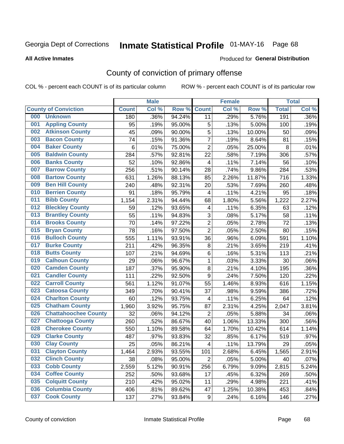# Inmate Statistical Profile 01-MAY-16 Page 68

#### **All Active Inmates**

### Produced for General Distribution

# County of conviction of primary offense

COL % - percent each COUNT is of its particular column

|     |                             |              | <b>Male</b> |        |                         | <b>Female</b> |        |              | <b>Total</b> |
|-----|-----------------------------|--------------|-------------|--------|-------------------------|---------------|--------|--------------|--------------|
|     | <b>County of Conviction</b> | <b>Count</b> | Col %       | Row %  | <b>Count</b>            | Col %         | Row %  | <b>Total</b> | Col %        |
| 000 | <b>Unknown</b>              | 180          | .36%        | 94.24% | 11                      | .29%          | 5.76%  | 191          | .36%         |
| 001 | <b>Appling County</b>       | 95           | .19%        | 95.00% | 5                       | .13%          | 5.00%  | 100          | .19%         |
| 002 | <b>Atkinson County</b>      | 45           | .09%        | 90.00% | $\sqrt{5}$              | .13%          | 10.00% | 50           | .09%         |
| 003 | <b>Bacon County</b>         | 74           | .15%        | 91.36% | $\overline{7}$          | .19%          | 8.64%  | 81           | .15%         |
| 004 | <b>Baker County</b>         | 6            | .01%        | 75.00% | $\overline{2}$          | .05%          | 25.00% | 8            | .01%         |
| 005 | <b>Baldwin County</b>       | 284          | .57%        | 92.81% | 22                      | .58%          | 7.19%  | 306          | .57%         |
| 006 | <b>Banks County</b>         | 52           | .10%        | 92.86% | $\overline{4}$          | .11%          | 7.14%  | 56           | .10%         |
| 007 | <b>Barrow County</b>        | 256          | .51%        | 90.14% | 28                      | .74%          | 9.86%  | 284          | .53%         |
| 008 | <b>Bartow County</b>        | 631          | 1.26%       | 88.13% | 85                      | 2.26%         | 11.87% | 716          | 1.33%        |
| 009 | <b>Ben Hill County</b>      | 240          | .48%        | 92.31% | 20                      | .53%          | 7.69%  | 260          | .48%         |
| 010 | <b>Berrien County</b>       | 91           | .18%        | 95.79% | $\overline{\mathbf{4}}$ | .11%          | 4.21%  | 95           | .18%         |
| 011 | <b>Bibb County</b>          | 1,154        | 2.31%       | 94.44% | 68                      | 1.80%         | 5.56%  | 1,222        | 2.27%        |
| 012 | <b>Bleckley County</b>      | 59           | .12%        | 93.65% | 4                       | .11%          | 6.35%  | 63           | .12%         |
| 013 | <b>Brantley County</b>      | 55           | .11%        | 94.83% | 3                       | .08%          | 5.17%  | 58           | .11%         |
| 014 | <b>Brooks County</b>        | 70           | .14%        | 97.22% | $\overline{2}$          | .05%          | 2.78%  | 72           | .13%         |
| 015 | <b>Bryan County</b>         | 78           | .16%        | 97.50% | $\overline{2}$          | .05%          | 2.50%  | 80           | .15%         |
| 016 | <b>Bulloch County</b>       | 555          | 1.11%       | 93.91% | 36                      | .96%          | 6.09%  | 591          | 1.10%        |
| 017 | <b>Burke County</b>         | 211          | .42%        | 96.35% | $\bf 8$                 | .21%          | 3.65%  | 219          | .41%         |
| 018 | <b>Butts County</b>         | 107          | .21%        | 94.69% | 6                       | .16%          | 5.31%  | 113          | .21%         |
| 019 | <b>Calhoun County</b>       | 29           | .06%        | 96.67% | $\mathbf{1}$            | .03%          | 3.33%  | 30           | .06%         |
| 020 | <b>Camden County</b>        | 187          | .37%        | 95.90% | 8                       | .21%          | 4.10%  | 195          | .36%         |
| 021 | <b>Candler County</b>       | 111          | .22%        | 92.50% | $\boldsymbol{9}$        | .24%          | 7.50%  | 120          | .22%         |
| 022 | <b>Carroll County</b>       | 561          | 1.12%       | 91.07% | 55                      | 1.46%         | 8.93%  | 616          | 1.15%        |
| 023 | <b>Catoosa County</b>       | 349          | .70%        | 90.41% | 37                      | .98%          | 9.59%  | 386          | .72%         |
| 024 | <b>Charlton County</b>      | 60           | .12%        | 93.75% | 4                       | .11%          | 6.25%  | 64           | .12%         |
| 025 | <b>Chatham County</b>       | 1,960        | 3.92%       | 95.75% | 87                      | 2.31%         | 4.25%  | 2,047        | 3.81%        |
| 026 | <b>Chattahoochee County</b> | 32           | .06%        | 94.12% | $\mathbf 2$             | .05%          | 5.88%  | 34           | .06%         |
| 027 | <b>Chattooga County</b>     | 260          | .52%        | 86.67% | 40                      | 1.06%         | 13.33% | 300          | .56%         |
| 028 | <b>Cherokee County</b>      | 550          | 1.10%       | 89.58% | 64                      | 1.70%         | 10.42% | 614          | 1.14%        |
| 029 | <b>Clarke County</b>        | 487          | .97%        | 93.83% | 32                      | .85%          | 6.17%  | 519          | .97%         |
| 030 | <b>Clay County</b>          | 25           | .05%        | 86.21% | $\overline{\mathbf{4}}$ | .11%          | 13.79% | 29           | .05%         |
| 031 | <b>Clayton County</b>       | 1,464        | 2.93%       | 93.55% | 101                     | 2.68%         | 6.45%  | 1,565        | 2.91%        |
| 032 | <b>Clinch County</b>        | 38           | .08%        | 95.00% | $\overline{2}$          | .05%          | 5.00%  | 40           | .07%         |
| 033 | <b>Cobb County</b>          | 2,559        | 5.12%       | 90.91% | 256                     | 6.79%         | 9.09%  | 2,815        | 5.24%        |
| 034 | <b>Coffee County</b>        | 252          | .50%        | 93.68% | 17                      | .45%          | 6.32%  | 269          | .50%         |
| 035 | <b>Colquitt County</b>      | 210          | .42%        | 95.02% | 11                      | .29%          | 4.98%  | 221          | .41%         |
| 036 | <b>Columbia County</b>      | 406          | .81%        | 89.62% | 47                      | 1.25%         | 10.38% | 453          | .84%         |
| 037 | <b>Cook County</b>          | 137          | .27%        | 93.84% | 9                       | .24%          | 6.16%  | 146          | .27%         |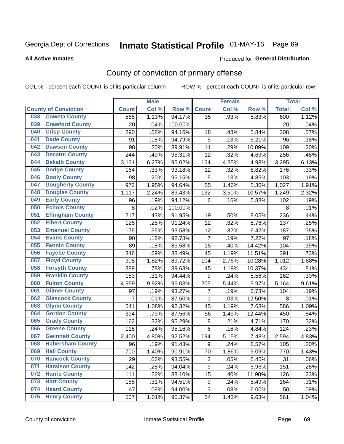# Inmate Statistical Profile 01-MAY-16 Page 69

**All Active Inmates** 

### Produced for General Distribution

# County of conviction of primary offense

COL % - percent each COUNT is of its particular column

|                                |                | <b>Male</b> |         |                | <b>Female</b> |        |              | <b>Total</b> |
|--------------------------------|----------------|-------------|---------|----------------|---------------|--------|--------------|--------------|
| <b>County of Conviction</b>    | <b>Count</b>   | Col %       | Row %   | <b>Count</b>   | Col %         | Row %  | <b>Total</b> | Col %        |
| <b>Coweta County</b><br>038    | 565            | 1.13%       | 94.17%  | 35             | .93%          | 5.83%  | 600          | 1.12%        |
| <b>Crawford County</b><br>039  | 20             | .04%        | 100.00% |                |               |        | 20           | .04%         |
| <b>Crisp County</b><br>040     | 290            | .58%        | 94.16%  | 18             | .48%          | 5.84%  | 308          | .57%         |
| <b>Dade County</b><br>041      | 91             | .18%        | 94.79%  | 5              | .13%          | 5.21%  | 96           | .18%         |
| <b>Dawson County</b><br>042    | 98             | .20%        | 89.91%  | 11             | .29%          | 10.09% | 109          | .20%         |
| 043<br><b>Decatur County</b>   | 244            | .49%        | 95.31%  | 12             | .32%          | 4.69%  | 256          | .48%         |
| <b>Dekalb County</b><br>044    | 3,131          | 6.27%       | 95.02%  | 164            | 4.35%         | 4.98%  | 3,295        | 6.13%        |
| <b>Dodge County</b><br>045     | 164            | .33%        | 93.18%  | 12             | .32%          | 6.82%  | 176          | .33%         |
| <b>Dooly County</b><br>046     | 98             | .20%        | 95.15%  | 5              | .13%          | 4.85%  | 103          | .19%         |
| <b>Dougherty County</b><br>047 | 972            | 1.95%       | 94.64%  | 55             | 1.46%         | 5.36%  | 1,027        | 1.91%        |
| <b>Douglas County</b><br>048   | 1,117          | 2.24%       | 89.43%  | 132            | 3.50%         | 10.57% | 1,249        | 2.32%        |
| <b>Early County</b><br>049     | 96             | .19%        | 94.12%  | 6              | .16%          | 5.88%  | 102          | .19%         |
| <b>Echols County</b><br>050    | 8              | .02%        | 100.00% |                |               |        | 8            | .01%         |
| <b>Effingham County</b><br>051 | 217            | .43%        | 91.95%  | 19             | .50%          | 8.05%  | 236          | .44%         |
| <b>Elbert County</b><br>052    | 125            | .25%        | 91.24%  | 12             | .32%          | 8.76%  | 137          | .25%         |
| <b>Emanuel County</b><br>053   | 175            | .35%        | 93.58%  | 12             | .32%          | 6.42%  | 187          | .35%         |
| <b>Evans County</b><br>054     | 90             | .18%        | 92.78%  | $\overline{7}$ | .19%          | 7.22%  | 97           | .18%         |
| <b>Fannin County</b><br>055    | 89             | .18%        | 85.58%  | 15             | .40%          | 14.42% | 104          | .19%         |
| <b>Fayette County</b><br>056   | 346            | .69%        | 88.49%  | 45             | 1.19%         | 11.51% | 391          | .73%         |
| <b>Floyd County</b><br>057     | 908            | 1.82%       | 89.72%  | 104            | 2.76%         | 10.28% | 1,012        | 1.88%        |
| <b>Forsyth County</b><br>058   | 389            | .78%        | 89.63%  | 45             | 1.19%         | 10.37% | 434          | .81%         |
| <b>Franklin County</b><br>059  | 153            | .31%        | 94.44%  | 9              | .24%          | 5.56%  | 162          | .30%         |
| <b>Fulton County</b><br>060    | 4,959          | 9.92%       | 96.03%  | 205            | 5.44%         | 3.97%  | 5,164        | 9.61%        |
| <b>Gilmer County</b><br>061    | 97             | .19%        | 93.27%  | $\overline{7}$ | .19%          | 6.73%  | 104          | .19%         |
| <b>Glascock County</b><br>062  | $\overline{7}$ | .01%        | 87.50%  | 1              | .03%          | 12.50% | 8            | .01%         |
| 063<br><b>Glynn County</b>     | 541            | 1.08%       | 92.32%  | 45             | 1.19%         | 7.68%  | 586          | 1.09%        |
| <b>Gordon County</b><br>064    | 394            | .79%        | 87.56%  | 56             | 1.49%         | 12.44% | 450          | .84%         |
| 065<br><b>Grady County</b>     | 162            | .32%        | 95.29%  | 8              | .21%          | 4.71%  | 170          | .32%         |
| <b>Greene County</b><br>066    | 118            | .24%        | 95.16%  | $6\phantom{1}$ | .16%          | 4.84%  | 124          | .23%         |
| <b>Gwinnett County</b><br>067  | 2,400          | 4.80%       | 92.52%  | 194            | 5.15%         | 7.48%  | 2,594        | 4.83%        |
| <b>Habersham County</b><br>068 | 96             | .19%        | 91.43%  | 9              | .24%          | 8.57%  | 105          | .20%         |
| 069<br><b>Hall County</b>      | 700            | 1.40%       | 90.91%  | 70             | 1.86%         | 9.09%  | 770          | 1.43%        |
| <b>Hancock County</b><br>070   | 29             | .06%        | 93.55%  | $\overline{2}$ | .05%          | 6.45%  | 31           | .06%         |
| <b>Haralson County</b><br>071  | 142            | .28%        | 94.04%  | 9              | .24%          | 5.96%  | 151          | .28%         |
| <b>Harris County</b><br>072    | 111            | .22%        | 88.10%  | 15             | .40%          | 11.90% | 126          | .23%         |
| <b>Hart County</b><br>073      | 155            | .31%        | 94.51%  | 9              | .24%          | 5.49%  | 164          | .31%         |
| <b>Heard County</b><br>074     | 47             | .09%        | 94.00%  | 3              | .08%          | 6.00%  | 50           | .09%         |
| <b>Henry County</b><br>075     | 507            | 1.01%       | 90.37%  | 54             | 1.43%         | 9.63%  | 561          | 1.04%        |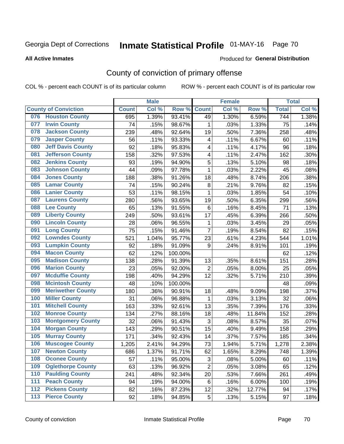# Inmate Statistical Profile 01-MAY-16 Page 70

#### **All Active Inmates**

### Produced for General Distribution

# County of conviction of primary offense

COL % - percent each COUNT is of its particular column

|     |                             |              | <b>Male</b> |         |                | <b>Female</b> |        |                    | <b>Total</b> |
|-----|-----------------------------|--------------|-------------|---------|----------------|---------------|--------|--------------------|--------------|
|     | <b>County of Conviction</b> | <b>Count</b> | Col %       | Row %   | <b>Count</b>   | Col %         | Row %  | <b>Total</b>       | Col %        |
| 076 | <b>Houston County</b>       | 695          | 1.39%       | 93.41%  | 49             | 1.30%         | 6.59%  | 744                | 1.38%        |
| 077 | <b>Irwin County</b>         | 74           | .15%        | 98.67%  | 1              | .03%          | 1.33%  | 75                 | .14%         |
| 078 | <b>Jackson County</b>       | 239          | .48%        | 92.64%  | 19             | .50%          | 7.36%  | 258                | .48%         |
| 079 | <b>Jasper County</b>        | 56           | .11%        | 93.33%  | 4              | .11%          | 6.67%  | 60                 | .11%         |
| 080 | <b>Jeff Davis County</b>    | 92           | .18%        | 95.83%  | 4              | .11%          | 4.17%  | 96                 | .18%         |
| 081 | <b>Jefferson County</b>     | 158          | .32%        | 97.53%  | 4              | .11%          | 2.47%  | 162                | .30%         |
| 082 | <b>Jenkins County</b>       | 93           | .19%        | 94.90%  | 5              | .13%          | 5.10%  | 98                 | .18%         |
| 083 | <b>Johnson County</b>       | 44           | .09%        | 97.78%  | $\mathbf{1}$   | .03%          | 2.22%  | 45                 | .08%         |
| 084 | <b>Jones County</b>         | 188          | .38%        | 91.26%  | 18             | .48%          | 8.74%  | 206                | .38%         |
| 085 | <b>Lamar County</b>         | 74           | .15%        | 90.24%  | $\bf 8$        | .21%          | 9.76%  | 82                 | .15%         |
| 086 | <b>Lanier County</b>        | 53           | .11%        | 98.15%  | 1              | .03%          | 1.85%  | 54                 | .10%         |
| 087 | <b>Laurens County</b>       | 280          | .56%        | 93.65%  | 19             | .50%          | 6.35%  | 299                | .56%         |
| 088 | <b>Lee County</b>           | 65           | .13%        | 91.55%  | 6              | .16%          | 8.45%  | 71                 | .13%         |
| 089 | <b>Liberty County</b>       | 249          | .50%        | 93.61%  | 17             | .45%          | 6.39%  | 266                | .50%         |
| 090 | <b>Lincoln County</b>       | 28           | .06%        | 96.55%  | 1              | .03%          | 3.45%  | 29                 | .05%         |
| 091 | <b>Long County</b>          | 75           | .15%        | 91.46%  | $\overline{7}$ | .19%          | 8.54%  | 82                 | .15%         |
| 092 | <b>Lowndes County</b>       | 521          | 1.04%       | 95.77%  | 23             | .61%          | 4.23%  | 544                | 1.01%        |
| 093 | <b>Lumpkin County</b>       | 92           | .18%        | 91.09%  | 9              | .24%          | 8.91%  | 101                | .19%         |
| 094 | <b>Macon County</b>         | 62           | .12%        | 100.00% |                |               |        | 62                 | .12%         |
| 095 | <b>Madison County</b>       | 138          | .28%        | 91.39%  | 13             | .35%          | 8.61%  | 151                | .28%         |
| 096 | <b>Marion County</b>        | 23           | .05%        | 92.00%  | $\mathbf 2$    | .05%          | 8.00%  | 25                 | .05%         |
| 097 | <b>Mcduffie County</b>      | 198          | .40%        | 94.29%  | 12             | .32%          | 5.71%  | 210                | .39%         |
| 098 | <b>Mcintosh County</b>      | 48           | .10%        | 100.00% |                |               |        | 48                 | .09%         |
| 099 | <b>Meriwether County</b>    | 180          | .36%        | 90.91%  | 18             | .48%          | 9.09%  | 198                | .37%         |
| 100 | <b>Miller County</b>        | 31           | .06%        | 96.88%  | 1              | .03%          | 3.13%  | 32                 | .06%         |
| 101 | <b>Mitchell County</b>      | 163          | .33%        | 92.61%  | 13             | .35%          | 7.39%  | 176                | .33%         |
| 102 | <b>Monroe County</b>        | 134          | .27%        | 88.16%  | 18             | .48%          | 11.84% | 152                | .28%         |
| 103 | <b>Montgomery County</b>    | 32           | .06%        | 91.43%  | 3              | .08%          | 8.57%  | 35                 | .07%         |
| 104 | <b>Morgan County</b>        | 143          | .29%        | 90.51%  | 15             | .40%          | 9.49%  | 158                | .29%         |
| 105 | <b>Murray County</b>        | 171          | .34%        | 92.43%  | 14             | .37%          | 7.57%  | 185                | .34%         |
| 106 | <b>Muscogee County</b>      | 1,205        | 2.41%       | 94.29%  | 73             | 1.94%         | 5.71%  | $\overline{1,}278$ | 2.38%        |
| 107 | <b>Newton County</b>        | 686          | 1.37%       | 91.71%  | 62             | 1.65%         | 8.29%  | 748                | 1.39%        |
| 108 | <b>Oconee County</b>        | 57           | .11%        | 95.00%  | 3              | .08%          | 5.00%  | 60                 | .11%         |
| 109 | <b>Oglethorpe County</b>    | 63           | .13%        | 96.92%  | $\overline{2}$ | .05%          | 3.08%  | 65                 | .12%         |
| 110 | <b>Paulding County</b>      | 241          | .48%        | 92.34%  | 20             | .53%          | 7.66%  | 261                | .49%         |
| 111 | <b>Peach County</b>         | 94           | .19%        | 94.00%  | 6              | .16%          | 6.00%  | 100                | .19%         |
| 112 | <b>Pickens County</b>       | 82           | .16%        | 87.23%  | 12             | .32%          | 12.77% | 94                 | .17%         |
| 113 | <b>Pierce County</b>        | 92           | .18%        | 94.85%  | $\mathbf 5$    | .13%          | 5.15%  | 97                 | .18%         |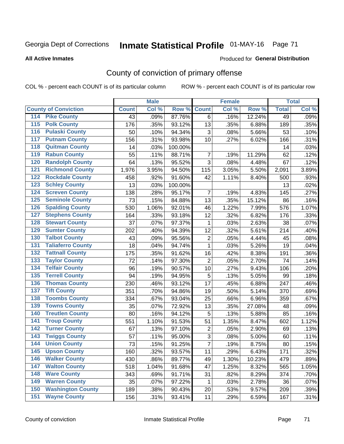# Inmate Statistical Profile 01-MAY-16 Page 71

#### **All Active Inmates**

### **Produced for General Distribution**

# County of conviction of primary offense

COL % - percent each COUNT is of its particular column

|                                          |              | <b>Male</b> |         |                | <b>Female</b> |        |              | <b>Total</b> |
|------------------------------------------|--------------|-------------|---------|----------------|---------------|--------|--------------|--------------|
| <b>County of Conviction</b>              | <b>Count</b> | Col %       | Row %   | <b>Count</b>   | Col %         | Row %  | <b>Total</b> | Col %        |
| <b>Pike County</b><br>114                | 43           | .09%        | 87.76%  | 6              | .16%          | 12.24% | 49           | .09%         |
| <b>Polk County</b><br>$\overline{115}$   | 176          | .35%        | 93.12%  | 13             | .35%          | 6.88%  | 189          | .35%         |
| <b>Pulaski County</b><br>116             | 50           | .10%        | 94.34%  | 3              | .08%          | 5.66%  | 53           | .10%         |
| <b>Putnam County</b><br>117              | 156          | .31%        | 93.98%  | 10             | .27%          | 6.02%  | 166          | .31%         |
| <b>Quitman County</b><br>118             | 14           | .03%        | 100.00% |                |               |        | 14           | .03%         |
| <b>Rabun County</b><br>119               | 55           | .11%        | 88.71%  | $\overline{7}$ | .19%          | 11.29% | 62           | .12%         |
| <b>Randolph County</b><br>120            | 64           | .13%        | 95.52%  | $\overline{3}$ | .08%          | 4.48%  | 67           | .12%         |
| <b>Richmond County</b><br>121            | 1,976        | 3.95%       | 94.50%  | 115            | 3.05%         | 5.50%  | 2,091        | 3.89%        |
| <b>Rockdale County</b><br>122            | 458          | .92%        | 91.60%  | 42             | 1.11%         | 8.40%  | 500          | .93%         |
| <b>Schley County</b><br>123              | 13           | .03%        | 100.00% |                |               |        | 13           | .02%         |
| <b>Screven County</b><br>124             | 138          | .28%        | 95.17%  | $\overline{7}$ | .19%          | 4.83%  | 145          | .27%         |
| <b>Seminole County</b><br>125            | 73           | .15%        | 84.88%  | 13             | .35%          | 15.12% | 86           | .16%         |
| <b>Spalding County</b><br>126            | 530          | 1.06%       | 92.01%  | 46             | 1.22%         | 7.99%  | 576          | 1.07%        |
| <b>Stephens County</b><br>127            | 164          | .33%        | 93.18%  | 12             | .32%          | 6.82%  | 176          | .33%         |
| <b>Stewart County</b><br>128             | 37           | .07%        | 97.37%  | 1              | .03%          | 2.63%  | 38           | .07%         |
| <b>Sumter County</b><br>129              | 202          | .40%        | 94.39%  | 12             | .32%          | 5.61%  | 214          | .40%         |
| <b>Talbot County</b><br>130              | 43           | .09%        | 95.56%  | $\overline{2}$ | .05%          | 4.44%  | 45           | .08%         |
| <b>Taliaferro County</b><br>131          | 18           | .04%        | 94.74%  | 1              | .03%          | 5.26%  | 19           | .04%         |
| <b>Tattnall County</b><br>132            | 175          | .35%        | 91.62%  | 16             | .42%          | 8.38%  | 191          | .36%         |
| <b>Taylor County</b><br>133              | 72           | .14%        | 97.30%  | $\overline{2}$ | .05%          | 2.70%  | 74           | .14%         |
| <b>Telfair County</b><br>134             | 96           | .19%        | 90.57%  | 10             | .27%          | 9.43%  | 106          | .20%         |
| <b>Terrell County</b><br>135             | 94           | .19%        | 94.95%  | 5              | .13%          | 5.05%  | 99           | .18%         |
| <b>Thomas County</b><br>136              | 230          | .46%        | 93.12%  | 17             | .45%          | 6.88%  | 247          | .46%         |
| <b>Tift County</b><br>137                | 351          | .70%        | 94.86%  | 19             | .50%          | 5.14%  | 370          | .69%         |
| <b>Toombs County</b><br>138              | 334          | .67%        | 93.04%  | 25             | .66%          | 6.96%  | 359          | .67%         |
| <b>Towns County</b><br>139               | 35           | .07%        | 72.92%  | 13             | .35%          | 27.08% | 48           | .09%         |
| <b>Treutlen County</b><br>140            | 80           | .16%        | 94.12%  | 5              | .13%          | 5.88%  | 85           | .16%         |
| <b>Troup County</b><br>141               | 551          | 1.10%       | 91.53%  | 51             | 1.35%         | 8.47%  | 602          | 1.12%        |
| <b>Turner County</b><br>142              | 67           | .13%        | 97.10%  | $\overline{2}$ | .05%          | 2.90%  | 69           | .13%         |
| <b>Twiggs County</b><br>$\overline{143}$ | 57           | .11%        | 95.00%  | $\overline{3}$ | .08%          | 5.00%  | 60           | .11%         |
| <b>Union County</b><br>144               | 73           | .15%        | 91.25%  | $\overline{7}$ | .19%          | 8.75%  | 80           | .15%         |
| 145<br><b>Upson County</b>               | 160          | .32%        | 93.57%  | 11             | .29%          | 6.43%  | 171          | .32%         |
| <b>Walker County</b><br>146              | 430          | .86%        | 89.77%  | 49             | 1.30%         | 10.23% | 479          | .89%         |
| <b>Walton County</b><br>147              | 518          | 1.04%       | 91.68%  | 47             | 1.25%         | 8.32%  | 565          | 1.05%        |
| <b>Ware County</b><br>148                | 343          | .69%        | 91.71%  | 31             | .82%          | 8.29%  | 374          | .70%         |
| <b>Warren County</b><br>149              | 35           | .07%        | 97.22%  | 1              | .03%          | 2.78%  | 36           | .07%         |
| <b>Washington County</b><br>150          | 189          | .38%        | 90.43%  | 20             | .53%          | 9.57%  | 209          | .39%         |
| <b>Wayne County</b><br>151               | 156          | .31%        | 93.41%  | 11             | .29%          | 6.59%  | 167          | .31%         |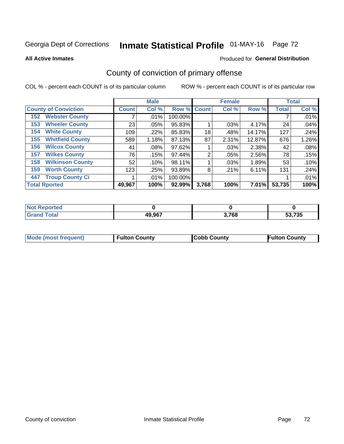# Inmate Statistical Profile 01-MAY-16 Page 72

**All Active Inmates** 

### Produced for General Distribution

# County of conviction of primary offense

COL % - percent each COUNT is of its particular column

|                                |              | <b>Male</b> |         |             | <b>Female</b> |        |              | <b>Total</b> |
|--------------------------------|--------------|-------------|---------|-------------|---------------|--------|--------------|--------------|
| <b>County of Conviction</b>    | <b>Count</b> | Col %       |         | Row % Count | Col %         | Row %  | <b>Total</b> | Col %        |
| <b>Webster County</b><br>152   |              | $.01\%$     | 100.00% |             |               |        |              | .01%         |
| <b>Wheeler County</b><br>153   | 23           | $.05\%$     | 95.83%  |             | .03%          | 4.17%  | 24           | .04%         |
| <b>White County</b><br>154     | 109          | .22%        | 85.83%  | 18          | .48%          | 14.17% | 127          | .24%         |
| <b>Whitfield County</b><br>155 | 589          | 1.18%       | 87.13%  | 87          | 2.31%         | 12.87% | 676          | 1.26%        |
| <b>Wilcox County</b><br>156    | 41           | $.08\%$     | 97.62%  |             | .03%          | 2.38%  | 42           | .08%         |
| <b>Wilkes County</b><br>157    | 76           | .15%        | 97.44%  | 2           | .05%          | 2.56%  | 78           | .15%         |
| <b>Wilkinson County</b><br>158 | 52           | .10%        | 98.11%  |             | .03%          | 1.89%  | 53           | .10%         |
| <b>Worth County</b><br>159     | 123          | .25%        | 93.89%  | 8           | .21%          | 6.11%  | 131          | .24%         |
| <b>Troup County Ci</b><br>447  |              | $.01\%$     | 100.00% |             |               |        |              | .01%         |
| <b>Total Rported</b>           | 49,967       | 100%        | 92.99%  | 3,768       | 100%          | 7.01%  | 53,735       | 100%         |

| <b>Not Reported</b> |        |       |        |
|---------------------|--------|-------|--------|
| <b>Grand Total</b>  | 49,967 | 3,768 | 53,735 |

|  | <b>Mode (most frequent)</b> | <b>Fulton County</b> | <b>Cobb County</b> | <b>Fulton County</b> |
|--|-----------------------------|----------------------|--------------------|----------------------|
|--|-----------------------------|----------------------|--------------------|----------------------|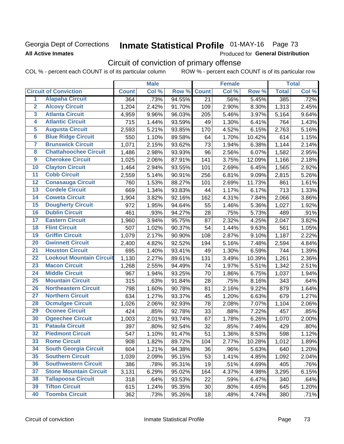### Georgia Dept of Corrections **All Active Inmates**

# Inmate Statistical Profile 01-MAY-16 Page 73

Produced for General Distribution

# Circuit of conviction of primary offense

COL % - percent each COUNT is of its particular column ROW % - percent each COUNT is of its particular row

|                         |                                 |              | <b>Male</b> |        |              | <b>Female</b> |        |              | <b>Total</b> |
|-------------------------|---------------------------------|--------------|-------------|--------|--------------|---------------|--------|--------------|--------------|
|                         | <b>Circuit of Conviction</b>    | <b>Count</b> | Col %       | Row %  | <b>Count</b> | Col %         | Row %  | <b>Total</b> | Col %        |
| 1                       | <b>Alapaha Circuit</b>          | 364          | .73%        | 94.55% | 21           | .56%          | 5.45%  | 385          | .72%         |
| $\overline{2}$          | <b>Alcovy Circuit</b>           | 1,204        | 2.42%       | 91.70% | 109          | 2.90%         | 8.30%  | 1,313        | 2.45%        |
| $\overline{\mathbf{3}}$ | <b>Atlanta Circuit</b>          | 4,959        | 9.96%       | 96.03% | 205          | 5.46%         | 3.97%  | 5,164        | 9.64%        |
| 4                       | <b>Atlantic Circuit</b>         | 715          | 1.44%       | 93.59% | 49           | 1.30%         | 6.41%  | 764          | 1.43%        |
| 5                       | <b>Augusta Circuit</b>          | 2,593        | 5.21%       | 93.85% | 170          | 4.52%         | 6.15%  | 2,763        | 5.16%        |
| $\overline{\bf{6}}$     | <b>Blue Ridge Circuit</b>       | 550          | 1.10%       | 89.58% | 64           | 1.70%         | 10.42% | 614          | 1.15%        |
| 7                       | <b>Brunswick Circuit</b>        | 1,071        | 2.15%       | 93.62% | 73           | 1.94%         | 6.38%  | 1,144        | 2.14%        |
| $\overline{\mathbf{8}}$ | <b>Chattahoochee Circuit</b>    | 1,486        | 2.98%       | 93.93% | 96           | 2.56%         | 6.07%  | 1,582        | 2.95%        |
| $\overline{9}$          | <b>Cherokee Circuit</b>         | 1,025        | 2.06%       | 87.91% | 141          | 3.75%         | 12.09% | 1,166        | 2.18%        |
| 10                      | <b>Clayton Circuit</b>          | 1,464        | 2.94%       | 93.55% | 101          | 2.69%         | 6.45%  | 1,565        | 2.92%        |
| $\overline{11}$         | <b>Cobb Circuit</b>             | 2,559        | 5.14%       | 90.91% | 256          | 6.81%         | 9.09%  | 2,815        | 5.26%        |
| $\overline{12}$         | <b>Conasauga Circuit</b>        | 760          | 1.53%       | 88.27% | 101          | 2.69%         | 11.73% | 861          | 1.61%        |
| 13                      | <b>Cordele Circuit</b>          | 669          | 1.34%       | 93.83% | 44           | 1.17%         | 6.17%  | 713          | 1.33%        |
| $\overline{14}$         | <b>Coweta Circuit</b>           | 1,904        | 3.82%       | 92.16% | 162          | 4.31%         | 7.84%  | 2,066        | 3.86%        |
| 15                      | <b>Dougherty Circuit</b>        | 972          | 1.95%       | 94.64% | 55           | 1.46%         | 5.36%  | 1,027        | 1.92%        |
| 16                      | <b>Dublin Circuit</b>           | 461          | .93%        | 94.27% | 28           | .75%          | 5.73%  | 489          | .91%         |
| 17                      | <b>Eastern Circuit</b>          | 1,960        | 3.94%       | 95.75% | 87           | 2.32%         | 4.25%  | 2,047        | 3.82%        |
| $\overline{18}$         | <b>Flint Circuit</b>            | 507          | 1.02%       | 90.37% | 54           | 1.44%         | 9.63%  | 561          | 1.05%        |
| 19                      | <b>Griffin Circuit</b>          | 1,079        | 2.17%       | 90.90% | 108          | 2.87%         | 9.10%  | 1,187        | 2.22%        |
| 20                      | <b>Gwinnett Circuit</b>         | 2,400        | 4.82%       | 92.52% | 194          | 5.16%         | 7.48%  | 2,594        | 4.84%        |
| $\overline{21}$         | <b>Houston Circuit</b>          | 695          | 1.40%       | 93.41% | 49           | 1.30%         | 6.59%  | 744          | 1.39%        |
| $\overline{22}$         | <b>Lookout Mountain Circuit</b> | 1,130        | 2.27%       | 89.61% | 131          | 3.49%         | 10.39% | 1,261        | 2.36%        |
| 23                      | <b>Macon Circuit</b>            | 1,268        | 2.55%       | 94.49% | 74           | 1.97%         | 5.51%  | 1,342        | 2.51%        |
| $\overline{24}$         | <b>Middle Circuit</b>           | 967          | 1.94%       | 93.25% | 70           | 1.86%         | 6.75%  | 1,037        | 1.94%        |
| $\overline{25}$         | <b>Mountain Circuit</b>         | 315          | .63%        | 91.84% | 28           | .75%          | 8.16%  | 343          | .64%         |
| 26                      | <b>Northeastern Circuit</b>     | 798          | 1.60%       | 90.78% | 81           | 2.16%         | 9.22%  | 879          | 1.64%        |
| $\overline{27}$         | <b>Northern Circuit</b>         | 634          | 1.27%       | 93.37% | 45           | 1.20%         | 6.63%  | 679          | 1.27%        |
| 28                      | <b>Ocmulgee Circuit</b>         | 1,026        | 2.06%       | 92.93% | 78           | 2.08%         | 7.07%  | 1,104        | 2.06%        |
| 29                      | <b>Oconee Circuit</b>           | 424          | .85%        | 92.78% | 33           | .88%          | 7.22%  | 457          | .85%         |
| 30                      | <b>Ogeechee Circuit</b>         | 1,003        | 2.01%       | 93.74% | 67           | 1.78%         | 6.26%  | 1,070        | 2.00%        |
| $\overline{31}$         | <b>Pataula Circuit</b>          | 397          | .80%        | 92.54% | 32           | .85%          | 7.46%  | 429          | .80%         |
| 32                      | <b>Piedmont Circuit</b>         | 547          | 1.10%       | 91.47% | 51           | 1.36%         | 8.53%  | 598          | 1.12%        |
| 33                      | <b>Rome Circuit</b>             | 908          | 1.82%       | 89.72% | 104          | 2.77%         | 10.28% | 1,012        | 1.89%        |
| 34                      | <b>South Georgia Circuit</b>    | 604          | 1.21%       | 94.38% | 36           | .96%          | 5.63%  | 640          | 1.20%        |
| 35                      | <b>Southern Circuit</b>         | 1,039        | 2.09%       | 95.15% | 53           | 1.41%         | 4.85%  | 1,092        | 2.04%        |
| 36                      | <b>Southwestern Circuit</b>     | 386          | .78%        | 95.31% | 19           | .51%          | 4.69%  | 405          | .76%         |
| 37                      | <b>Stone Mountain Circuit</b>   | 3,131        | 6.29%       | 95.02% | 164          | 4.37%         | 4.98%  | 3,295        | 6.15%        |
| 38                      | <b>Tallapoosa Circuit</b>       | 318          | .64%        | 93.53% | 22           | .59%          | 6.47%  | 340          | .64%         |
| 39                      | <b>Tifton Circuit</b>           | 615          | 1.24%       | 95.35% | 30           | .80%          | 4.65%  | 645          | 1.20%        |
| 40                      | <b>Toombs Circuit</b>           | 362          | .73%        | 95.26% | 18           | .48%          | 4.74%  | 380          | .71%         |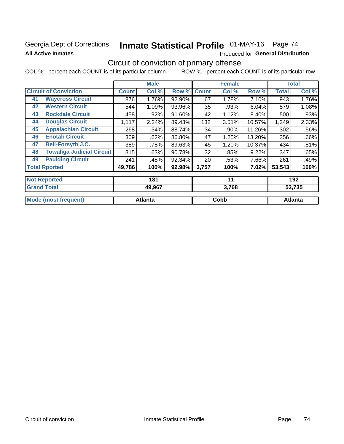### Georgia Dept of Corrections **All Active Inmates**

# Inmate Statistical Profile 01-MAY-16 Page 74

Produced for General Distribution

# Circuit of conviction of primary offense

COL % - percent each COUNT is of its particular column ROW % - percent each COUNT is of its particular row

|    |                                  |              | <b>Male</b> |        |              | <b>Female</b> |        |              | <b>Total</b> |
|----|----------------------------------|--------------|-------------|--------|--------------|---------------|--------|--------------|--------------|
|    | <b>Circuit of Conviction</b>     | <b>Count</b> | Col %       | Row %  | <b>Count</b> | Col %         | Row %  | <b>Total</b> | Col %        |
| 41 | <b>Waycross Circuit</b>          | 876          | 1.76%       | 92.90% | 67           | 1.78%         | 7.10%  | 943          | 1.76%        |
| 42 | <b>Western Circuit</b>           | 544          | 1.09%       | 93.96% | 35           | .93%          | 6.04%  | 579          | 1.08%        |
| 43 | <b>Rockdale Circuit</b>          | 458          | .92%        | 91.60% | 42           | 1.12%         | 8.40%  | 500          | .93%         |
| 44 | <b>Douglas Circuit</b>           | 1,117        | 2.24%       | 89.43% | 132          | 3.51%         | 10.57% | 1,249        | 2.33%        |
| 45 | <b>Appalachian Circuit</b>       | 268          | .54%        | 88.74% | 34           | .90%          | 11.26% | 302          | .56%         |
| 46 | <b>Enotah Circuit</b>            | 309          | .62%        | 86.80% | 47           | 1.25%         | 13.20% | 356          | .66%         |
| 47 | <b>Bell-Forsyth J.C.</b>         | 389          | .78%        | 89.63% | 45           | 1.20%         | 10.37% | 434          | .81%         |
| 48 | <b>Towaliga Judicial Circuit</b> | 315          | .63%        | 90.78% | 32           | .85%          | 9.22%  | 347          | .65%         |
| 49 | <b>Paulding Circuit</b>          | 241          | .48%        | 92.34% | 20           | .53%          | 7.66%  | 261          | .49%         |
|    | <b>Total Rported</b>             | 49,786       | 100%        | 92.98% | 3,757        | 100%          | 7.02%  | 53,543       | 100%         |
|    | <b>Not Reported</b>              |              | 181         |        |              | 11            |        |              | 192          |
|    | <b>Grand Total</b>               |              | 49.967      |        |              | 3.768         |        |              | 53.735       |

| M | <br>∴nh⊦<br><b>UUNU</b> | 'ant. |
|---|-------------------------|-------|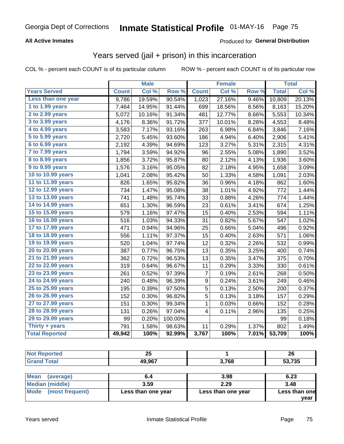### **All Active Inmates**

### Produced for **General Distribution**

# Years served (jail + prison) in this incarceration

|                       |              | <b>Male</b> |         |                  | <b>Female</b> |       |              | <b>Total</b> |
|-----------------------|--------------|-------------|---------|------------------|---------------|-------|--------------|--------------|
| <b>Years Served</b>   | <b>Count</b> | Col %       | Row %   | <b>Count</b>     | Col %         | Row % | <b>Total</b> | Col %        |
| Less than one year    | 9,786        | 19.59%      | 90.54%  | 1,023            | 27.16%        | 9.46% | 10,809       | 20.13%       |
| 1 to 1.99 years       | 7,464        | 14.95%      | 91.44%  | 699              | 18.56%        | 8.56% | 8,163        | 15.20%       |
| 2 to 2.99 years       | 5,072        | 10.16%      | 91.34%  | 481              | 12.77%        | 8.66% | 5,553        | 10.34%       |
| 3 to 3.99 years       | 4,176        | 8.36%       | 91.72%  | 377              | 10.01%        | 8.28% | 4,553        | 8.48%        |
| 4 to 4.99 years       | 3,583        | 7.17%       | 93.16%  | 263              | 6.98%         | 6.84% | 3,846        | 7.16%        |
| 5 to 5.99 years       | 2,720        | 5.45%       | 93.60%  | 186              | 4.94%         | 6.40% | 2,906        | 5.41%        |
| 6 to 6.99 years       | 2,192        | 4.39%       | 94.69%  | 123              | 3.27%         | 5.31% | 2,315        | 4.31%        |
| 7 to 7.99 years       | 1,794        | 3.59%       | 94.92%  | 96               | 2.55%         | 5.08% | 1,890        | 3.52%        |
| 8 to 8.99 years       | 1,856        | 3.72%       | 95.87%  | 80               | 2.12%         | 4.13% | 1,936        | 3.60%        |
| 9 to 9.99 years       | 1,576        | 3.16%       | 95.05%  | 82               | 2.18%         | 4.95% | 1,658        | 3.09%        |
| 10 to 10.99 years     | 1,041        | 2.08%       | 95.42%  | 50               | 1.33%         | 4.58% | 1,091        | 2.03%        |
| 11 to 11.99 years     | 826          | 1.65%       | 95.82%  | 36               | 0.96%         | 4.18% | 862          | 1.60%        |
| 12 to 12.99 years     | 734          | 1.47%       | 95.08%  | 38               | 1.01%         | 4.92% | 772          | 1.44%        |
| 13 to 13.99 years     | 741          | 1.48%       | 95.74%  | 33               | 0.88%         | 4.26% | 774          | 1.44%        |
| 14 to 14.99 years     | 651          | 1.30%       | 96.59%  | 23               | 0.61%         | 3.41% | 674          | 1.25%        |
| 15 to 15.99 years     | 579          | 1.16%       | 97.47%  | 15               | 0.40%         | 2.53% | 594          | 1.11%        |
| 16 to 16.99 years     | 516          | 1.03%       | 94.33%  | 31               | 0.82%         | 5.67% | 547          | 1.02%        |
| 17 to 17.99 years     | 471          | 0.94%       | 94.96%  | 25               | 0.66%         | 5.04% | 496          | 0.92%        |
| 18 to 18.99 years     | 556          | 1.11%       | 97.37%  | 15               | 0.40%         | 2.63% | 571          | 1.06%        |
| 19 to 19.99 years     | 520          | 1.04%       | 97.74%  | 12               | 0.32%         | 2.26% | 532          | 0.99%        |
| 20 to 20.99 years     | 387          | 0.77%       | 96.75%  | 13               | 0.35%         | 3.25% | 400          | 0.74%        |
| 21 to 21.99 years     | 362          | 0.72%       | 96.53%  | 13               | 0.35%         | 3.47% | 375          | 0.70%        |
| 22 to 22.99 years     | 319          | 0.64%       | 96.67%  | 11               | 0.29%         | 3.33% | 330          | 0.61%        |
| 23 to 23.99 years     | 261          | 0.52%       | 97.39%  | 7                | 0.19%         | 2.61% | 268          | 0.50%        |
| 24 to 24.99 years     | 240          | 0.48%       | 96.39%  | $\boldsymbol{9}$ | 0.24%         | 3.61% | 249          | 0.46%        |
| 25 to 25.99 years     | 195          | 0.39%       | 97.50%  | 5                | 0.13%         | 2.50% | 200          | 0.37%        |
| 26 to 26.99 years     | 152          | 0.30%       | 96.82%  | $\overline{5}$   | 0.13%         | 3.18% | 157          | 0.29%        |
| 27 to 27.99 years     | 151          | 0.30%       | 99.34%  | $\mathbf 1$      | 0.03%         | 0.66% | 152          | 0.28%        |
| 28 to 28.99 years     | 131          | 0.26%       | 97.04%  | 4                | 0.11%         | 2.96% | 135          | 0.25%        |
| 29 to 29.99 years     | 99           | 0.20%       | 100.00% |                  |               |       | 99           | 0.18%        |
| Thirty + years        | 791          | 1.58%       | 98.63%  | 11               | 0.29%         | 1.37% | 802          | 1.49%        |
| <b>Total Reported</b> | 49,942       | 100%        | 92.99%  | 3,767            | 100%          | 7.01% | 53,709       | 100%         |

| --<br>ZJ |       | ጎር<br>ZO                        |
|----------|-------|---------------------------------|
| 49,967   | 3,768 | $\overline{\phantom{a}}$<br>-55 |

| <b>Mean</b><br>(average) |                    | 3.98               | 6.23          |
|--------------------------|--------------------|--------------------|---------------|
| Median (middle)          | 3.59               | 2.29               | 3.48          |
| Mode (most frequent)     | Less than one year | Less than one year | Less than one |
|                          |                    |                    | vear          |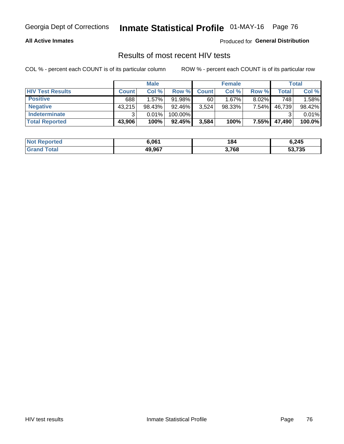### **All Active Inmates**

Produced for **General Distribution**

## Results of most recent HIV tests

|                         |              | <b>Male</b> |         |              | <b>Female</b> |          |        | <b>Total</b> |
|-------------------------|--------------|-------------|---------|--------------|---------------|----------|--------|--------------|
| <b>HIV Test Results</b> | <b>Count</b> | Col %       | Row %I  | <b>Count</b> | Col %         | Row %    | Total  | Col %        |
| <b>Positive</b>         | 688          | 1.57%       | 91.98%  | 60           | 1.67%         | $8.02\%$ | 748    | 1.58%        |
| <b>Negative</b>         | 43,215       | 98.43%      | 92.46%  | 3,524        | 98.33%        | 7.54%    | 46,739 | 98.42%       |
| <b>Indeterminate</b>    | ີ            | 0.01%       | 100.00% |              |               |          |        | 0.01%        |
| <b>Total Reported</b>   | 43,906       | 100%        | 92.45%  | 3,584        | 100%          | $7.55\%$ | 47,490 | 100.0%       |

| <b>Not Reported</b> | 6.061  | 184   | 6,245  |
|---------------------|--------|-------|--------|
| Total<br>Gran       | 49,967 | 3,768 | 53,735 |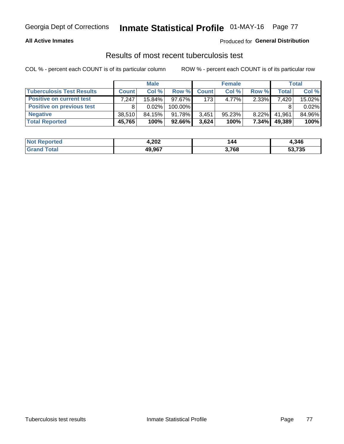### **All Active Inmates**

### Produced for **General Distribution**

## Results of most recent tuberculosis test

|                                  | <b>Male</b>  |          | <b>Female</b> |              |           | Total    |              |        |
|----------------------------------|--------------|----------|---------------|--------------|-----------|----------|--------------|--------|
| <b>Tuberculosis Test Results</b> | <b>Count</b> | Col%     | Row %         | <b>Count</b> | Col %     | Row %    | <b>Total</b> | Col %  |
| <b>Positive on current test</b>  | 7,247        | 15.84%   | 97.67%        | 173          | 4.77%     | 2.33%    | 7,420        | 15.02% |
| <b>Positive on previous test</b> | 8            | $0.02\%$ | 100.00%       |              |           |          |              | 0.02%  |
| <b>Negative</b>                  | 38.510       | 84.15%   | $91.78\%$     | 3,451        | $95.23\%$ | $8.22\%$ | 41,961       | 84.96% |
| <b>Total Reported</b>            | 45,765       | 100%     | 92.66%        | 3,624        | 100%      | $7.34\%$ | 49,389       | 100%   |

| <b>Not Reported</b> | 4,202  | 144   | 4,346  |
|---------------------|--------|-------|--------|
| Total               | 49,967 | 3,768 | 53,735 |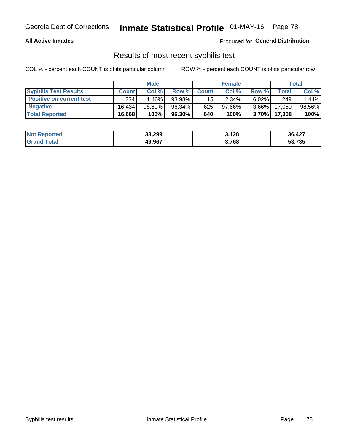### **All Active Inmates**

Produced for **General Distribution**

## Results of most recent syphilis test

|                                 | <b>Male</b>  |           |        | <b>Female</b> |           |          | Total  |        |
|---------------------------------|--------------|-----------|--------|---------------|-----------|----------|--------|--------|
| <b>Syphilis Test Results</b>    | <b>Count</b> | Col%      | Row %I | <b>Count</b>  | Col %     | Row %    | Total  | Col %  |
| <b>Positive on current test</b> | 234          | $1.40\%$  | 93.98% | 15            | 2.34%     | $6.02\%$ | 249    | 1.44%  |
| <b>Negative</b>                 | 16.434       | $98.60\%$ | 96.34% | 625           | $97.66\%$ | $3.66\%$ | 17,059 | 98.56% |
| <b>Total Reported</b>           | 16,668       | 100%      | 96.30% | 640           | 100%      | $3.70\%$ | 17,308 | 100%   |

| <b>Not Reported</b> | 33,299 | 3,128 | 36,427 |
|---------------------|--------|-------|--------|
| <b>Grand Total</b>  | 49,967 | 3,768 | 53,735 |